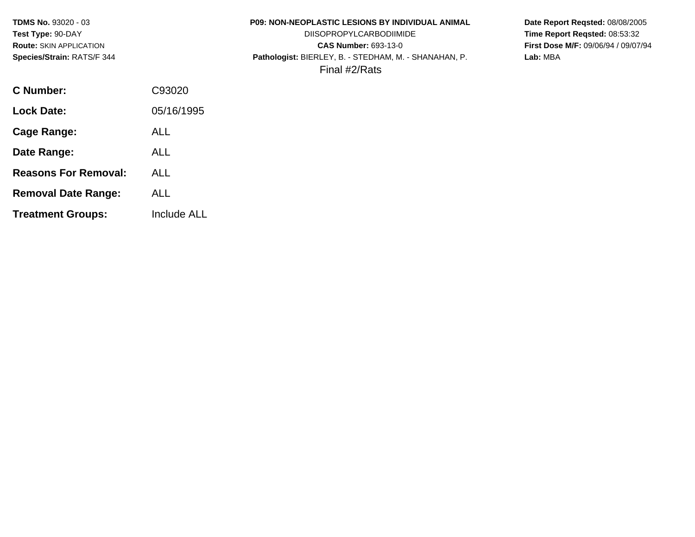| <b>TDMS No. 93020 - 03</b>     |            | <b>P09: NON-NEOPLASTIC LESIONS BY INDIVIDUAL ANIMAL</b> | Date Report Regsted: 08/08/2005     |
|--------------------------------|------------|---------------------------------------------------------|-------------------------------------|
| Test Type: 90-DAY              |            | <b>DIISOPROPYLCARBODIIMIDE</b>                          | Time Report Regsted: 08:53:32       |
| <b>Route: SKIN APPLICATION</b> |            | <b>CAS Number: 693-13-0</b>                             | First Dose M/F: 09/06/94 / 09/07/94 |
| Species/Strain: RATS/F 344     |            | Pathologist: BIERLEY, B. - STEDHAM, M. - SHANAHAN, P.   | Lab: MBA                            |
|                                |            | Final #2/Rats                                           |                                     |
| C Number:                      | C93020     |                                                         |                                     |
| <b>Lock Date:</b>              | 05/16/1995 |                                                         |                                     |
| Cage Range:                    | <b>ALL</b> |                                                         |                                     |
| Date Range:                    | <b>ALL</b> |                                                         |                                     |

- **Reasons For Removal:** ALL
- **Removal Date Range:** ALL
- **Treatment Groups:** Include ALL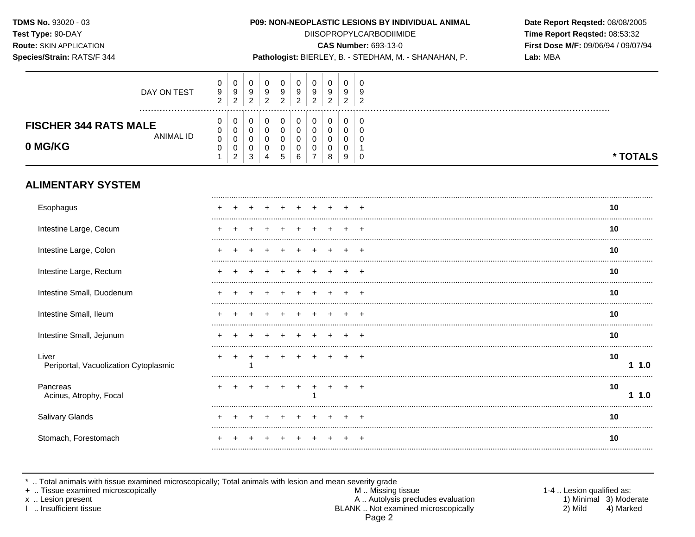Species/Strain: RATS/F 344

#### P09: NON-NEOPLASTIC LESIONS BY INDIVIDUAL ANIMAL

**DIISOPROPYLCARBODIIMIDE** 

**CAS Number: 693-13-0** 

Pathologist: BIERLEY, B. - STEDHAM, M. - SHANAHAN, P.

Date Report Reqsted: 08/08/2005 Time Report Reqsted: 08:53:32 First Dose M/F: 09/06/94 / 09/07/94 Lab: MBA

| <b>ALIMENTARY SYSTEM</b>                |             |                          |                  |         |             |    |                    |             |             |        |   |          |
|-----------------------------------------|-------------|--------------------------|------------------|---------|-------------|----|--------------------|-------------|-------------|--------|---|----------|
| <b>FISCHER 344 RATS MALE</b><br>0 MG/KG | ANIMAL ID   | ν<br>$\Omega$<br>ν<br>ν  | v<br>ົ           | c<br>J. | 0<br>4      | ÷. | 6                  | ⇁           | 8           | 9      |   | * TOTALS |
|                                         | DAY ON TEST | ν<br>9<br>$\overline{2}$ | v<br>9<br>ົ<br>_ | 9<br>◠  | 9<br>◠<br>∼ |    | 9<br>◠<br><u>_</u> | 9<br>◠<br>_ | 9<br>ີ<br>▵ | g<br>ົ | ີ |          |

| Esophagus                                      |  |  |  |  |  | 10 |     |
|------------------------------------------------|--|--|--|--|--|----|-----|
| Intestine Large, Cecum                         |  |  |  |  |  | 10 |     |
| Intestine Large, Colon                         |  |  |  |  |  | 10 |     |
| Intestine Large, Rectum                        |  |  |  |  |  | 10 |     |
| Intestine Small, Duodenum                      |  |  |  |  |  | 10 |     |
| Intestine Small, Ileum                         |  |  |  |  |  | 10 |     |
| Intestine Small, Jejunum                       |  |  |  |  |  | 10 |     |
| Liver<br>Periportal, Vacuolization Cytoplasmic |  |  |  |  |  | 10 | 1.0 |
| Pancreas<br>Acinus, Atrophy, Focal             |  |  |  |  |  | 10 | 1.0 |
| Salivary Glands                                |  |  |  |  |  | 10 |     |
| Stomach, Forestomach                           |  |  |  |  |  | 10 |     |

\* .. Total animals with tissue examined microscopically; Total animals with lesion and mean severity grade<br>+ .. Tissue examined microscopically

x .. Lesion present

I .. Insufficient tissue

M .. Missing tissue A .. Autolysis precludes evaluation BLANK .. Not examined microscopically Page 2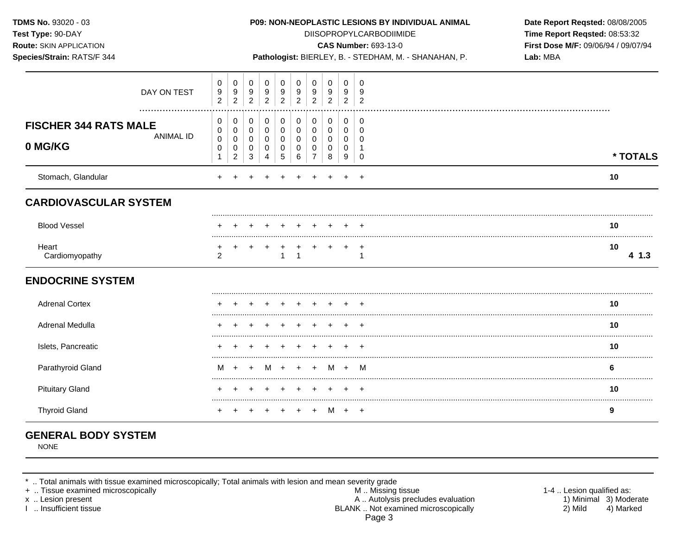| TDMS No. 93020 - 03<br>Test Type: 90-DAY<br>Route: SKIN APPLICATION<br>Species/Strain: RATS/F 344 |                                            |                                    |                                            |                                              |                                           |                                                 |                                                        |                                           |                                 |                                                      | P09: NON-NEOPLASTIC LESIONS BY INDIVIDUAL ANIMAL<br><b>DIISOPROPYLCARBODIIMIDE</b><br><b>CAS Number: 693-13-0</b><br>Pathologist: BIERLEY, B. - STEDHAM, M. - SHANAHAN, P. | Date Report Reqsted: 08/08/2005<br>Time Report Reqsted: 08:53:32<br>First Dose M/F: 09/06/94 / 09/07/94<br>Lab: MBA |
|---------------------------------------------------------------------------------------------------|--------------------------------------------|------------------------------------|--------------------------------------------|----------------------------------------------|-------------------------------------------|-------------------------------------------------|--------------------------------------------------------|-------------------------------------------|---------------------------------|------------------------------------------------------|----------------------------------------------------------------------------------------------------------------------------------------------------------------------------|---------------------------------------------------------------------------------------------------------------------|
| DAY ON TEST                                                                                       | $\mathbf 0$<br>9<br>$\overline{c}$         | 0<br>9<br>$\overline{2}$           | 0<br>9<br>$\overline{2}$                   | $\mathbf 0$<br>9<br>$\overline{2}$           | 0<br>9<br>$\overline{2}$                  | 0<br>$\boldsymbol{9}$<br>$\overline{2}$         | $\mathbf 0$<br>9<br>$\overline{2}$                     | 0<br>9<br>$\overline{2}$                  | $\mathbf 0$<br>9<br>$2^{\circ}$ | $\Omega$<br>9<br>$\overline{2}$                      |                                                                                                                                                                            |                                                                                                                     |
| <b>FISCHER 344 RATS MALE</b><br><b>ANIMAL ID</b><br>0 MG/KG                                       | 0<br>0<br>$\mathbf 0$<br>0<br>$\mathbf{1}$ | 0<br>0<br>0<br>0<br>$\overline{c}$ | 0<br>$\mathbf 0$<br>0<br>0<br>$\mathbf{3}$ | 0<br>$\mathbf 0$<br>0<br>0<br>$\overline{4}$ | 0<br>$\mathbf 0$<br>$\mathbf 0$<br>0<br>5 | 0<br>$\boldsymbol{0}$<br>$\mathsf{O}$<br>0<br>6 | 0<br>0<br>$\mathbf 0$<br>$\mathbf 0$<br>$\overline{7}$ | 0<br>$\mathbf 0$<br>$\mathbf 0$<br>0<br>8 | 0<br>0<br>0<br>0<br>9           | 0<br>$\mathbf 0$<br>$\mathbf 0$<br>-1<br>$\mathbf 0$ |                                                                                                                                                                            | * TOTALS                                                                                                            |
| Stomach, Glandular                                                                                |                                            |                                    |                                            |                                              |                                           |                                                 |                                                        |                                           |                                 |                                                      |                                                                                                                                                                            | 10                                                                                                                  |
| <b>CARDIOVASCULAR SYSTEM</b>                                                                      |                                            |                                    |                                            |                                              |                                           |                                                 |                                                        |                                           |                                 |                                                      |                                                                                                                                                                            |                                                                                                                     |
| <b>Blood Vessel</b>                                                                               |                                            |                                    |                                            |                                              |                                           |                                                 |                                                        |                                           |                                 |                                                      |                                                                                                                                                                            | 10                                                                                                                  |
| Heart<br>Cardiomyopathy                                                                           | $\overline{2}$                             |                                    |                                            |                                              | $\mathbf{1}$                              | $\mathbf{1}$                                    | $+$                                                    | $+$                                       | $+$                             | $\overline{+}$<br>$\overline{1}$                     |                                                                                                                                                                            | 10<br>41.3                                                                                                          |
| <b>ENDOCRINE SYSTEM</b>                                                                           |                                            |                                    |                                            |                                              |                                           |                                                 |                                                        |                                           |                                 |                                                      |                                                                                                                                                                            |                                                                                                                     |
| <b>Adrenal Cortex</b>                                                                             |                                            |                                    |                                            |                                              |                                           |                                                 |                                                        |                                           |                                 |                                                      |                                                                                                                                                                            | 10                                                                                                                  |
| Adrenal Medulla                                                                                   |                                            |                                    |                                            |                                              |                                           |                                                 |                                                        |                                           |                                 |                                                      |                                                                                                                                                                            | 10                                                                                                                  |
| Islets, Pancreatic                                                                                |                                            |                                    |                                            |                                              |                                           |                                                 |                                                        |                                           |                                 |                                                      |                                                                                                                                                                            | 10                                                                                                                  |
| Parathyroid Gland                                                                                 | м                                          | $+$                                |                                            |                                              | M +                                       | $\ddot{}$                                       | $\ddot{}$                                              | M                                         | $+$                             | - M                                                  |                                                                                                                                                                            | 6                                                                                                                   |
| <b>Pituitary Gland</b>                                                                            |                                            |                                    |                                            |                                              | +                                         | +                                               | +                                                      | $\pm$                                     | $+$                             | $^+$                                                 |                                                                                                                                                                            | 10                                                                                                                  |
| <b>Thyroid Gland</b>                                                                              |                                            |                                    |                                            |                                              | $+$                                       | $+$                                             | $+$                                                    |                                           | $M + +$                         |                                                      |                                                                                                                                                                            | 9                                                                                                                   |

# **GENERAL BODY SYSTEM**

NONE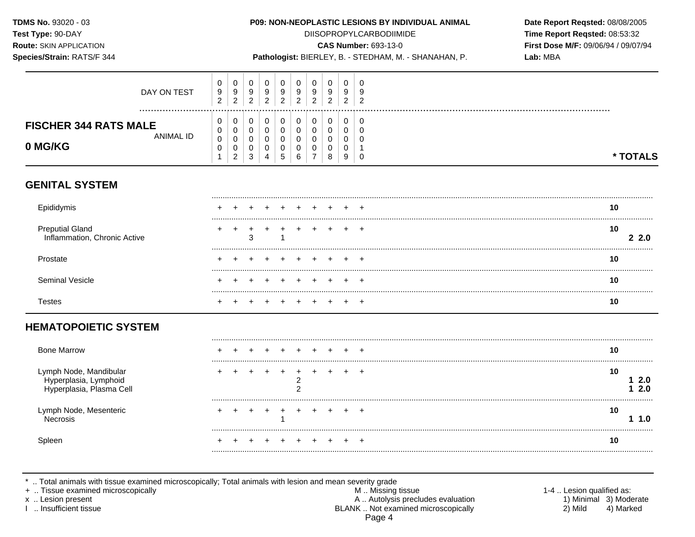Species/Strain: RATS/F 344

## P09: NON-NEOPLASTIC LESIONS BY INDIVIDUAL ANIMAL

**DIISOPROPYLCARBODIIMIDE** 

**CAS Number: 693-13-0** 

Pathologist: BIERLEY, B. - STEDHAM, M. - SHANAHAN, P.

Date Report Reqsted: 08/08/2005 Time Report Reqsted: 08:53:32 First Dose M/F: 09/06/94 / 09/07/94 Lab: MBA

| <b>FISCHER 344 RATS MALE</b><br><b>ANIMAL ID</b><br>0 MG/KG | 2<br>υ<br>υ<br>$\Omega$<br>υ | ∸<br>U<br>v<br>v   | 0. |   |    |   | <u>_</u> | <u>_</u> | 0<br>u<br>u | ∼<br>0<br>U<br>U |             |
|-------------------------------------------------------------|------------------------------|--------------------|----|---|----|---|----------|----------|-------------|------------------|-------------|
|                                                             | v                            | v<br>ົ<br><u>_</u> | 3  | 4 | .5 | 6 |          | 8        | υ<br>9      | 0                | <b>TALS</b> |

## **GENITAL SYSTEM**

| Epididymis                                             |        | 10          |
|--------------------------------------------------------|--------|-------------|
| <b>Preputial Gland</b><br>Inflammation, Chronic Active | $\sim$ | 10<br>- 2.0 |
| Prostate                                               |        | 10          |
| Seminal Vesicle                                        |        | 1 น         |
| ∣estes                                                 |        | ιu          |

## **HEMATOPOIETIC SYSTEM**

| <b>Bone Marrow</b>                                                          |  |  |  |  |  |    |            |
|-----------------------------------------------------------------------------|--|--|--|--|--|----|------------|
| Lymph Node, Mandibular<br>Hyperplasia, Lymphoid<br>Hyperplasia, Plasma Cell |  |  |  |  |  | 10 | 2.0<br>2.0 |
| Lymph Node, Mesenteric                                                      |  |  |  |  |  | 10 |            |
| Spleen                                                                      |  |  |  |  |  |    |            |

\* .. Total animals with tissue examined microscopically; Total animals with lesion and mean severity grade<br>+ .. Tissue examined microscopically

x .. Lesion present

I .. Insufficient tissue

M .. Missing tissue A .. Autolysis precludes evaluation BLANK .. Not examined microscopically Page 4

1-4 .. Lesion qualified as: 1) Minimal 3) Moderate 2) Mild 4) Marked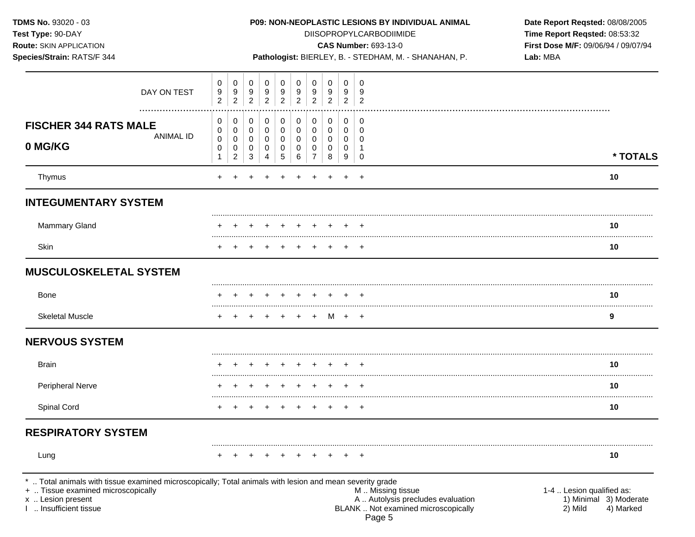| TDMS No. 93020 - 03<br>Test Type: 90-DAY<br><b>Route: SKIN APPLICATION</b><br>Species/Strain: RATS/F 344                                                                                |                          |                                    |                                 |                          |                                    |                                         |                                              |                                 |                          | P09: NON-NEOPLASTIC LESIONS BY INDIVIDUAL ANIMAL<br><b>DIISOPROPYLCARBODIIMIDE</b><br><b>CAS Number: 693-13-0</b><br>Pathologist: BIERLEY, B. - STEDHAM, M. - SHANAHAN, P. | Date Report Reqsted: 08/08/2005<br>Time Report Reqsted: 08:53:32<br>First Dose M/F: 09/06/94 / 09/07/94<br>Lab: MBA |
|-----------------------------------------------------------------------------------------------------------------------------------------------------------------------------------------|--------------------------|------------------------------------|---------------------------------|--------------------------|------------------------------------|-----------------------------------------|----------------------------------------------|---------------------------------|--------------------------|----------------------------------------------------------------------------------------------------------------------------------------------------------------------------|---------------------------------------------------------------------------------------------------------------------|
| DAY ON TEST                                                                                                                                                                             | 0<br>9<br>$\overline{2}$ | 0<br>9<br>$\overline{c}$           | 0<br>9<br>$\overline{2}$        | 0<br>9<br>$\overline{2}$ | 0<br>9<br>$\overline{2}$           | 0<br>9<br>$\overline{2}$                | 0<br>9<br>$\overline{c}$                     | 0<br>9<br>$\overline{2}$        | 0<br>9<br>$\overline{2}$ | 0<br>9<br>$\overline{2}$                                                                                                                                                   |                                                                                                                     |
| <b>FISCHER 344 RATS MALE</b><br><b>ANIMAL ID</b><br>0 MG/KG                                                                                                                             | 0<br>0<br>0<br>0         | 0<br>0<br>0<br>0<br>$\overline{2}$ | 0<br>0<br>$\mathbf 0$<br>0<br>3 | 0<br>0<br>0<br>0<br>4    | 0<br>0<br>$\overline{0}$<br>0<br>5 | 0<br>$\pmb{0}$<br>$\mathsf 0$<br>0<br>6 | 0<br>0<br>$\mathbf 0$<br>0<br>$\overline{7}$ | 0<br>0<br>$\mathbf 0$<br>0<br>8 | 0<br>0<br>0<br>0<br>9    | 0<br>0<br>$\Omega$<br>0                                                                                                                                                    | * TOTALS                                                                                                            |
| Thymus                                                                                                                                                                                  |                          |                                    |                                 |                          |                                    |                                         |                                              |                                 |                          |                                                                                                                                                                            | 10                                                                                                                  |
| <b>INTEGUMENTARY SYSTEM</b>                                                                                                                                                             |                          |                                    |                                 |                          |                                    |                                         |                                              |                                 |                          |                                                                                                                                                                            |                                                                                                                     |
| <b>Mammary Gland</b>                                                                                                                                                                    |                          |                                    |                                 |                          |                                    |                                         |                                              |                                 |                          |                                                                                                                                                                            | 10                                                                                                                  |
| Skin                                                                                                                                                                                    | $^+$                     |                                    | $\ddot{}$                       | $\pm$                    | $^+$                               | $+$                                     | $+$                                          |                                 | $+$                      | $^{+}$                                                                                                                                                                     | 10                                                                                                                  |
| <b>MUSCULOSKELETAL SYSTEM</b>                                                                                                                                                           |                          |                                    |                                 |                          |                                    |                                         |                                              |                                 |                          |                                                                                                                                                                            |                                                                                                                     |
| <b>Bone</b>                                                                                                                                                                             |                          |                                    |                                 |                          |                                    |                                         |                                              |                                 |                          |                                                                                                                                                                            | 10                                                                                                                  |
| <b>Skeletal Muscle</b>                                                                                                                                                                  |                          |                                    |                                 |                          |                                    |                                         |                                              | M                               | $+$ $+$                  |                                                                                                                                                                            | 9                                                                                                                   |
| <b>NERVOUS SYSTEM</b>                                                                                                                                                                   |                          |                                    |                                 |                          |                                    |                                         |                                              |                                 |                          |                                                                                                                                                                            |                                                                                                                     |
| <b>Brain</b>                                                                                                                                                                            |                          |                                    |                                 |                          |                                    |                                         |                                              |                                 |                          |                                                                                                                                                                            | 10                                                                                                                  |
| Peripheral Nerve                                                                                                                                                                        |                          |                                    |                                 |                          |                                    |                                         |                                              |                                 |                          | $\pm$                                                                                                                                                                      | 10                                                                                                                  |
| <b>Spinal Cord</b>                                                                                                                                                                      | $+$                      |                                    |                                 |                          |                                    |                                         |                                              |                                 | $+$                      | $\ddot{}$                                                                                                                                                                  | 10                                                                                                                  |
| <b>RESPIRATORY SYSTEM</b>                                                                                                                                                               |                          |                                    |                                 |                          |                                    |                                         |                                              |                                 |                          |                                                                                                                                                                            |                                                                                                                     |
| Lung                                                                                                                                                                                    |                          |                                    |                                 |                          |                                    |                                         |                                              |                                 | $+$                      | $\overline{ }$                                                                                                                                                             | 10                                                                                                                  |
| Total animals with tissue examined microscopically; Total animals with lesion and mean severity grade<br>+  Tissue examined microscopically<br>x  Lesion present<br>Insufficient tissue |                          |                                    |                                 |                          |                                    |                                         |                                              |                                 |                          | M  Missing tissue<br>A  Autolysis precludes evaluation<br>BLANK  Not examined microscopically<br>Page 5                                                                    | 1-4  Lesion qualified as:<br>1) Minimal 3) Moderate<br>4) Marked<br>2) Mild                                         |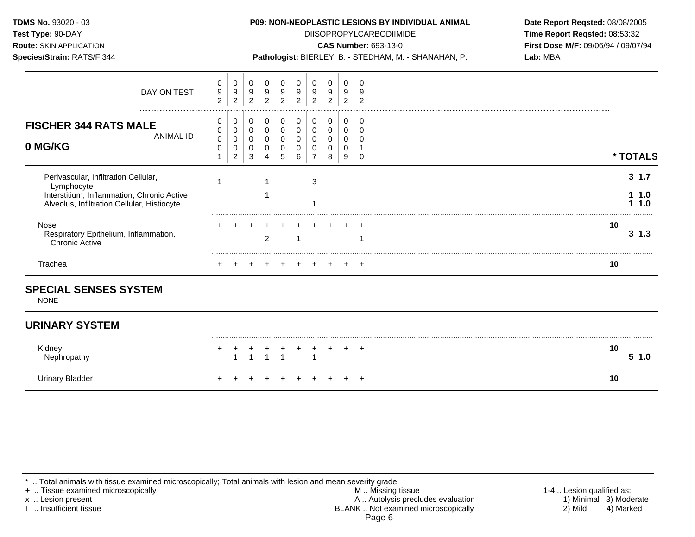**Test Type:** 90-DAY DIISOPROPYLCARBODIIMIDE **Time Report Reqsted:** 08:53:32 **Route:** SKIN APPLICATION **CAS Number:** 693-13-0 **First Dose M/F:** 09/06/94 / 09/07/94

|  | <b>Species/Strain:</b> RATS/F 344 |  |
|--|-----------------------------------|--|

Pathologist: BIERLEY, B. - STEDHAM, M. - SHANAHAN, P. **Lab: MBA** 

| Trachea                                                                                                                                         |                                         |                            |                            |                            |                            |                            |             |                                    |                            | 10               |
|-------------------------------------------------------------------------------------------------------------------------------------------------|-----------------------------------------|----------------------------|----------------------------|----------------------------|----------------------------|----------------------------|-------------|------------------------------------|----------------------------|------------------|
| Nose<br>Respiratory Epithelium, Inflammation,<br><b>Chronic Active</b>                                                                          |                                         |                            |                            | ົ                          |                            |                            |             |                                    |                            | 10<br>31.3       |
| Perivascular, Infiltration Cellular,<br>Lymphocyte<br>Interstitium, Inflammation, Chronic Active<br>Alveolus, Infiltration Cellular, Histiocyte |                                         |                            |                            |                            |                            |                            | 3           |                                    |                            | $3 \t1.7$<br>1.0 |
| <b>FISCHER 344 RATS MALE</b><br>ANIMAL ID<br>0 MG/KG                                                                                            | 0<br>0<br>$\pmb{0}$<br>0                | 0<br>0<br>$\overline{2}$   | 0<br>0<br>3                | 0                          | 0                          | 0<br>0<br>0<br>6           |             | 0<br>0<br>0<br>8                   | 0<br>0<br>0<br>0<br>9      | * TOTALS         |
| DAY ON TEST<br>                                                                                                                                 | 0<br>$\boldsymbol{9}$<br>$\overline{c}$ | 0<br>$\boldsymbol{9}$<br>2 | 0<br>$\boldsymbol{9}$<br>2 | 0<br>$\boldsymbol{9}$<br>◠ | 0<br>$\boldsymbol{9}$<br>⌒ | 0<br>$\boldsymbol{9}$<br>2 | 0<br>9<br>ົ | 0<br>$\mathsf g$<br>$\overline{2}$ | 0<br>$\boldsymbol{9}$<br>2 |                  |

## **SPECIAL SENSES SYSTEM**

NONE

## **URINARY SYSTEM**

| Kidney    | + + + + + + + + + + |  |  |  |  | 10<br>1.0 |
|-----------|---------------------|--|--|--|--|-----------|
| y Bladdeı | + + + + + + + + + + |  |  |  |  | 10        |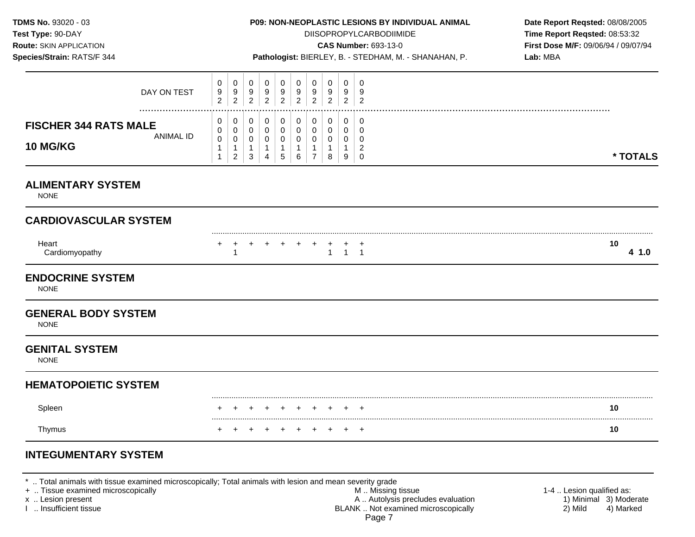**Test Type:** 90-DAY DIISOPROPYLCARBODIIMIDE **Time Report Reqsted:** 08:53:32 **Route:** SKIN APPLICATION **CAS Number:** 693-13-0 **First Dose M/F:** 09/06/94 / 09/07/94

**Species/Strain:** RATS/F 344 **Pathologist:** BIERLEY, B. - STEDHAM, M. - SHANAHAN, P. **Lab:** MBA

| DAY ON TEST                                                         | 0<br>9<br>$\sqrt{2}$                       | 0<br>$9\,$<br>$\boldsymbol{2}$                          | $\mathbf 0$<br>9<br>$\overline{2}$                              | 0<br>9<br>$\boldsymbol{2}$                            | $\mathbf 0$<br>9<br>$\overline{2}$                            | 0<br>9<br>$\overline{2}$ | 0<br>9<br>$\overline{c}$                | 0<br>9<br>$\overline{c}$      | $\mathbf 0$<br>9<br>2                      | 0<br>9<br>$\overline{c}$                                      |            |
|---------------------------------------------------------------------|--------------------------------------------|---------------------------------------------------------|-----------------------------------------------------------------|-------------------------------------------------------|---------------------------------------------------------------|--------------------------|-----------------------------------------|-------------------------------|--------------------------------------------|---------------------------------------------------------------|------------|
| <b>FISCHER 344 RATS MALE</b><br><b>ANIMAL ID</b><br><b>10 MG/KG</b> | 0<br>0<br>$\mathbf 0$<br>1<br>$\mathbf{1}$ | 0<br>$\mathbf 0$<br>0<br>$\mathbf{1}$<br>$\overline{2}$ | 0<br>$\mathbf 0$<br>$\mathbf 0$<br>$\mathbf{1}$<br>$\mathbf{3}$ | 0<br>$\pmb{0}$<br>0<br>$\mathbf{1}$<br>$\overline{4}$ | 0<br>$\mathbf 0$<br>$\mathbf 0$<br>$\mathbf{1}$<br>$\sqrt{5}$ | 0<br>0<br>0<br>-1<br>6   | 0<br>$\mathbf 0$<br>0<br>$\overline{7}$ | 0<br>$\pmb{0}$<br>0<br>1<br>8 | 0<br>$\mathbf 0$<br>0<br>$\mathbf{1}$<br>9 | 0<br>$\mathbf 0$<br>$\mathbf 0$<br>$\overline{c}$<br>$\Omega$ | * TOTALS   |
| <b>ALIMENTARY SYSTEM</b><br><b>NONE</b>                             |                                            |                                                         |                                                                 |                                                       |                                                               |                          |                                         |                               |                                            |                                                               |            |
| <b>CARDIOVASCULAR SYSTEM</b>                                        |                                            |                                                         |                                                                 |                                                       |                                                               |                          |                                         |                               |                                            |                                                               |            |
| Heart<br>Cardiomyopathy                                             | +                                          | $\ddot{}$<br>$\overline{1}$                             | $\ddot{}$                                                       | +                                                     | $^+$                                                          |                          |                                         | +<br>$\mathbf{1}$             | $\mathbf{1}$                               | $\ddot{}$<br>$\overline{1}$                                   | 10<br>41.0 |
| <b>ENDOCRINE SYSTEM</b><br><b>NONE</b>                              |                                            |                                                         |                                                                 |                                                       |                                                               |                          |                                         |                               |                                            |                                                               |            |
| <b>GENERAL BODY SYSTEM</b><br><b>NONE</b>                           |                                            |                                                         |                                                                 |                                                       |                                                               |                          |                                         |                               |                                            |                                                               |            |
| <b>GENITAL SYSTEM</b><br><b>NONE</b>                                |                                            |                                                         |                                                                 |                                                       |                                                               |                          |                                         |                               |                                            |                                                               |            |
| <b>HEMATOPOIETIC SYSTEM</b>                                         |                                            |                                                         |                                                                 |                                                       |                                                               |                          |                                         |                               |                                            |                                                               |            |
| Spleen                                                              |                                            |                                                         |                                                                 |                                                       |                                                               |                          |                                         |                               |                                            |                                                               | 10         |
| Thymus                                                              |                                            |                                                         |                                                                 |                                                       |                                                               |                          |                                         |                               |                                            | $\ddot{}$                                                     | 10         |

#### \* .. Total animals with tissue examined microscopically; Total animals with lesion and mean severity grade

+ .. Tissue examined microscopically M .. Missing tissue 1-4 .. Lesion qualified as: x .. Lesion present 1) Minimal 3) Moderate<br>
1 .. Insufficient tissue 1<br>
2 . Insufficient tissue 1 . Autolysis precludes evaluation 2 . Insufficient tissue 4 . Marked BLANK .. Not examined microscopically Page 7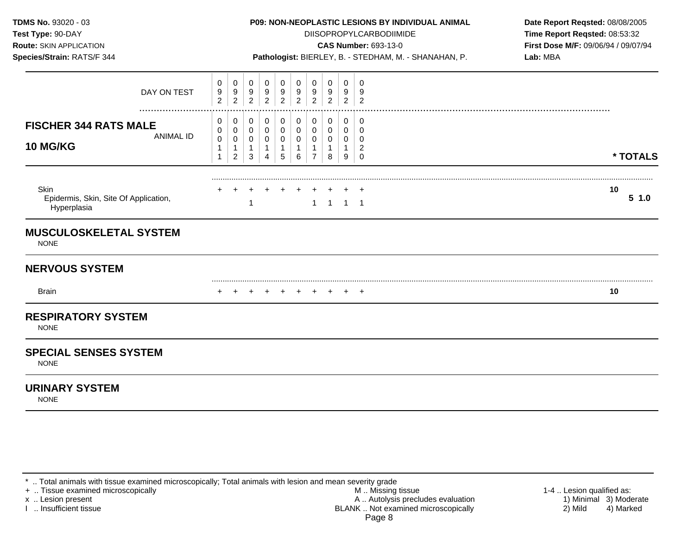| TDMS No. 93020 - 03<br>Test Type: 90-DAY<br>Route: SKIN APPLICATION<br>Species/Strain: RATS/F 344 |                                            |                                              |                                  |                                                         |                                            |                                          |                                                         |                                  | P09: NON-NEOPLASTIC LESIONS BY INDIVIDUAL ANIMAL<br>DIISOPROPYLCARBODIIMIDE<br><b>CAS Number: 693-13-0</b><br>Pathologist: BIERLEY, B. - STEDHAM, M. - SHANAHAN, P. | Date Report Reqsted: 08/08/2005<br>Time Report Reqsted: 08:53:32<br>First Dose M/F: 09/06/94 / 09/07/94<br>Lab: MBA |  |    |          |
|---------------------------------------------------------------------------------------------------|--------------------------------------------|----------------------------------------------|----------------------------------|---------------------------------------------------------|--------------------------------------------|------------------------------------------|---------------------------------------------------------|----------------------------------|---------------------------------------------------------------------------------------------------------------------------------------------------------------------|---------------------------------------------------------------------------------------------------------------------|--|----|----------|
| DAY ON TEST<br>                                                                                   | 0<br>9<br>$\overline{c}$                   | 0<br>9<br>$\overline{2}$                     | 0<br>9<br>$\overline{2}$         | 0<br>9<br>$\overline{2}$                                | 0<br>9<br>$\overline{2}$                   | 0<br>9<br>$\overline{2}$                 | 0<br>9<br>$\overline{2}$                                | 0<br>9<br>$\overline{2}$         | 0<br>9<br>$\overline{2}$                                                                                                                                            | $\mathbf 0$<br>9<br>$\overline{2}$                                                                                  |  |    |          |
| <b>FISCHER 344 RATS MALE</b><br><b>ANIMAL ID</b><br><b>10 MG/KG</b>                               | 0<br>0<br>$\mathbf 0$<br>$\mathbf{1}$<br>1 | 0<br>0<br>$\mathbf 0$<br>1<br>$\overline{c}$ | 0<br>0<br>0<br>$\mathbf{1}$<br>3 | 0<br>0<br>$\mathbf 0$<br>$\mathbf{1}$<br>$\overline{4}$ | 0<br>0<br>$\mathbf 0$<br>$\mathbf{1}$<br>5 | 0<br>$\pmb{0}$<br>0<br>$\mathbf{1}$<br>6 | 0<br>0<br>$\mathbf 0$<br>$\mathbf{1}$<br>$\overline{7}$ | 0<br>0<br>0<br>$\mathbf{1}$<br>8 | 0<br>0<br>0<br>$\mathbf{1}$<br>9                                                                                                                                    | 0<br>$\mathbf 0$<br>$\Omega$<br>$\overline{c}$<br>$\mathbf 0$                                                       |  |    | * TOTALS |
| Skin<br>Epidermis, Skin, Site Of Application,<br>Hyperplasia                                      |                                            |                                              |                                  |                                                         |                                            |                                          | $\mathbf{1}$                                            | $\mathbf{1}$                     | $1 \quad 1$                                                                                                                                                         |                                                                                                                     |  | 10 | 51.0     |
| <b>MUSCULOSKELETAL SYSTEM</b><br><b>NONE</b>                                                      |                                            |                                              |                                  |                                                         |                                            |                                          |                                                         |                                  |                                                                                                                                                                     |                                                                                                                     |  |    |          |
| <b>NERVOUS SYSTEM</b>                                                                             |                                            |                                              |                                  |                                                         |                                            |                                          |                                                         |                                  |                                                                                                                                                                     |                                                                                                                     |  |    |          |
| <b>Brain</b>                                                                                      |                                            |                                              |                                  |                                                         | $+$                                        |                                          |                                                         | + + +                            |                                                                                                                                                                     | $+$ $+$                                                                                                             |  | 10 |          |
| <b>RESPIRATORY SYSTEM</b><br><b>NONE</b>                                                          |                                            |                                              |                                  |                                                         |                                            |                                          |                                                         |                                  |                                                                                                                                                                     |                                                                                                                     |  |    |          |
| <b>SPECIAL SENSES SYSTEM</b><br><b>NONE</b>                                                       |                                            |                                              |                                  |                                                         |                                            |                                          |                                                         |                                  |                                                                                                                                                                     |                                                                                                                     |  |    |          |
| <b>URINARY SYSTEM</b><br><b>NONE</b>                                                              |                                            |                                              |                                  |                                                         |                                            |                                          |                                                         |                                  |                                                                                                                                                                     |                                                                                                                     |  |    |          |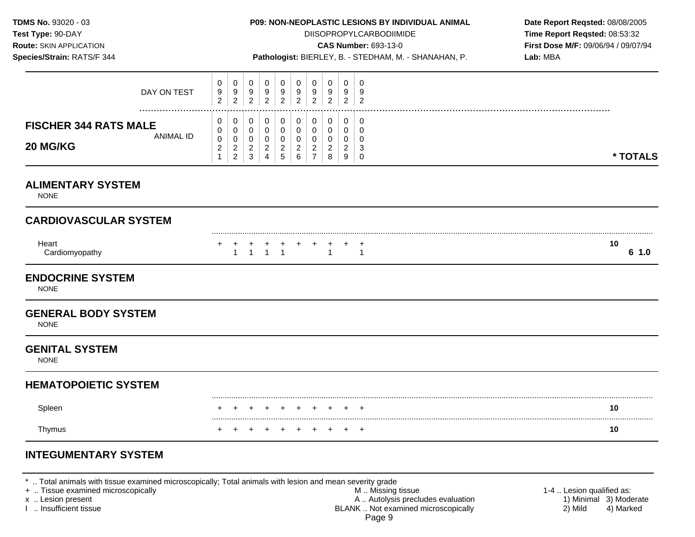**Test Type:**  $90-DAY$  **DIISOPROPYLCARBODIIMIDE <b>Time Report Reqsted:** 08:53:32 **Route:** SKIN APPLICATION **CAS Number:** 693-13-0 **First Dose M/F:** 09/06/94 / 09/07/94

|  | <b>Species/Strain:</b> RATS/F 344 |  |
|--|-----------------------------------|--|

**Species/Strain:** RATS/F 344 **Pathologist:** BIERLEY, B. - STEDHAM, M. - SHANAHAN, P. **Lab:** MBA

| DAY ON TEST<br>                                              | 0<br>9<br>$\overline{2}$            | 0<br>9<br>$\overline{c}$         | 0<br>$9\,$<br>$\overline{a}$ | 0<br>9<br>$\overline{2}$              | 0<br>9<br>$\overline{c}$              | 0<br>$9\,$<br>$\overline{2}$            | 0<br>9<br>2                                  | 0<br>9<br>$\overline{2}$ | 0<br>9<br>$\overline{2}$ | 0<br>9<br>$\overline{2}$       |  |            |
|--------------------------------------------------------------|-------------------------------------|----------------------------------|------------------------------|---------------------------------------|---------------------------------------|-----------------------------------------|----------------------------------------------|--------------------------|--------------------------|--------------------------------|--|------------|
| <b>FISCHER 344 RATS MALE</b><br><b>ANIMAL ID</b><br>20 MG/KG | 0<br>0<br>$\mathbf 0$<br>$\sqrt{2}$ | 0<br>$\pmb{0}$<br>0              | 0<br>$\pmb{0}$<br>$\pmb{0}$  | 0<br>$\mathbf 0$<br>$\mathbf 0$       | 0<br>$\mathbf 0$<br>$\mathbf 0$       | $\pmb{0}$<br>$\mathbf 0$<br>$\mathbf 0$ | 0<br>$\pmb{0}$<br>$\Omega$<br>$\overline{c}$ | 0<br>0<br>$\mathbf 0$    | 0<br>0<br>$\mathbf 0$    | 0<br>0<br>$\Omega$<br>3        |  |            |
|                                                              | $\mathbf{1}$                        | $\overline{c}$<br>$\overline{2}$ | $\overline{c}$<br>$\sqrt{3}$ | $\overline{c}$<br>4                   | $\overline{c}$<br>$\overline{5}$      | $\overline{c}$<br>6                     | $\overline{7}$                               | $\overline{c}$<br>8      | $\overline{c}$<br>9      | $\Omega$                       |  | * TOTALS   |
| <b>ALIMENTARY SYSTEM</b><br><b>NONE</b>                      |                                     |                                  |                              |                                       |                                       |                                         |                                              |                          |                          |                                |  |            |
| <b>CARDIOVASCULAR SYSTEM</b>                                 |                                     |                                  |                              |                                       |                                       |                                         |                                              |                          |                          |                                |  |            |
| Heart<br>Cardiomyopathy                                      | +                                   | $\mathbf{1}$                     | $\mathbf{1}$                 | $\begin{array}{c} + \\ 1 \end{array}$ | $\begin{array}{c} + \\ 1 \end{array}$ |                                         |                                              | $\overline{1}$           |                          | $\overline{1}$<br>$\mathbf{1}$ |  | 10<br>61.0 |
| <b>ENDOCRINE SYSTEM</b><br><b>NONE</b>                       |                                     |                                  |                              |                                       |                                       |                                         |                                              |                          |                          |                                |  |            |
| <b>GENERAL BODY SYSTEM</b><br><b>NONE</b>                    |                                     |                                  |                              |                                       |                                       |                                         |                                              |                          |                          |                                |  |            |
| <b>GENITAL SYSTEM</b><br><b>NONE</b>                         |                                     |                                  |                              |                                       |                                       |                                         |                                              |                          |                          |                                |  |            |
| <b>HEMATOPOIETIC SYSTEM</b>                                  |                                     |                                  |                              |                                       |                                       |                                         |                                              |                          |                          |                                |  |            |
| Spleen                                                       |                                     |                                  |                              |                                       |                                       |                                         |                                              |                          |                          |                                |  | 10         |
| Thymus                                                       |                                     |                                  |                              |                                       |                                       |                                         |                                              |                          |                          | $\div$                         |  | 10         |

# **INTEGUMENTARY SYSTEM**

\* .. Total animals with tissue examined microscopically; Total animals with lesion and mean severity grade

+ .. Tissue examined microscopically M .. Missing tissue 1-4 .. Lesion qualified as: x .. Lesion present 1) Minimal 3) Moderate<br>
1 .. Insufficient tissue 1<br>
2 . Insufficient tissue 1 . Autolysis precludes evaluation 2 . Insufficient tissue 4 . Marked BLANK .. Not examined microscopically Page 9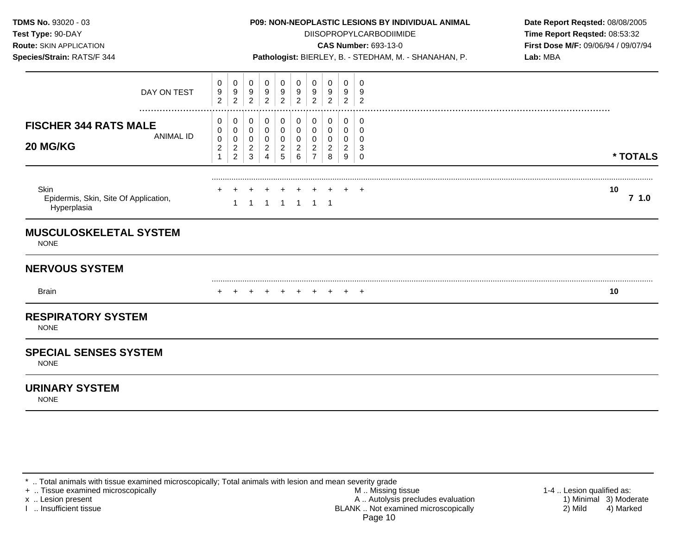| TDMS No. 93020 - 03<br>Test Type: 90-DAY<br>Route: SKIN APPLICATION<br>Species/Strain: RATS/F 344 |                                                       |                                                 |                                              |                                                         |                                                            |                                                         |                                             | P09: NON-NEOPLASTIC LESIONS BY INDIVIDUAL ANIMAL<br><b>DIISOPROPYLCARBODIIMIDE</b><br><b>CAS Number: 693-13-0</b><br>Pathologist: BIERLEY, B. - STEDHAM, M. - SHANAHAN, P. | Date Report Reqsted: 08/08/2005<br>Time Report Reqsted: 08:53:32<br>First Dose M/F: 09/06/94 / 09/07/94<br>Lab: MBA |                                               |  |            |
|---------------------------------------------------------------------------------------------------|-------------------------------------------------------|-------------------------------------------------|----------------------------------------------|---------------------------------------------------------|------------------------------------------------------------|---------------------------------------------------------|---------------------------------------------|----------------------------------------------------------------------------------------------------------------------------------------------------------------------------|---------------------------------------------------------------------------------------------------------------------|-----------------------------------------------|--|------------|
| DAY ON TEST                                                                                       | 0<br>9<br>$\overline{2}$                              | 0<br>$\frac{9}{2}$                              | 0<br>$\frac{9}{2}$                           | 0<br>9<br>$\overline{2}$                                | 0<br>9<br>$\overline{2}$                                   | 0<br>$\frac{9}{2}$                                      | 0<br>$\frac{9}{2}$                          | 0<br>9<br>$\overline{2}$                                                                                                                                                   | 0<br>9<br>$\overline{2}$                                                                                            | 0<br>9<br>$\overline{2}$                      |  |            |
| <b>FISCHER 344 RATS MALE</b><br><b>ANIMAL ID</b><br>20 MG/KG                                      | 0<br>0<br>$\pmb{0}$<br>$\overline{c}$<br>$\mathbf{1}$ | 0<br>0<br>0<br>$\overline{c}$<br>$\overline{2}$ | 0<br>0<br>$\mathbf 0$<br>$\overline{c}$<br>3 | 0<br>0<br>$\pmb{0}$<br>$\overline{c}$<br>$\overline{4}$ | 0<br>0<br>$\mathbf 0$<br>$\overline{a}$<br>$5\phantom{.0}$ | 0<br>$\pmb{0}$<br>$\overline{0}$<br>$\overline{c}$<br>6 | 0<br>0<br>0<br>$\sqrt{2}$<br>$\overline{7}$ | 0<br>$\mathbf 0$<br>$\mathbf 0$<br>$\overline{c}$<br>8                                                                                                                     | 0<br>0<br>0<br>$\overline{2}$<br>9                                                                                  | 0<br>$\Omega$<br>$\Omega$<br>3<br>$\mathbf 0$ |  | * TOTALS   |
| Skin<br>Epidermis, Skin, Site Of Application,<br>Hyperplasia                                      |                                                       |                                                 | -1                                           |                                                         | 1 1 1 1 1                                                  |                                                         |                                             |                                                                                                                                                                            |                                                                                                                     |                                               |  | 10<br>71.0 |
| <b>MUSCULOSKELETAL SYSTEM</b><br><b>NONE</b>                                                      |                                                       |                                                 |                                              |                                                         |                                                            |                                                         |                                             |                                                                                                                                                                            |                                                                                                                     |                                               |  |            |
| <b>NERVOUS SYSTEM</b>                                                                             |                                                       |                                                 |                                              |                                                         |                                                            |                                                         |                                             |                                                                                                                                                                            |                                                                                                                     |                                               |  |            |
| <b>Brain</b>                                                                                      |                                                       |                                                 |                                              | $+$                                                     | $+$                                                        | $+$                                                     | $+$                                         | $+$                                                                                                                                                                        |                                                                                                                     | $+$ $+$                                       |  | 10         |
| <b>RESPIRATORY SYSTEM</b><br><b>NONE</b>                                                          |                                                       |                                                 |                                              |                                                         |                                                            |                                                         |                                             |                                                                                                                                                                            |                                                                                                                     |                                               |  |            |
| <b>SPECIAL SENSES SYSTEM</b><br><b>NONE</b>                                                       |                                                       |                                                 |                                              |                                                         |                                                            |                                                         |                                             |                                                                                                                                                                            |                                                                                                                     |                                               |  |            |
| <b>URINARY SYSTEM</b><br><b>NONE</b>                                                              |                                                       |                                                 |                                              |                                                         |                                                            |                                                         |                                             |                                                                                                                                                                            |                                                                                                                     |                                               |  |            |

<sup>\* ..</sup> Total animals with tissue examined microscopically; Total animals with lesion and mean severity grade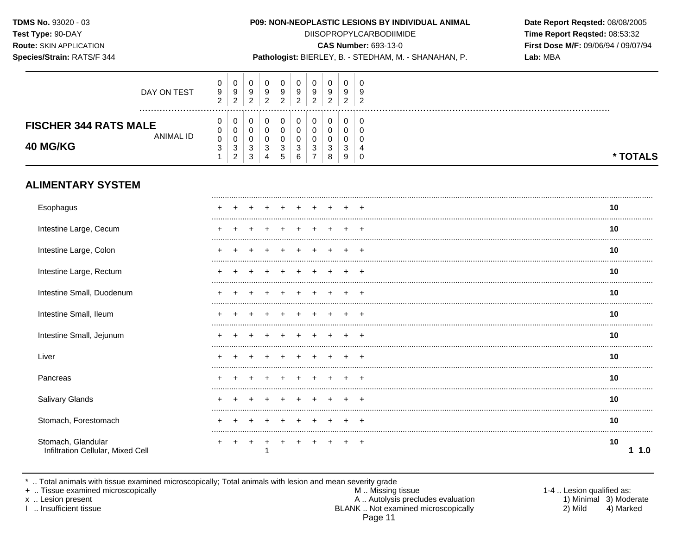Species/Strain: RATS/F 344

## P09: NON-NEOPLASTIC LESIONS BY INDIVIDUAL ANIMAL

**DIISOPROPYLCARBODIIMIDE** 

**CAS Number: 693-13-0** 

Pathologist: BIERLEY, B. - STEDHAM, M. - SHANAHAN, P.

Date Report Reqsted: 08/08/2005 Time Report Reqsted: 08:53:32 First Dose M/F: 09/06/94 / 09/07/94 Lab: MBA

| <b>ALIMENTARY SYSTEM</b>                        |               |                          |                          |                           |                       |             |                       |                                              |                       |                  |        |          |
|-------------------------------------------------|---------------|--------------------------|--------------------------|---------------------------|-----------------------|-------------|-----------------------|----------------------------------------------|-----------------------|------------------|--------|----------|
| <b>FISCHER 344 RATS MALE</b><br><b>40 MG/KG</b> | <br>ANIMAL ID | U<br>0<br>0<br>3         | U<br>0<br>0<br>3<br>2    | 3<br>3                    | 0<br>0<br>0<br>3<br>4 | 3<br>5      | 0<br>0<br>0<br>3<br>6 | 0<br>0<br>0<br>2<br>$\overline{\phantom{a}}$ | 0<br>⌒<br>U<br>3<br>8 | 0<br>ົ<br>Ñ<br>9 | 0      | * TOTALS |
|                                                 | DAY ON TEST   | U<br>9<br>$\overline{2}$ | 0<br>9<br>$\overline{2}$ | 0<br>9<br>ົ<br>$\epsilon$ | 0<br>9<br>2           | 0<br>9<br>2 | 0<br>9<br>ົ<br>∼      | 0<br>9<br>ົ<br><u>_</u>                      | 0<br>9<br>2           | 0<br>9<br>ົ<br>∼ | ົ<br>∠ |          |

| Esophagus                                               |  |  |       |       |       |  | 10        |
|---------------------------------------------------------|--|--|-------|-------|-------|--|-----------|
| Intestine Large, Cecum                                  |  |  |       |       |       |  | 10        |
| Intestine Large, Colon                                  |  |  |       |       |       |  | 10        |
| Intestine Large, Rectum                                 |  |  |       |       |       |  | 10        |
| Intestine Small, Duodenum                               |  |  |       |       |       |  | 10        |
| Intestine Small, Ileum                                  |  |  |       |       |       |  | 10        |
| Intestine Small, Jejunum                                |  |  |       |       |       |  | 10        |
| Liver                                                   |  |  |       |       |       |  | 10        |
| Pancreas                                                |  |  |       |       |       |  | 10        |
| <b>Salivary Glands</b>                                  |  |  |       |       |       |  | 10        |
| Stomach, Forestomach                                    |  |  |       |       |       |  | 10        |
| Stomach, Glandular<br>Infiltration Cellular, Mixed Cell |  |  | $\pm$ | $\pm$ | $\pm$ |  | 10<br>1.0 |

\* .. Total animals with tissue examined microscopically; Total animals with lesion and mean severity grade<br>+ .. Tissue examined microscopically

x .. Lesion present

I .. Insufficient tissue

M .. Missing tissue A .. Autolysis precludes evaluation BLANK .. Not examined microscopically Page 11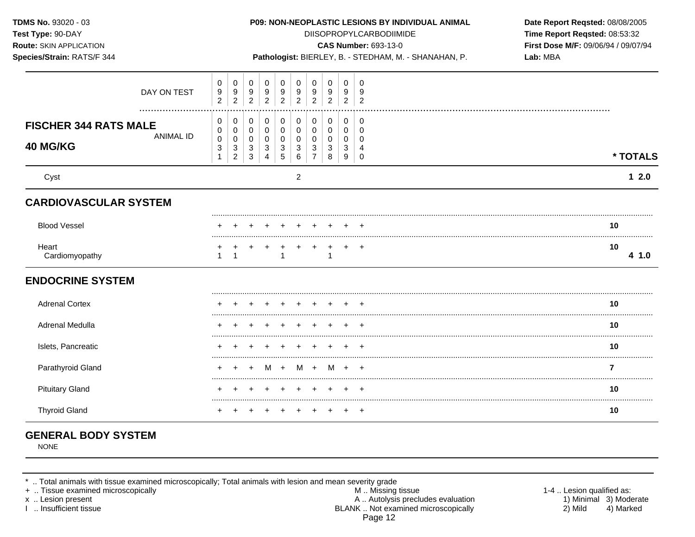| TDMS No. 93020 - 03<br>Test Type: 90-DAY<br>Route: SKIN APPLICATION<br>Species/Strain: RATS/F 344 |                                                                                  |                                    |                                              |                                 |                                        |                                              | <b>DIISOPROPYLCARBODIIMIDE</b><br>CAS Number: 693-13-0 | P09: NON-NEOPLASTIC LESIONS BY INDIVIDUAL ANIMAL<br>Pathologist: BIERLEY, B. - STEDHAM, M. - SHANAHAN, P. | Date Report Reqsted: 08/08/2005<br>Time Report Reqsted: 08:53:32<br>First Dose M/F: 09/06/94 / 09/07/94<br>Lab: MBA |  |                |
|---------------------------------------------------------------------------------------------------|----------------------------------------------------------------------------------|------------------------------------|----------------------------------------------|---------------------------------|----------------------------------------|----------------------------------------------|--------------------------------------------------------|-----------------------------------------------------------------------------------------------------------|---------------------------------------------------------------------------------------------------------------------|--|----------------|
| DAY ON TEST                                                                                       | $\mathbf 0$<br>0<br>9<br>9<br>$\overline{c}$<br>$\overline{2}$                   | $\mathbf 0$<br>9<br>$\overline{2}$ | 0<br>9<br>$\overline{2}$                     | 0<br>9<br>$\overline{c}$        | 0<br>9<br>$\overline{2}$               | $\mathbf 0$<br>9<br>$\overline{a}$           | $\mathbf 0$<br>9<br>$\overline{2}$                     | $\mathbf 0$<br>9<br>$\overline{2}$                                                                        | $\mathbf 0$<br>-9<br>$\overline{2}$                                                                                 |  |                |
| <b>FISCHER 344 RATS MALE</b><br><b>ANIMAL ID</b><br>40 MG/KG                                      | 0<br>0<br>$\mathbf 0$<br>0<br>0<br>0<br>3<br>3<br>$\mathbf{1}$<br>$\overline{2}$ | 0<br>$\mathbf 0$<br>0<br>3<br>3    | 0<br>$\mathbf 0$<br>0<br>3<br>$\overline{4}$ | 0<br>$\mathbf 0$<br>0<br>3<br>5 | 0<br>0<br>$\pmb{0}$<br>$\sqrt{3}$<br>6 | 0<br>$\mathbf 0$<br>0<br>3<br>$\overline{7}$ | 0<br>$\mathbf 0$<br>0<br>3<br>8                        | 0<br>0<br>0<br>3<br>9                                                                                     | 0<br>$\Omega$<br>0<br>$\overline{4}$<br>$\mathbf 0$                                                                 |  | * TOTALS       |
| Cyst                                                                                              |                                                                                  |                                    |                                              |                                 | $\overline{c}$                         |                                              |                                                        |                                                                                                           |                                                                                                                     |  | $12.0$         |
| <b>CARDIOVASCULAR SYSTEM</b>                                                                      |                                                                                  |                                    |                                              |                                 |                                        |                                              |                                                        |                                                                                                           |                                                                                                                     |  |                |
| <b>Blood Vessel</b>                                                                               |                                                                                  |                                    |                                              |                                 |                                        |                                              |                                                        |                                                                                                           |                                                                                                                     |  | 10             |
| Heart<br>Cardiomyopathy                                                                           | 1                                                                                |                                    |                                              | 1                               | $\ddot{}$                              | $+$                                          | $\ddot{}$<br>$\mathbf 1$                               | $+$ $+$                                                                                                   |                                                                                                                     |  | 10<br>4 1.0    |
| <b>ENDOCRINE SYSTEM</b>                                                                           |                                                                                  |                                    |                                              |                                 |                                        |                                              |                                                        |                                                                                                           |                                                                                                                     |  |                |
| <b>Adrenal Cortex</b>                                                                             |                                                                                  |                                    |                                              |                                 |                                        |                                              |                                                        |                                                                                                           |                                                                                                                     |  | 10             |
| Adrenal Medulla                                                                                   |                                                                                  |                                    |                                              |                                 |                                        |                                              |                                                        |                                                                                                           |                                                                                                                     |  | 10             |
| Islets, Pancreatic                                                                                |                                                                                  |                                    |                                              |                                 |                                        |                                              |                                                        |                                                                                                           |                                                                                                                     |  | 10             |
| Parathyroid Gland                                                                                 |                                                                                  |                                    |                                              | M +                             | M +                                    |                                              | M                                                      | $+$                                                                                                       | $+$                                                                                                                 |  | $\overline{7}$ |
| <b>Pituitary Gland</b>                                                                            |                                                                                  |                                    |                                              |                                 |                                        |                                              |                                                        | $\pm$                                                                                                     | $\overline{ }$                                                                                                      |  | 10             |
| <b>Thyroid Gland</b>                                                                              |                                                                                  |                                    |                                              |                                 |                                        |                                              |                                                        |                                                                                                           | $+$                                                                                                                 |  | 10             |

# **GENERAL BODY SYSTEM**

NONE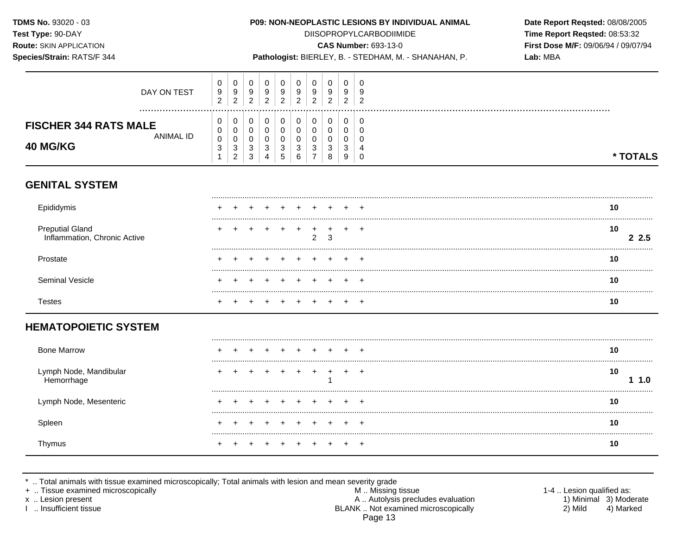Species/Strain: RATS/F 344

## P09: NON-NEOPLASTIC LESIONS BY INDIVIDUAL ANIMAL

**DIISOPROPYLCARBODIIMIDE** 

**CAS Number: 693-13-0** 

Pathologist: BIERLEY, B. - STEDHAM, M. - SHANAHAN, P.

Date Report Reqsted: 08/08/2005 Time Report Reqsted: 08:53:32 First Dose M/F: 09/06/94 / 09/07/94 Lab: MBA

|                              |                | 2            | $\sim$<br>ۍ     | 4      | 5      | 6             | –        | 8             | 9           | 0      | * TOTALS |
|------------------------------|----------------|--------------|-----------------|--------|--------|---------------|----------|---------------|-------------|--------|----------|
| <b>40 MG/KG</b>              | υ<br>⌒<br>د    | υ<br>ົ<br>J. | $\sim$<br>۰J    | 3      | 3      | 3             | ົ<br>◡   | 2             | U<br>◠<br>P |        |          |
| ANIMAL ID                    | υ<br>⌒         |              |                 | 0      |        |               |          |               | υ           | u      |          |
| <b>FISCHER 344 RATS MALE</b> |                | 0            |                 | 0      |        |               | 0        | ∩             |             |        |          |
|                              | υ              | 0            |                 | 0      |        |               | 0        | ∩             | 0           | 0      |          |
|                              | $\overline{2}$ | ົ<br>∠       | ົ<br>$\epsilon$ | ົ<br>∼ | ົ<br>∸ | ົ<br><u>_</u> | <u>_</u> | ົ<br><u>_</u> | ົ<br>_      | ົ<br>∼ |          |
| DAY ON TEST                  | 9              | 9            | 9               | 9      | 9      | 9             | 9<br>ົ   | 9             | 9           | g      |          |
|                              | U              | 0            | 0               | 0      |        |               | 0        | 0             | 0           | 0      |          |

## **GENITAL SYSTEM**

| Epididymis                                      |  |  |  |           |  | 10         |
|-------------------------------------------------|--|--|--|-----------|--|------------|
| Preputial Gland<br>Inflammation, Chronic Active |  |  |  |           |  | 10<br>-2.5 |
| Prostate                                        |  |  |  | + + + + + |  |            |
| Seminal Vesicle                                 |  |  |  |           |  | 10         |
| l estes                                         |  |  |  |           |  |            |

## **HEMATOPOIETIC SYSTEM**

| <b>Bone Marrow</b>                 |  |  |  |                 |  | 10 |  |
|------------------------------------|--|--|--|-----------------|--|----|--|
| Lymph Node, Mandibular<br>morrhaɑe |  |  |  | $+$ $+$ $+$ $+$ |  | 10 |  |
| Lymph Node, Mesenteric             |  |  |  |                 |  | 10 |  |
| Spleen                             |  |  |  |                 |  | 10 |  |
| l hvmus                            |  |  |  |                 |  | ιU |  |

\* .. Total animals with tissue examined microscopically; Total animals with lesion and mean severity grade<br>+ .. Tissue examined microscopically

x .. Lesion present

I .. Insufficient tissue

M .. Missing tissue A .. Autolysis precludes evaluation BLANK .. Not examined microscopically Page 13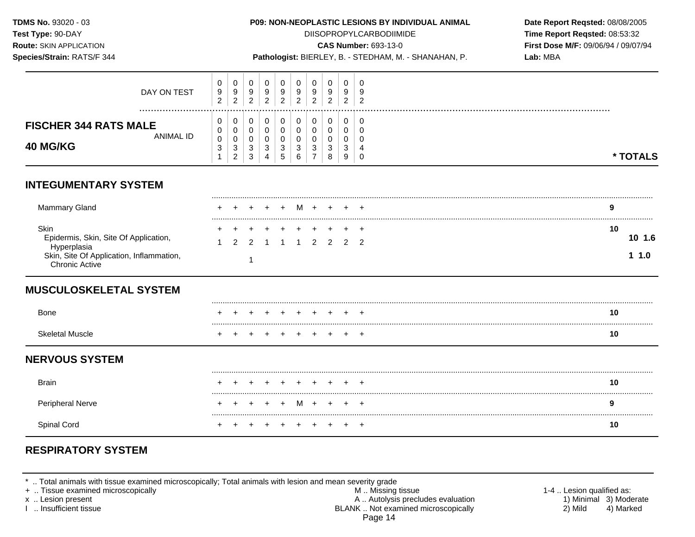**Test Type:** 90-DAY DIISOPROPYLCARBODIIMIDE **Time Report Reqsted:** 08:53:32 **Route:** SKIN APPLICATION **CAS Number:** 693-13-0 **First Dose M/F:** 09/06/94 / 09/07/94

**Species/Strain:** RATS/F 344 **Pathologist:** BIERLEY, B. - STEDHAM, M. - SHANAHAN, P. **Lab:** MBA

| DAY ON TEST                                                                                                                | $\,0\,$<br>9<br>$\overline{c}$                     | 0<br>$9\,$<br>$\overline{2}$ | 0<br>9<br>$\overline{2}$                                     | 0<br>9<br>$\overline{c}$   | 0<br>9<br>2      | 0<br>9<br>$\overline{2}$ | 0<br>9<br>$\overline{2}$   | 0<br>9<br>$\overline{c}$ | 0<br>9<br>$\overline{2}$ | $\Omega$<br>9<br>$\overline{2}$ |                      |
|----------------------------------------------------------------------------------------------------------------------------|----------------------------------------------------|------------------------------|--------------------------------------------------------------|----------------------------|------------------|--------------------------|----------------------------|--------------------------|--------------------------|---------------------------------|----------------------|
| <b>FISCHER 344 RATS MALE</b><br><b>ANIMAL ID</b><br><b>40 MG/KG</b>                                                        | 0<br>0<br>$\mathbf 0$<br>$\ensuremath{\mathsf{3}}$ | 0<br>0<br>$\pmb{0}$<br>3     | 0<br>$\mathbf 0$<br>$\mathbf 0$<br>$\ensuremath{\mathsf{3}}$ | $\mathbf 0$<br>0<br>0<br>3 | 0<br>0<br>0<br>3 | 0<br>0<br>0<br>3         | 0<br>$\mathbf 0$<br>0<br>3 | 0<br>0<br>0<br>3         | 0<br>0<br>0<br>3         | 0<br>$\Omega$<br>$\Omega$       |                      |
| <b>INTEGUMENTARY SYSTEM</b>                                                                                                |                                                    | $\overline{c}$               | 3                                                            | 4                          | 5                | 6                        | $\overline{7}$             | $\,8\,$                  | 9                        | $\Omega$                        | * TOTALS             |
| Mammary Gland                                                                                                              |                                                    |                              |                                                              |                            |                  |                          |                            |                          |                          |                                 | 9                    |
| Skin<br>Epidermis, Skin, Site Of Application,<br>Hyperplasia<br>Skin, Site Of Application, Inflammation,<br>Chronic Active |                                                    | 2                            | $\mathfrak{p}$<br>-1                                         |                            |                  |                          | 2                          | $\mathcal{P}$            | $\mathcal{P}$            | $\mathcal{P}$                   | 10<br>10 1.6<br>11.0 |
| <b>MUSCULOSKELETAL SYSTEM</b>                                                                                              |                                                    |                              |                                                              |                            |                  |                          |                            |                          |                          |                                 |                      |
| <b>Bone</b>                                                                                                                |                                                    |                              |                                                              |                            |                  |                          |                            |                          |                          |                                 | 10                   |
| <b>Skeletal Muscle</b>                                                                                                     |                                                    |                              |                                                              |                            |                  |                          |                            |                          |                          |                                 | 10                   |
| <b>NERVOUS SYSTEM</b>                                                                                                      |                                                    |                              |                                                              |                            |                  |                          |                            |                          |                          |                                 |                      |
| <b>Brain</b>                                                                                                               |                                                    |                              |                                                              |                            |                  |                          |                            |                          |                          |                                 | 10                   |
| <b>Peripheral Nerve</b>                                                                                                    |                                                    |                              |                                                              |                            |                  | M                        | ÷                          | $\overline{ }$           | ÷                        |                                 | 9                    |
| Spinal Cord                                                                                                                |                                                    |                              |                                                              |                            |                  |                          |                            |                          |                          |                                 | 10                   |

# **RESPIRATORY SYSTEM**

\* .. Total animals with tissue examined microscopically; Total animals with lesion and mean severity grade

+ .. Tissue examined microscopically M .. Missing tissue 1-4 .. Lesion qualified as: x .. Lesion present A .. Autolysis precludes evaluation 1) Minimal 3) Moderate<br>I .. Insufficient tissue BLANK .. Not examined microscopically 2) M BLANK .. Not examined microscopically Page 14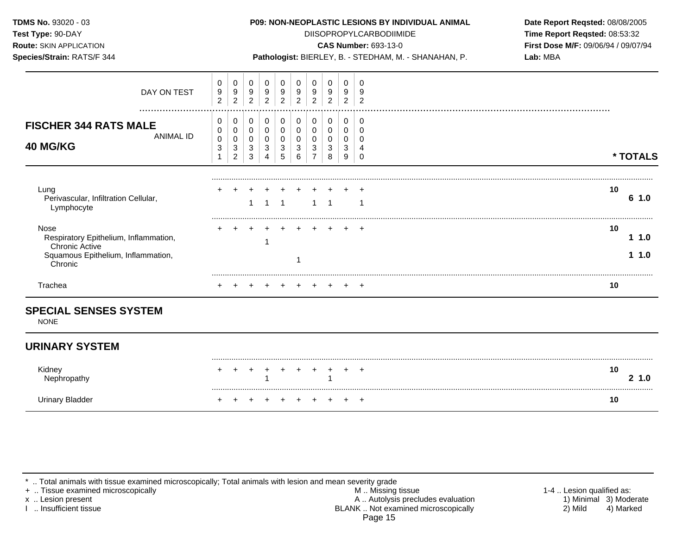| <b>TDMS No. 93020 - 03</b><br>Test Type: 90-DAY<br><b>Route: SKIN APPLICATION</b><br>Species/Strain: RATS/F 344         |                            |                          |                          |                       |                     |                       |                                            |                       |                       | <b>P09: NON-NEOPLASTIC LESIONS BY INDIVIDUAL ANIMAL</b><br><b>DIISOPROPYLCARBODIIMIDE</b><br><b>CAS Number: 693-13-0</b><br>Pathologist: BIERLEY, B. - STEDHAM, M. - SHANAHAN, P. | Date Report Reqsted: 08/08/2005<br>Time Report Reqsted: 08:53:32<br>First Dose M/F: 09/06/94 / 09/07/94<br>Lab: MBA |
|-------------------------------------------------------------------------------------------------------------------------|----------------------------|--------------------------|--------------------------|-----------------------|---------------------|-----------------------|--------------------------------------------|-----------------------|-----------------------|-----------------------------------------------------------------------------------------------------------------------------------------------------------------------------------|---------------------------------------------------------------------------------------------------------------------|
| DAY ON TEST<br>                                                                                                         | 0<br>9<br>$\overline{2}$   | 0<br>9<br>$\overline{c}$ | 0<br>9<br>$\overline{c}$ | 0<br>9<br>2           | 9<br>$\overline{2}$ | 0<br>9<br>2           | 0<br>9<br>2                                | $\Omega$<br>9<br>2    | 0<br>9<br>2           | $\overline{2}$                                                                                                                                                                    |                                                                                                                     |
| <b>FISCHER 344 RATS MALE</b><br><b>ANIMAL ID</b><br><b>40 MG/KG</b>                                                     | 0<br>0<br>0<br>0<br>0<br>3 | 0<br>3<br>2              | 0<br>0<br>0<br>3<br>3    | 0<br>0<br>0<br>3<br>4 | 0<br>0<br>3<br>5    | 0<br>0<br>0<br>3<br>6 | $\pmb{0}$<br>0<br>0<br>3<br>$\overline{7}$ | 0<br>0<br>0<br>3<br>8 | 0<br>0<br>0<br>3<br>9 |                                                                                                                                                                                   | * TOTALS                                                                                                            |
| Lung<br>Perivascular, Infiltration Cellular,<br>Lymphocyte                                                              |                            |                          |                          |                       |                     |                       |                                            |                       |                       |                                                                                                                                                                                   | 10<br>6 1.0                                                                                                         |
| Nose<br>Respiratory Epithelium, Inflammation,<br><b>Chronic Active</b><br>Squamous Epithelium, Inflammation,<br>Chronic |                            |                          |                          |                       | $+$                 | $+$                   | $+$                                        |                       |                       | $\div$                                                                                                                                                                            | 10<br>1.0<br>11.0                                                                                                   |
| Trachea                                                                                                                 |                            |                          |                          |                       |                     |                       |                                            |                       |                       |                                                                                                                                                                                   | 10                                                                                                                  |

## **SPECIAL SENSES SYSTEM**

NONE

## **URINARY SYSTEM**

| Kidney<br>Nephropathy | + + + + + + + + + + |  |  |  |                     | 10<br>1.0 |
|-----------------------|---------------------|--|--|--|---------------------|-----------|
|                       |                     |  |  |  | + + + + + + + + + + | 10        |

\* .. Total animals with tissue examined microscopically; Total animals with lesion and mean severity grade

+ .. Tissue examined microscopically M .. Missing tissue 1-4 .. Lesion qualified as: x .. Lesion present 1) Minimal 3) Moderate A .. Autor A .. Autor A .. Autor A .. Autor A .. Autor A .. Autor A .. Autor A .. Autor A .. Autor A .. Autor A .. Autor A .. Autor A .. Autor A .. Autor A .. Autor A .. Autor A . I .. Insufficient tissue BLANK .. Not examined microscopically 2) Mild 4) Marked Page 15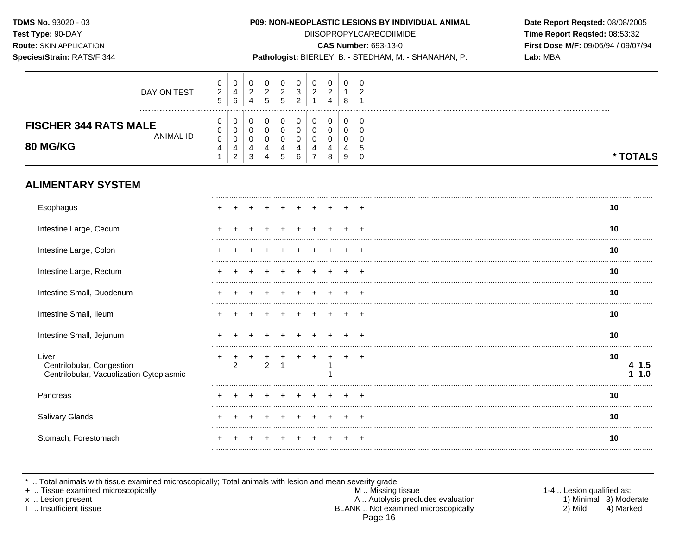Species/Strain: RATS/F 344

### P09: NON-NEOPLASTIC LESIONS BY INDIVIDUAL ANIMAL

**DIISOPROPYLCARBODIIMIDE** 

**CAS Number: 693-13-0** 

Pathologist: BIERLEY, B. - STEDHAM, M. - SHANAHAN, P.

Date Report Reqsted: 08/08/2005 Time Report Reqsted: 08:53:32 First Dose M/F: 09/06/94 / 09/07/94 Lab: MBA

| DAY ON TEST                                                      | 0<br>$\overline{2}$<br>5 | υ<br>$\overline{4}$<br>6 | 0<br>$\overline{c}$ | 0<br>$\boldsymbol{2}$<br>5 | $\overline{2}$<br>5   | 0<br>$\mathfrak{Z}$<br>$\overline{2}$ | $\overline{2}$<br>-1 | $\overline{c}$<br>4 | 8           | ົ |          |  |
|------------------------------------------------------------------|--------------------------|--------------------------|---------------------|----------------------------|-----------------------|---------------------------------------|----------------------|---------------------|-------------|---|----------|--|
| <br><b>FISCHER 344 RATS MALE</b><br>ANIMAL ID<br><b>80 MG/KG</b> | 0<br>0<br>0<br>4         | υ<br>0<br>4<br>ົ         | 0<br>0<br>4<br>3    | 0<br>0<br>0<br>4<br>4      | 0<br>0<br>0<br>4<br>5 | 0<br>0<br>0<br>6                      | 0<br>⇁               |                     | 0<br>0<br>9 |   | * TOTALS |  |
| <b>ALIMENTARY SYSTEM</b>                                         |                          |                          |                     |                            |                       |                                       |                      |                     |             |   |          |  |
| Esophagus                                                        |                          |                          |                     |                            |                       |                                       |                      |                     |             |   | 10       |  |
| Intestine Large, Cecum                                           |                          |                          |                     |                            |                       |                                       |                      |                     |             |   | 10       |  |
| Intestine Large, Colon                                           |                          |                          |                     |                            |                       |                                       |                      |                     |             |   | 10       |  |
| Intenting Large Dectum                                           |                          |                          |                     |                            |                       |                                       |                      |                     |             | . | 40       |  |

| Intestine Large, Cecum                                                         |   |  |  |  |  |  |  | 10 |            |
|--------------------------------------------------------------------------------|---|--|--|--|--|--|--|----|------------|
| Intestine Large, Colon                                                         |   |  |  |  |  |  |  | 10 |            |
| Intestine Large, Rectum                                                        |   |  |  |  |  |  |  | 10 |            |
| Intestine Small, Duodenum                                                      |   |  |  |  |  |  |  | 10 |            |
| Intestine Small, Ileum                                                         |   |  |  |  |  |  |  | 10 |            |
| Intestine Small, Jejunum                                                       |   |  |  |  |  |  |  | 10 |            |
| Liver<br>Centrilobular, Congestion<br>Centrilobular, Vacuolization Cytoplasmic | ÷ |  |  |  |  |  |  | 10 | 1.5<br>1.0 |
| Pancreas                                                                       |   |  |  |  |  |  |  | 10 |            |
| Salivary Glands                                                                |   |  |  |  |  |  |  | 10 |            |
| Stomach, Forestomach                                                           |   |  |  |  |  |  |  | 10 |            |
|                                                                                |   |  |  |  |  |  |  |    |            |

\* .. Total animals with tissue examined microscopically; Total animals with lesion and mean severity grade<br>+ .. Tissue examined microscopically

x .. Lesion present

I .. Insufficient tissue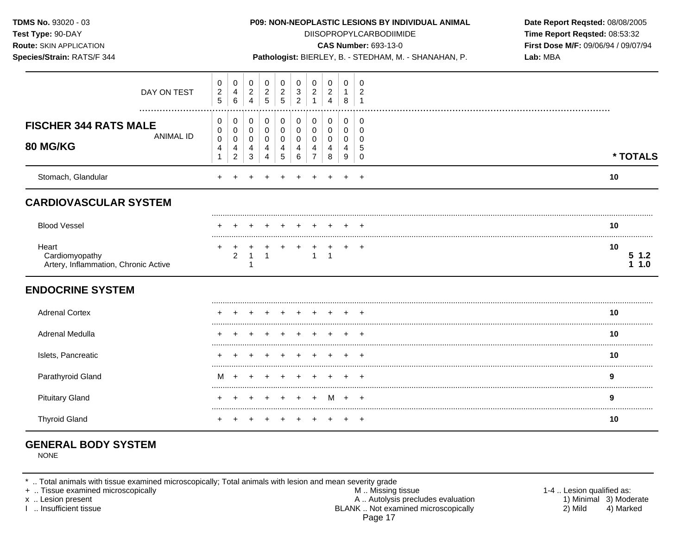| TDMS No. 93020 - 03<br>Test Type: 90-DAY<br><b>Route: SKIN APPLICATION</b><br>Species/Strain: RATS/F 344 |                                   |                                                                     |                       |                       |                                                      |                                                |                                              |                                                        |                                           |                                     | P09: NON-NEOPLASTIC LESIONS BY INDIVIDUAL ANIMAL<br><b>DIISOPROPYLCARBODIIMIDE</b><br><b>CAS Number: 693-13-0</b><br>Pathologist: BIERLEY, B. - STEDHAM, M. - SHANAHAN, P. | Date Report Reqsted: 08/08/2005<br>Time Report Reqsted: 08:53:32<br>First Dose M/F: 09/06/94 / 09/07/94<br>Lab: MBA |
|----------------------------------------------------------------------------------------------------------|-----------------------------------|---------------------------------------------------------------------|-----------------------|-----------------------|------------------------------------------------------|------------------------------------------------|----------------------------------------------|--------------------------------------------------------|-------------------------------------------|-------------------------------------|----------------------------------------------------------------------------------------------------------------------------------------------------------------------------|---------------------------------------------------------------------------------------------------------------------|
| DAY ON TEST                                                                                              | 0<br>$\sqrt{2}$<br>$\overline{5}$ | $\mathbf 0$<br>$\overline{4}$<br>$\,6\,$                            | 0<br>$\frac{2}{4}$    | 0<br>$\frac{2}{5}$    | 0<br>$\frac{2}{5}$                                   | $\mathbf 0$<br>$\mathbf{3}$<br>$\overline{2}$  | 0<br>$\begin{array}{c} 2 \\ 1 \end{array}$   | $\mathbf 0$<br>$\frac{2}{4}$                           | $\mathbf 0$<br>$\mathbf{1}$<br>8          | 0<br>2<br>$\overline{1}$            |                                                                                                                                                                            |                                                                                                                     |
| <b>FISCHER 344 RATS MALE</b><br><b>ANIMAL ID</b><br>80 MG/KG                                             | 0<br>0<br>0<br>4<br>1             | 0<br>$\mathbf 0$<br>$\mathbf 0$<br>$\overline{4}$<br>$\overline{c}$ | 0<br>0<br>0<br>4<br>3 | 0<br>0<br>0<br>4<br>4 | 0<br>$\pmb{0}$<br>$\mathbf 0$<br>$\overline{4}$<br>5 | 0<br>$\boldsymbol{0}$<br>$\mathbf 0$<br>4<br>6 | 0<br>$\mathbf 0$<br>0<br>4<br>$\overline{7}$ | 0<br>$\mathbf 0$<br>$\mathbf 0$<br>$\overline{4}$<br>8 | 0<br>$\mathbf 0$<br>$\mathbf 0$<br>4<br>9 | 0<br>$\Omega$<br>0<br>5<br>$\Omega$ |                                                                                                                                                                            | * TOTALS                                                                                                            |
| Stomach, Glandular                                                                                       |                                   |                                                                     |                       |                       |                                                      |                                                |                                              |                                                        |                                           |                                     |                                                                                                                                                                            | 10                                                                                                                  |
| <b>CARDIOVASCULAR SYSTEM</b>                                                                             |                                   |                                                                     |                       |                       |                                                      |                                                |                                              |                                                        |                                           |                                     |                                                                                                                                                                            |                                                                                                                     |
| <b>Blood Vessel</b>                                                                                      |                                   |                                                                     |                       |                       |                                                      |                                                |                                              |                                                        |                                           |                                     |                                                                                                                                                                            | 10                                                                                                                  |
| Heart<br>Cardiomyopathy<br>Artery, Inflammation, Chronic Active                                          |                                   | $\overline{c}$                                                      | $\mathbf{1}$<br>-1    | $\mathbf{1}$          |                                                      |                                                | $\mathbf{1}$                                 | $\overline{1}$                                         | $+$                                       | $\ddot{}$                           |                                                                                                                                                                            | 10<br>51.2<br>1.10                                                                                                  |
| <b>ENDOCRINE SYSTEM</b>                                                                                  |                                   |                                                                     |                       |                       |                                                      |                                                |                                              |                                                        |                                           |                                     |                                                                                                                                                                            |                                                                                                                     |
| <b>Adrenal Cortex</b>                                                                                    |                                   |                                                                     |                       |                       |                                                      |                                                |                                              |                                                        |                                           |                                     |                                                                                                                                                                            | 10                                                                                                                  |
| Adrenal Medulla                                                                                          |                                   |                                                                     |                       |                       |                                                      |                                                |                                              |                                                        |                                           |                                     |                                                                                                                                                                            | 10                                                                                                                  |
| Islets, Pancreatic                                                                                       |                                   |                                                                     |                       |                       |                                                      |                                                |                                              |                                                        |                                           |                                     |                                                                                                                                                                            | 10                                                                                                                  |
| Parathyroid Gland                                                                                        | м                                 |                                                                     |                       |                       |                                                      |                                                |                                              |                                                        |                                           |                                     |                                                                                                                                                                            | 9                                                                                                                   |
| <b>Pituitary Gland</b>                                                                                   |                                   |                                                                     |                       |                       |                                                      |                                                | $\ddot{}$                                    | M                                                      | $+$                                       | $+$                                 |                                                                                                                                                                            | 9                                                                                                                   |
| <b>Thyroid Gland</b>                                                                                     | +                                 |                                                                     |                       |                       |                                                      |                                                | $\ddot{}$                                    |                                                        | $^+$                                      | $+$                                 |                                                                                                                                                                            | 10                                                                                                                  |

# **GENERAL BODY SYSTEM**

NONE

\* .. Total animals with tissue examined microscopically; Total animals with lesion and mean severity grade

+ .. Tissue examined microscopically M .. Missing tissue 1-4 .. Lesion qualified as: x .. Lesion present 1) Minimal 3) Moderate A .. Autor A .. Autor A .. Autor A .. Autor A .. Autor A .. Autor A .. Autor A .. Autor A .. Autor A .. Autor A .. Autor A .. Autor A .. Autor A .. Autor A .. Autor A .. Autor A . I .. Insufficient tissue BLANK .. Not examined microscopically 2) Mild 4) Marked Page 17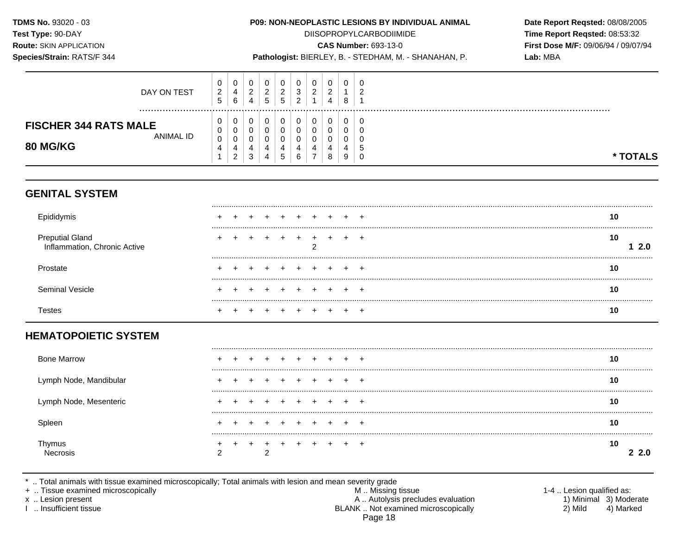Species/Strain: RATS/F 344

## P09: NON-NEOPLASTIC LESIONS BY INDIVIDUAL ANIMAL

**DIISOPROPYLCARBODIIMIDE** 

**CAS Number: 693-13-0** 

Pathologist: BIERLEY, B. - STEDHAM, M. - SHANAHAN, P.

Date Report Reqsted: 08/08/2005 Time Report Reqsted: 08:53:32 First Dose M/F: 09/06/94 / 09/07/94 Lab: MBA

| DAY ON TEST                  | U<br>2<br>ა | 0<br>4<br>6 | ັ<br>$\sim$<br>←<br>4 | v<br>ົ<br>∼<br>$5^{\circ}$ | ◠<br>∼<br>$\mathbf b$ | U<br>3<br><u>_</u> | 0<br>$\sim$ | 0<br>ີ<br>ے<br>4 | 0<br>8 | 0<br>c |          |
|------------------------------|-------------|-------------|-----------------------|----------------------------|-----------------------|--------------------|-------------|------------------|--------|--------|----------|
| <b>FISCHER 344 RATS MALE</b> | υ<br>U      | 0<br>0      | ັ                     | U<br>v                     |                       | 0                  | 0<br>0      | 0<br>u           | 0<br>υ | 0<br>U |          |
| ANIMAL ID<br><b>80 MG/KG</b> | 0           | 0<br>4      |                       | v<br>4                     | 4                     | 0<br>4             | 0           | u                | υ<br>4 | U<br>C |          |
|                              |             | າ<br>∠      | $\sim$<br>J           | 4                          | $\mathbf{p}$          | 6                  | –           | 8                | 9      | 0      | * TOTALS |

## **GENITAL SYSTEM**

| EDI'                                            |  |  |  |  |  | 10        |
|-------------------------------------------------|--|--|--|--|--|-----------|
| Preputial Gland<br>Inflammation, Chronic Active |  |  |  |  |  | 10<br>2.0 |
| Prostate                                        |  |  |  |  |  | 10        |
| Seminal Vesicle                                 |  |  |  |  |  | 10        |
|                                                 |  |  |  |  |  | 1υ        |

## **HEMATOPOIETIC SYSTEM**

| <b>Bone Marrow</b>     |  |   |         |              | $+$ $-$ | $\ddot{}$ |           |
|------------------------|--|---|---------|--------------|---------|-----------|-----------|
| Lymph Node, Mandibular |  |   |         |              | $+$ $-$ | $\div$    |           |
| Lymph Node, Mesenteric |  |   |         |              |         | +         | 10        |
| Spleen                 |  |   |         |              |         | +         | 10        |
| <u>I hymus</u>         |  | ົ | $+$ $-$ | $\leftarrow$ | $+$     |           | 10<br>2.0 |

\* .. Total animals with tissue examined microscopically; Total animals with lesion and mean severity grade<br>+ .. Tissue examined microscopically

x .. Lesion present

I .. Insufficient tissue

M .. Missing tissue A .. Autolysis precludes evaluation BLANK .. Not examined microscopically Page 18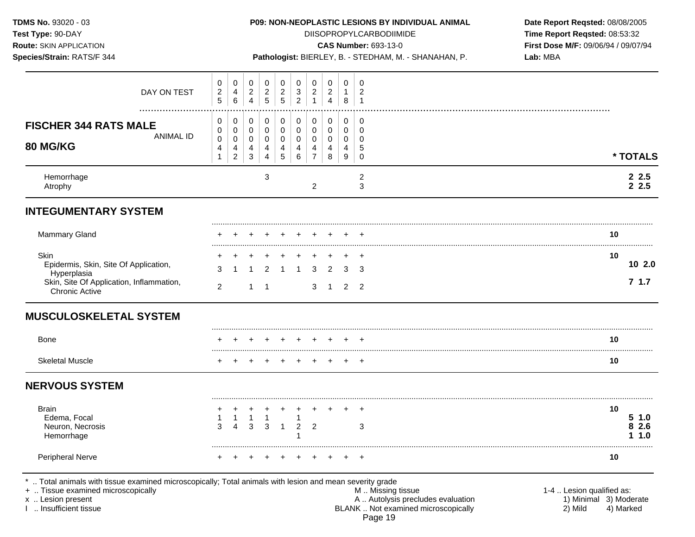**Test Type:** 90-DAY DIISOPROPYLCARBODIIMIDE **Time Report Reqsted:** 08:53:32 **Route:** SKIN APPLICATION **CAS Number:** 693-13-0 **First Dose M/F:** 09/06/94 / 09/07/94

**Species/Strain:** RATS/F 344 **Pathologist:** BIERLEY, B. - STEDHAM, M. - SHANAHAN, P. **Lab:** MBA

| DAY ON TEST                                                    | 0<br>$\frac{2}{5}$                                               | 0<br>$\overline{4}$<br>$6\phantom{a}$                                    | $\mathbf 0$<br>$\frac{2}{4}$                                            | 0<br>$\overline{c}$<br>5                  | 0<br>$\frac{2}{5}$                            | 0<br>$\sqrt{3}$<br>$\overline{2}$                        | 0<br>$\overline{c}$<br>$\mathbf{1}$                    | 0<br>$\boldsymbol{2}$<br>$\overline{4}$         | 0<br>$\mathbf{1}$<br>8                    | 0<br>$\sqrt{2}$<br>$\overline{1}$                |                                                    |
|----------------------------------------------------------------|------------------------------------------------------------------|--------------------------------------------------------------------------|-------------------------------------------------------------------------|-------------------------------------------|-----------------------------------------------|----------------------------------------------------------|--------------------------------------------------------|-------------------------------------------------|-------------------------------------------|--------------------------------------------------|----------------------------------------------------|
| <b>FISCHER 344 RATS MALE</b><br><b>ANIMAL ID</b><br>80 MG/KG   | 0<br>0<br>$\mathbf 0$<br>$\overline{\mathbf{4}}$<br>$\mathbf{1}$ | 0<br>$\pmb{0}$<br>$\pmb{0}$<br>$\overline{\mathbf{r}}$<br>$\overline{c}$ | $\mathbf 0$<br>$\mathbf 0$<br>$\pmb{0}$<br>$\overline{4}$<br>$\sqrt{3}$ | 0<br>$\mathbf 0$<br>$\mathbf 0$<br>4<br>4 | $\pmb{0}$<br>$\pmb{0}$<br>$\pmb{0}$<br>4<br>5 | $\boldsymbol{0}$<br>$\mathbf 0$<br>$\mathbf 0$<br>4<br>6 | 0<br>$\mathbf 0$<br>$\mathbf 0$<br>4<br>$\overline{7}$ | 0<br>$\mathbf 0$<br>$\mathbf 0$<br>4<br>$\,8\,$ | 0<br>$\mathbf 0$<br>$\mathbf 0$<br>4<br>9 | 0<br>$\mathbf 0$<br>$\mathbf 0$<br>5<br>$\Omega$ | * TOTALS                                           |
| Hemorrhage<br>Atrophy                                          |                                                                  |                                                                          |                                                                         | 3                                         |                                               |                                                          | $\overline{c}$                                         |                                                 |                                           | $\overline{c}$<br>3                              | $\begin{array}{cc} 2 & 2.5 \\ 2 & 2.5 \end{array}$ |
| <b>INTEGUMENTARY SYSTEM</b>                                    |                                                                  |                                                                          |                                                                         |                                           |                                               |                                                          |                                                        |                                                 |                                           |                                                  |                                                    |
| Mammary Gland                                                  |                                                                  |                                                                          |                                                                         |                                           |                                               |                                                          |                                                        |                                                 |                                           |                                                  | 10                                                 |
| Skin<br>Epidermis, Skin, Site Of Application,<br>Hyperplasia   | 3                                                                |                                                                          |                                                                         | 2                                         |                                               |                                                          | з                                                      | $\mathcal{P}$                                   | 3                                         | 3                                                | 10<br>10 2.0<br>7.1.7                              |
| Skin, Site Of Application, Inflammation,<br>Chronic Active     | $\overline{2}$                                                   |                                                                          | $\mathbf 1$                                                             | -1                                        |                                               |                                                          | 3                                                      | -1                                              | $\overline{2}$                            | $\overline{2}$                                   |                                                    |
| <b>MUSCULOSKELETAL SYSTEM</b>                                  |                                                                  |                                                                          |                                                                         |                                           |                                               |                                                          |                                                        |                                                 |                                           |                                                  |                                                    |
| Bone                                                           |                                                                  |                                                                          |                                                                         |                                           |                                               |                                                          |                                                        |                                                 |                                           | <b>+</b>                                         | 10                                                 |
| <b>Skeletal Muscle</b>                                         |                                                                  |                                                                          |                                                                         |                                           |                                               |                                                          |                                                        |                                                 |                                           | $\div$                                           | 10                                                 |
| <b>NERVOUS SYSTEM</b>                                          |                                                                  |                                                                          |                                                                         |                                           |                                               |                                                          |                                                        |                                                 |                                           |                                                  |                                                    |
| <b>Brain</b><br>Edema, Focal<br>Neuron, Necrosis<br>Hemorrhage | 3                                                                | 1<br>$\overline{A}$                                                      | 1<br>3                                                                  | 3                                         |                                               | 1<br>$\overline{2}$                                      | 2                                                      |                                                 |                                           | 3                                                | 10<br>51.0<br>2.6<br>1.0                           |
| Peripheral Nerve                                               | +                                                                | $\ddot{}$                                                                | +                                                                       |                                           |                                               |                                                          |                                                        |                                                 | $\pm$                                     | $+$                                              | 10                                                 |

+ .. Tissue examined microscopically examined microscopically with the state of the matter of the matter of the matter of M .. Missing tissue M .. Missing tissue the matter of the matter of the matter of the matter of M .. x .. Lesion present The Control of the Mathematic Control of A .. Autolysis precludes evaluation (and the Minimal 3) Moderate<br>A .. Autolysis precludes evaluation (and the Minimal 3) Moderate<br>BLANK .. Not examined microscop BLANK ... Not examined microscopically Page 19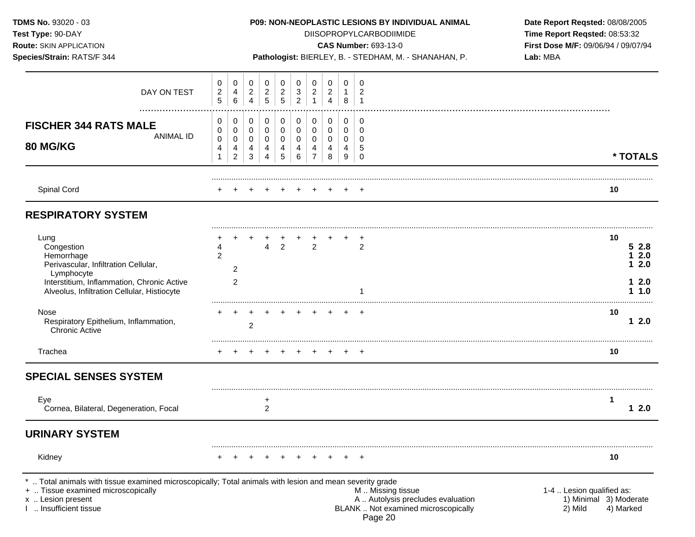| TDMS No. 93020 - 03<br>Test Type: 90-DAY<br>Route: SKIN APPLICATION<br>Species/Strain: RATS/F 344                                                                                       |                                   |                                    |                       |                                              |                                       |                                    |                                     |                                       | <b>P09: NON-NEOPLASTIC LESIONS BY INDIVIDUAL ANIMAL</b><br><b>DIISOPROPYLCARBODIIMIDE</b><br><b>CAS Number: 693-13-0</b><br>Pathologist: BIERLEY, B. - STEDHAM, M. - SHANAHAN, P. | Date Report Reqsted: 08/08/2005<br>Time Report Reqsted: 08:53:32<br>First Dose M/F: 09/06/94 / 09/07/94<br>Lab: MBA |                                                                             |
|-----------------------------------------------------------------------------------------------------------------------------------------------------------------------------------------|-----------------------------------|------------------------------------|-----------------------|----------------------------------------------|---------------------------------------|------------------------------------|-------------------------------------|---------------------------------------|-----------------------------------------------------------------------------------------------------------------------------------------------------------------------------------|---------------------------------------------------------------------------------------------------------------------|-----------------------------------------------------------------------------|
| DAY ON TEST                                                                                                                                                                             | 0<br>$\overline{c}$<br>$\sqrt{5}$ | 0<br>4<br>6                        | 0<br>$\frac{2}{4}$    | 0<br>$\sqrt{2}$<br>$\overline{5}$            | 0<br>$\overline{2}$<br>$\overline{5}$ | 0<br>$\mathbf 3$<br>$\overline{2}$ | 0<br>$\overline{a}$<br>$\mathbf{1}$ | 0<br>$\overline{2}$<br>$\overline{4}$ | 0<br>1<br>8                                                                                                                                                                       | 0<br>$\overline{c}$<br>$\overline{1}$                                                                               |                                                                             |
| <b>FISCHER 344 RATS MALE</b><br><b>ANIMAL ID</b><br><b>80 MG/KG</b>                                                                                                                     | 0<br>0<br>0<br>4<br>$\mathbf{1}$  | 0<br>0<br>0<br>4<br>$\overline{2}$ | 0<br>0<br>0<br>4<br>3 | 0<br>$\mathbf 0$<br>0<br>4<br>$\overline{4}$ | 0<br>$\mathbf 0$<br>0<br>4<br>5       | 0<br>$\pmb{0}$<br>0<br>4<br>6      | 0<br>0<br>0<br>4<br>$\overline{7}$  | 0<br>0<br>0<br>4<br>8                 | 0<br>0<br>0<br>4<br>9                                                                                                                                                             | 0<br>$\mathbf 0$<br>$\Omega$<br>5<br>0                                                                              | * TOTALS                                                                    |
| Spinal Cord                                                                                                                                                                             |                                   |                                    |                       |                                              |                                       |                                    |                                     |                                       |                                                                                                                                                                                   |                                                                                                                     | 10                                                                          |
| <b>RESPIRATORY SYSTEM</b>                                                                                                                                                               |                                   |                                    |                       |                                              |                                       |                                    |                                     |                                       |                                                                                                                                                                                   |                                                                                                                     |                                                                             |
| Lung<br>Congestion<br>Hemorrhage<br>Perivascular, Infiltration Cellular,<br>Lymphocyte<br>Interstitium, Inflammation, Chronic Active<br>Alveolus, Infiltration Cellular, Histiocyte     | 4<br>$\overline{2}$               | $\overline{2}$<br>$\overline{2}$   |                       | 4                                            | $\overline{2}$                        |                                    | $\overline{2}$                      |                                       |                                                                                                                                                                                   | 2                                                                                                                   | 10<br>52.8<br>12.0<br>12.0<br>12.0<br>11.0                                  |
| <b>Nose</b><br>Respiratory Epithelium, Inflammation,<br><b>Chronic Active</b>                                                                                                           |                                   |                                    | 2                     |                                              |                                       |                                    |                                     |                                       |                                                                                                                                                                                   | $+$ $+$                                                                                                             | 10<br>12.0                                                                  |
| Trachea                                                                                                                                                                                 |                                   |                                    |                       |                                              |                                       |                                    |                                     |                                       |                                                                                                                                                                                   |                                                                                                                     | 10                                                                          |
| <b>SPECIAL SENSES SYSTEM</b>                                                                                                                                                            |                                   |                                    |                       |                                              |                                       |                                    |                                     |                                       |                                                                                                                                                                                   |                                                                                                                     |                                                                             |
| Eye<br>Cornea, Bilateral, Degeneration, Focal                                                                                                                                           |                                   |                                    |                       | +<br>$\overline{c}$                          |                                       |                                    |                                     |                                       |                                                                                                                                                                                   |                                                                                                                     | 1<br>12.0                                                                   |
| <b>URINARY SYSTEM</b>                                                                                                                                                                   |                                   |                                    |                       |                                              |                                       |                                    |                                     |                                       |                                                                                                                                                                                   |                                                                                                                     |                                                                             |
| Kidney                                                                                                                                                                                  |                                   |                                    |                       |                                              |                                       | $\pm$                              |                                     | $+$                                   | $+$                                                                                                                                                                               | $^{+}$                                                                                                              | 10                                                                          |
| Total animals with tissue examined microscopically; Total animals with lesion and mean severity grade<br>+  Tissue examined microscopically<br>x  Lesion present<br>Insufficient tissue |                                   |                                    |                       |                                              |                                       |                                    |                                     |                                       |                                                                                                                                                                                   | M  Missing tissue<br>A  Autolysis precludes evaluation<br>BLANK  Not examined microscopically<br>Page 20            | 1-4  Lesion qualified as:<br>1) Minimal 3) Moderate<br>2) Mild<br>4) Marked |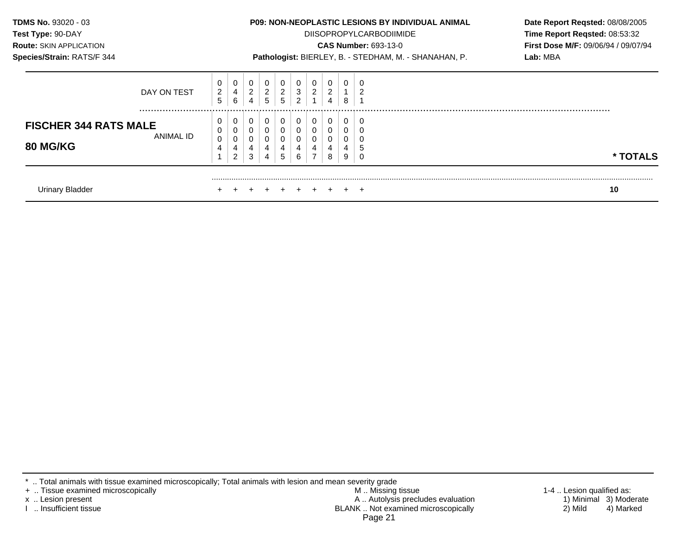| <b>TDMS No. 93020 - 03</b>                            |                          |                  |                     |                          |                          |                                                       |                     |                       |                       | <b>P09: NON-NEOPLASTIC LESIONS BY INDIVIDUAL ANIMAL</b> | Date Report Reqsted: 08/08/2005            |
|-------------------------------------------------------|--------------------------|------------------|---------------------|--------------------------|--------------------------|-------------------------------------------------------|---------------------|-----------------------|-----------------------|---------------------------------------------------------|--------------------------------------------|
| Test Type: 90-DAY                                     |                          |                  |                     |                          |                          |                                                       |                     |                       |                       | <b>DIISOPROPYLCARBODIIMIDE</b>                          | Time Report Reqsted: 08:53:32              |
| <b>Route: SKIN APPLICATION</b>                        |                          |                  |                     |                          |                          |                                                       |                     |                       |                       | <b>CAS Number: 693-13-0</b>                             | <b>First Dose M/F: 09/06/94 / 09/07/94</b> |
| Species/Strain: RATS/F 344                            |                          |                  |                     |                          |                          | Pathologist: BIERLEY, B. - STEDHAM, M. - SHANAHAN, P. | Lab: MBA            |                       |                       |                                                         |                                            |
| DAY ON TEST                                           | 0<br>$\overline{c}$<br>5 | 0<br>4<br>6      | 0<br>$\overline{c}$ | 0<br>$\overline{2}$<br>5 | 0<br>$\overline{2}$<br>5 | 0<br>$\sqrt{3}$<br>2                                  | 0<br>$\overline{2}$ | $\boldsymbol{2}$<br>4 | 0<br>8                | U<br>$\overline{2}$                                     |                                            |
| <b>FISCHER 344 RATS MALE</b><br>ANIMAL ID<br>80 MG/KG | 0<br>0<br>0<br>4         | 0<br>0<br>4<br>2 | 3                   | 0<br>4                   | 0<br>0<br>0<br>4<br>5    | 0<br>0<br>0<br>4<br>6                                 | 0<br>4              | 8                     | 0<br>0<br>0<br>4<br>9 | 0<br>0<br>0<br>5<br>0                                   | * TOTALS                                   |
| <b>Urinary Bladder</b>                                |                          |                  |                     |                          |                          |                                                       |                     |                       |                       |                                                         | 10                                         |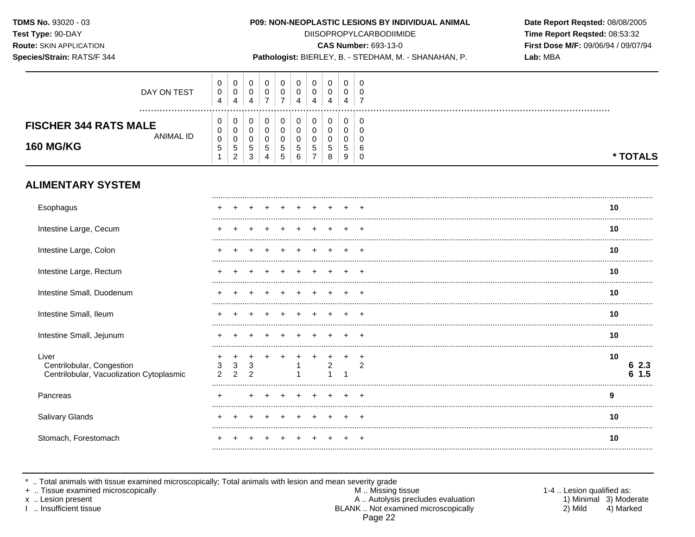Species/Strain: RATS/F 344

## P09: NON-NEOPLASTIC LESIONS BY INDIVIDUAL ANIMAL

**DIISOPROPYLCARBODIIMIDE** 

**CAS Number: 693-13-0** 

Pathologist: BIERLEY, B. - STEDHAM, M. - SHANAHAN, P.

Date Report Reqsted: 08/08/2005 Time Report Reqsted: 08:53:32 First Dose M/F: 09/06/94 / 09/07/94 Lab: MBA

| <b>ALIMENTARY SYSTEM</b><br>Esophagus                         | ÷                |                                  |                  | $\pm$                 | $+$                         | $+$                   | $+$          | $\pm$ |                  |                 | 10       |
|---------------------------------------------------------------|------------------|----------------------------------|------------------|-----------------------|-----------------------------|-----------------------|--------------|-------|------------------|-----------------|----------|
| <b>FISCHER 344 RATS MALE</b><br>ANIMAL ID<br><b>160 MG/KG</b> | U<br>U<br>0<br>đ | 0<br>0<br>0<br><sub>5</sub><br>ົ | υ<br>υ<br>5<br>3 | 0<br>0<br>U<br>5<br>4 | υ<br>U<br>5<br><sub>5</sub> | 0<br>U<br>U<br>5<br>6 | <sub>5</sub> |       | 0<br>0<br>ა<br>9 | J.<br>b<br>0    | * TOTALS |
| DAY ON TEST                                                   | U<br>0<br>4      | 0<br>$\mathbf 0$<br>4            | 0<br>U<br>4      | 0<br>0<br>⇁           | υ<br>υ<br>⇁                 | 0<br>υ<br>4           | U<br>4       |       | 0<br>0<br>4      | - 6<br>- U<br>⇁ |          |

| Esophagus                                                                      |  |  |  |  |  |    |            |
|--------------------------------------------------------------------------------|--|--|--|--|--|----|------------|
| Intestine Large, Cecum                                                         |  |  |  |  |  | 10 |            |
| Intestine Large, Colon                                                         |  |  |  |  |  | 10 |            |
| Intestine Large, Rectum                                                        |  |  |  |  |  | 10 |            |
| Intestine Small, Duodenum                                                      |  |  |  |  |  | 10 |            |
| Intestine Small, Ileum                                                         |  |  |  |  |  | 10 |            |
| Intestine Small, Jejunum                                                       |  |  |  |  |  | 10 |            |
| Liver<br>Centrilobular, Congestion<br>Centrilobular, Vacuolization Cytoplasmic |  |  |  |  |  | 10 | 2.3<br>1.5 |
| Pancreas                                                                       |  |  |  |  |  | 9  |            |
| Salivary Glands                                                                |  |  |  |  |  | 10 |            |
| Stomach, Forestomach                                                           |  |  |  |  |  | 10 |            |
|                                                                                |  |  |  |  |  |    |            |

\* .. Total animals with tissue examined microscopically; Total animals with lesion and mean severity grade<br>+ .. Tissue examined microscopically

x .. Lesion present

I .. Insufficient tissue

M .. Missing tissue A .. Autolysis precludes evaluation BLANK .. Not examined microscopically Page 22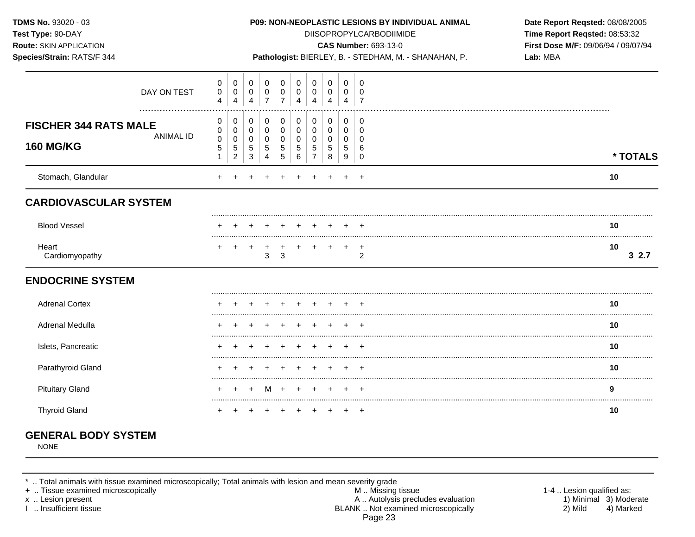| TDMS No. 93020 - 03<br>Test Type: 90-DAY<br>Route: SKIN APPLICATION<br>Species/Strain: RATS/F 344 |                                                    |                                              |                                                   |                                              |                                         |                                                  |                                                                  |                                           |                                    |                                                  | P09: NON-NEOPLASTIC LESIONS BY INDIVIDUAL ANIMAL<br><b>DIISOPROPYLCARBODIIMIDE</b><br><b>CAS Number: 693-13-0</b><br>Pathologist: BIERLEY, B. - STEDHAM, M. - SHANAHAN, P. | Date Report Reqsted: 08/08/2005<br>Time Report Reqsted: 08:53:32<br>First Dose M/F: 09/06/94 / 09/07/94<br>Lab: MBA |
|---------------------------------------------------------------------------------------------------|----------------------------------------------------|----------------------------------------------|---------------------------------------------------|----------------------------------------------|-----------------------------------------|--------------------------------------------------|------------------------------------------------------------------|-------------------------------------------|------------------------------------|--------------------------------------------------|----------------------------------------------------------------------------------------------------------------------------------------------------------------------------|---------------------------------------------------------------------------------------------------------------------|
| DAY ON TEST<br>.                                                                                  | 0<br>$\,0\,$<br>4                                  | $\mathbf 0$<br>0<br>4                        | $\mathbf 0$<br>0<br>4                             | $\mathbf 0$<br>0<br>$\overline{7}$           | 0<br>$\,0\,$<br>$\overline{7}$          | 0<br>$\pmb{0}$<br>$\overline{4}$                 | $\mathbf 0$<br>0<br>$\overline{4}$                               | $\mathbf 0$<br>0<br>4                     | $\mathbf 0$<br>0<br>$\overline{4}$ | $\Omega$<br>$\Omega$<br>$\overline{7}$           |                                                                                                                                                                            |                                                                                                                     |
| <b>FISCHER 344 RATS MALE</b><br><b>ANIMAL ID</b><br><b>160 MG/KG</b>                              | 0<br>0<br>$\pmb{0}$<br>$\mathbf 5$<br>$\mathbf{1}$ | 0<br>$\mathbf 0$<br>0<br>5<br>$\overline{c}$ | 0<br>$\mathbf 0$<br>0<br>$\sqrt{5}$<br>$\sqrt{3}$ | 0<br>$\mathbf 0$<br>0<br>5<br>$\overline{4}$ | 0<br>$\pmb{0}$<br>$\mathbf 0$<br>5<br>5 | 0<br>$\mathbf 0$<br>$\pmb{0}$<br>$\sqrt{5}$<br>6 | $\mathbf 0$<br>$\mathbf 0$<br>$\mathbf 0$<br>5<br>$\overline{7}$ | 0<br>$\mathbf 0$<br>$\mathbf 0$<br>5<br>8 | 0<br>0<br>$\mathbf 0$<br>5<br>9    | 0<br>$\mathbf 0$<br>$\Omega$<br>6<br>$\mathbf 0$ |                                                                                                                                                                            | * TOTALS                                                                                                            |
| Stomach, Glandular                                                                                |                                                    |                                              |                                                   |                                              |                                         |                                                  |                                                                  |                                           |                                    |                                                  |                                                                                                                                                                            | 10                                                                                                                  |
| <b>CARDIOVASCULAR SYSTEM</b>                                                                      |                                                    |                                              |                                                   |                                              |                                         |                                                  |                                                                  |                                           |                                    |                                                  |                                                                                                                                                                            |                                                                                                                     |
| <b>Blood Vessel</b>                                                                               |                                                    |                                              |                                                   |                                              |                                         |                                                  |                                                                  |                                           |                                    |                                                  |                                                                                                                                                                            | 10                                                                                                                  |
| Heart<br>Cardiomyopathy                                                                           |                                                    |                                              |                                                   | 3                                            | 3                                       |                                                  |                                                                  |                                           | $\pm$                              | $\overline{+}$<br>2                              |                                                                                                                                                                            | 10<br>32.7                                                                                                          |
| <b>ENDOCRINE SYSTEM</b>                                                                           |                                                    |                                              |                                                   |                                              |                                         |                                                  |                                                                  |                                           |                                    |                                                  |                                                                                                                                                                            |                                                                                                                     |
| <b>Adrenal Cortex</b>                                                                             |                                                    |                                              |                                                   |                                              |                                         |                                                  |                                                                  |                                           |                                    |                                                  |                                                                                                                                                                            | 10                                                                                                                  |
| Adrenal Medulla                                                                                   |                                                    |                                              |                                                   |                                              |                                         |                                                  |                                                                  |                                           |                                    |                                                  |                                                                                                                                                                            | 10                                                                                                                  |
| Islets, Pancreatic                                                                                |                                                    |                                              |                                                   |                                              |                                         |                                                  |                                                                  |                                           |                                    |                                                  |                                                                                                                                                                            | 10                                                                                                                  |
| Parathyroid Gland                                                                                 |                                                    |                                              |                                                   |                                              |                                         |                                                  |                                                                  |                                           |                                    |                                                  |                                                                                                                                                                            | 10                                                                                                                  |
| <b>Pituitary Gland</b>                                                                            |                                                    |                                              |                                                   |                                              | M +                                     | $\div$                                           |                                                                  |                                           |                                    | $\pm$                                            |                                                                                                                                                                            | 9                                                                                                                   |
| <b>Thyroid Gland</b>                                                                              |                                                    |                                              |                                                   |                                              |                                         |                                                  |                                                                  |                                           |                                    | $^{+}$                                           |                                                                                                                                                                            | 10                                                                                                                  |

# **GENERAL BODY SYSTEM**

NONE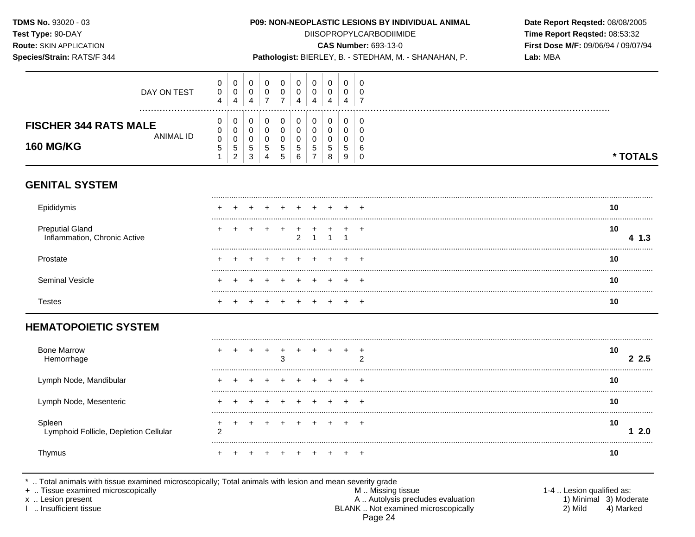#### P09: NON-NEOPLASTIC LESIONS BY INDIVIDUAL ANIMAL

**DIISOPROPYLCARBODIIMIDE** 

**CAS Number: 693-13-0** 

Date Report Reqsted: 08/08/2005 Time Report Reqsted: 08:53:32 First Dose M/F: 09/06/94 / 09/07/94  $I_2h_1MPA$ 

| Species/Strain: RATS/F 344                                               |                                  |                                    |                                 |                          |                          |                       |                                                       |                                          |                       | Pathologist: BIERLEY, B. - STEDHAM, M. - SHANAHAN, P. | Lab: MBA |  |             |
|--------------------------------------------------------------------------|----------------------------------|------------------------------------|---------------------------------|--------------------------|--------------------------|-----------------------|-------------------------------------------------------|------------------------------------------|-----------------------|-------------------------------------------------------|----------|--|-------------|
| DAY ON TEST                                                              | 0<br>$\pmb{0}$<br>$\overline{4}$ | 0<br>$\mathbf 0$<br>$\overline{4}$ | 0<br>0<br>4                     | 0<br>0<br>$\overline{7}$ | 0<br>0<br>$\overline{7}$ | 0<br>0<br>4           | 0<br>0<br>4                                           | $\mathbf 0$<br>0<br>4                    | 0<br>0<br>4           | 0<br>0<br>$\overline{7}$                              |          |  |             |
| <br><b>FISCHER 344 RATS MALE</b><br><b>ANIMAL ID</b><br><b>160 MG/KG</b> | 0<br>0<br>0<br>5                 | 0<br>0<br>0<br>5<br>$\overline{2}$ | 0<br>0<br>0<br>$\mathbf 5$<br>3 | 0<br>0<br>0<br>5<br>4    | 0<br>0<br>0<br>5<br>5    | 0<br>0<br>0<br>5<br>6 | $\mathbf 0$<br>0<br>0<br>$\sqrt{5}$<br>$\overline{7}$ | $\mathbf 0$<br>0<br>0<br>$\sqrt{5}$<br>8 | 0<br>0<br>0<br>5<br>9 | 0<br>0<br>0<br>6<br>0                                 |          |  | * TOTALS    |
| <b>GENITAL SYSTEM</b>                                                    |                                  |                                    |                                 |                          |                          |                       |                                                       |                                          |                       |                                                       |          |  |             |
| Epididymis                                                               |                                  |                                    |                                 |                          |                          |                       |                                                       |                                          |                       |                                                       |          |  | 10          |
| <b>Preputial Gland</b><br>Inflammation, Chronic Active                   |                                  |                                    |                                 |                          |                          | $\overline{2}$        |                                                       |                                          |                       | $\overline{+}$                                        |          |  | 10<br>4 1.3 |
| Prostate                                                                 |                                  |                                    |                                 |                          |                          |                       |                                                       |                                          |                       |                                                       |          |  | <br>10      |
| <b>Seminal Vesicle</b>                                                   |                                  |                                    |                                 |                          |                          |                       |                                                       |                                          |                       |                                                       |          |  | 10          |
| <b>Testes</b>                                                            |                                  |                                    |                                 |                          |                          |                       |                                                       |                                          |                       |                                                       |          |  | 10          |
| <b>HEMATOPOIETIC SYSTEM</b>                                              |                                  |                                    |                                 |                          |                          |                       |                                                       |                                          |                       |                                                       |          |  |             |
| <b>Bone Marrow</b><br>Hemorrhage                                         |                                  |                                    |                                 | $\ddot{}$                | $\mathbf +$<br>3         | +                     |                                                       |                                          | $+$                   | $^{+}$<br>$\overline{2}$                              |          |  | 10<br>2.5   |
| Lymph Node, Mandibular                                                   | +                                |                                    |                                 |                          |                          | $\pm$                 | $+$                                                   | $+$                                      | $+$                   | $^+$                                                  |          |  | 10          |

.. Total animals with tissue examined microscopically; Total animals with lesion and mean severity grade

 $\ddot{}$ 

 $\ddot{}$  $\ddot{}$ 

 $\overline{2}$ 

. . . . . . .

 $+$  $+$  $+$  $+$   $+$   $+$ 

 $+$   $+$ 

 $+$ 

 $+$ 

 $+$ 

 $+$ 

 $+$  $+$  $+$  $+$ 

 $+$ 

 $+$ 

 $+$ 

 $+$ 

 $+$   $+$   $+$ 

+ .. Tissue examined microscopically

Lymphoid Follicle, Depletion Cellular

Lymph Node, Mesenteric

x .. Lesion present

Spleen

Thymus

I .. Insufficient tissue

M .. Missing tissue A .. Autolysis precludes evaluation BLANK .. Not examined microscopically Page 24

 $10<sub>1</sub>$ 

 $10$ 

10

 $12.0$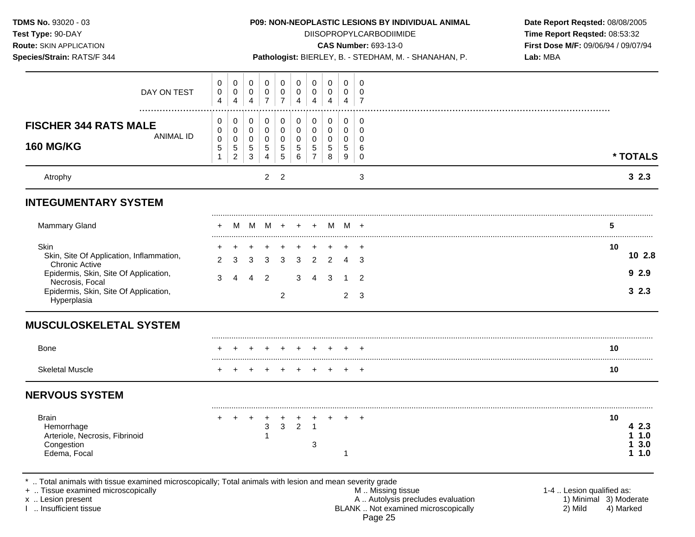| TDMS No. 93020 - 03<br>Test Type: 90-DAY<br><b>Route: SKIN APPLICATION</b><br>Species/Strain: RATS/F 344         |                                         |                                                        |                                                   |                          |                                 |                          |                                              |                       |                       | P09: NON-NEOPLASTIC LESIONS BY INDIVIDUAL ANIMAL<br><b>DIISOPROPYLCARBODIIMIDE</b><br><b>CAS Number: 693-13-0</b><br>Pathologist: BIERLEY, B. - STEDHAM, M. - SHANAHAN, P. | Date Report Reqsted: 08/08/2005<br>Time Report Reqsted: 08:53:32<br>First Dose M/F: 09/06/94 / 09/07/94<br>Lab: MBA |                  |
|------------------------------------------------------------------------------------------------------------------|-----------------------------------------|--------------------------------------------------------|---------------------------------------------------|--------------------------|---------------------------------|--------------------------|----------------------------------------------|-----------------------|-----------------------|----------------------------------------------------------------------------------------------------------------------------------------------------------------------------|---------------------------------------------------------------------------------------------------------------------|------------------|
| DAY ON TEST                                                                                                      | 0<br>$\mathbf 0$<br>$\overline{4}$      | 0<br>$\pmb{0}$<br>$\overline{\mathbf{4}}$              | 0<br>0<br>$\overline{\mathbf{4}}$                 | 0<br>0<br>$\overline{7}$ | 0<br>0<br>$\overline{7}$        | 0<br>0<br>$\overline{4}$ | 0<br>0<br>$\overline{4}$                     | 0<br>0<br>4           | 0<br>0<br>4           | 0<br>0<br>$\overline{7}$                                                                                                                                                   |                                                                                                                     |                  |
| <b>FISCHER 344 RATS MALE</b><br><b>ANIMAL ID</b><br><b>160 MG/KG</b>                                             | 0<br>0<br>$\pmb{0}$<br>$\mathbf 5$<br>1 | 0<br>0<br>$\pmb{0}$<br>$\,$ 5 $\,$<br>$\boldsymbol{2}$ | 0<br>0<br>$\pmb{0}$<br>$\sqrt{5}$<br>$\mathbf{3}$ | 0<br>0<br>0<br>5<br>4    | 0<br>0<br>$\mathbf 0$<br>5<br>5 | 0<br>0<br>0<br>5<br>6    | 0<br>0<br>$\mathbf 0$<br>5<br>$\overline{7}$ | 0<br>0<br>0<br>5<br>8 | 0<br>0<br>0<br>5<br>9 | 0<br>0<br>0<br>6<br>0                                                                                                                                                      |                                                                                                                     | * TOTALS         |
| Atrophy                                                                                                          |                                         |                                                        | $\overline{2}$                                    | $\overline{2}$           |                                 |                          |                                              |                       | 3                     |                                                                                                                                                                            | 32.3                                                                                                                |                  |
| <b>INTEGUMENTARY SYSTEM</b>                                                                                      |                                         |                                                        |                                                   |                          |                                 |                          |                                              |                       |                       |                                                                                                                                                                            |                                                                                                                     |                  |
| <b>Mammary Gland</b>                                                                                             |                                         | M                                                      | M                                                 |                          | M + +                           |                          | $+$                                          |                       | M M +                 |                                                                                                                                                                            |                                                                                                                     | 5                |
| Skin<br>Skin, Site Of Application, Inflammation,<br><b>Chronic Active</b>                                        | 2                                       | 3                                                      | 3                                                 | 3                        | 3                               | 3                        | $\overline{2}$                               | 2                     | $\overline{4}$        | $\ddot{}$<br>3                                                                                                                                                             |                                                                                                                     | 10<br>102.8      |
| Epidermis, Skin, Site Of Application,<br>Necrosis, Focal<br>Epidermis, Skin, Site Of Application,<br>Hyperplasia | 3                                       | 4                                                      | $\boldsymbol{\Lambda}$                            | 2                        | $\overline{2}$                  | 3                        | $\overline{4}$                               | $\mathbf{3}$          | 1<br>$\overline{2}$   | $\overline{2}$<br>3                                                                                                                                                        |                                                                                                                     | 92.9<br>32.3     |
| <b>MUSCULOSKELETAL SYSTEM</b>                                                                                    |                                         |                                                        |                                                   |                          |                                 |                          |                                              |                       |                       |                                                                                                                                                                            |                                                                                                                     |                  |
| <b>Bone</b>                                                                                                      |                                         |                                                        |                                                   |                          |                                 |                          |                                              |                       |                       |                                                                                                                                                                            |                                                                                                                     | 10               |
| <b>Skeletal Muscle</b>                                                                                           |                                         |                                                        |                                                   |                          |                                 |                          |                                              |                       |                       |                                                                                                                                                                            |                                                                                                                     | 10               |
| <b>NERVOUS SYSTEM</b>                                                                                            |                                         |                                                        |                                                   |                          |                                 |                          |                                              |                       |                       |                                                                                                                                                                            |                                                                                                                     |                  |
| <b>Brain</b><br>Hemorrhage<br>Arteriole, Necrosis, Fibrinoid                                                     |                                         |                                                        |                                                   | 3                        | 3                               | $\overline{2}$           |                                              |                       |                       |                                                                                                                                                                            |                                                                                                                     | 10<br>2.3<br>1.0 |
| Congestion<br>Edema, Focal                                                                                       |                                         |                                                        |                                                   |                          |                                 |                          | 3                                            |                       | 1                     |                                                                                                                                                                            |                                                                                                                     | 3.0<br>1.0<br>1  |

+ .. Tissue examined microscopically M.. Missing tissue M.. Missing tissue M.. Missing tissue 1-4 .. Lesion qualified as:<br>
M .. Missing tissue A.. Autolysis precludes evaluation 1. Minimal 3) Moderate<br>
1. Insufficient tis x .. Lesion present 1) Minimal 3) Moderate A .. Autor A .. Autor A .. Autor A .. Autor A .. Autor A .. Autor A .. Autor A .. Autor A .. Autor A .. Autor A .. Autor A .. Autor A .. Autor A .. Autor A .. Autor A .. Autor A . I .. Insufficient tissue BLANK .. Not examined microscopically 2) Mild 4) Marked Page 25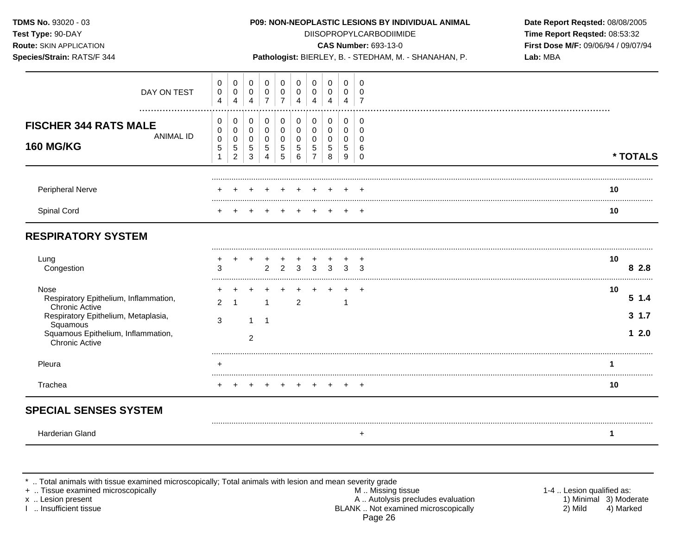| TDMS No. 93020 - 03<br>Test Type: 90-DAY<br><b>Route: SKIN APPLICATION</b><br>Species/Strain: RATS/F 344                                                                                 |                                                               |                                                                 |                                 |                                                        |                                                    |                                           |                                                                 |                                                        |                                                         |                                                   | P09: NON-NEOPLASTIC LESIONS BY INDIVIDUAL ANIMAL<br><b>DIISOPROPYLCARBODIIMIDE</b><br><b>CAS Number: 693-13-0</b><br>Pathologist: BIERLEY, B. - STEDHAM, M. - SHANAHAN, P. | Date Report Reqsted: 08/08/2005<br>Time Report Reqsted: 08:53:32<br>First Dose M/F: 09/06/94 / 09/07/94<br>Lab: MBA |
|------------------------------------------------------------------------------------------------------------------------------------------------------------------------------------------|---------------------------------------------------------------|-----------------------------------------------------------------|---------------------------------|--------------------------------------------------------|----------------------------------------------------|-------------------------------------------|-----------------------------------------------------------------|--------------------------------------------------------|---------------------------------------------------------|---------------------------------------------------|----------------------------------------------------------------------------------------------------------------------------------------------------------------------------|---------------------------------------------------------------------------------------------------------------------|
| DAY ON TEST                                                                                                                                                                              | 0<br>$\pmb{0}$<br>$\overline{4}$                              | $\mathbf 0$<br>$\pmb{0}$<br>$\overline{4}$                      | 0<br>0<br>$\overline{4}$        | $\mathbf 0$<br>0<br>$\overline{7}$                     | $\mathbf 0$<br>$\pmb{0}$<br>$\overline{7}$         | 0<br>0<br>$\overline{4}$                  | 0<br>$\pmb{0}$<br>$\overline{4}$                                | $\mathbf 0$<br>0<br>$\overline{4}$                     | $\mathbf 0$<br>0<br>$\overline{4}$                      | $\mathbf 0$<br>$\mathbf 0$<br>$\overline{7}$      |                                                                                                                                                                            |                                                                                                                     |
| <b>FISCHER 344 RATS MALE</b><br><b>ANIMAL ID</b><br><b>160 MG/KG</b>                                                                                                                     | 0<br>$\mathbf 0$<br>$\mathbf 0$<br>$\sqrt{5}$<br>$\mathbf{1}$ | 0<br>$\mathbf 0$<br>$\mathbf 0$<br>$\sqrt{5}$<br>$\overline{2}$ | 0<br>0<br>$\mathbf 0$<br>5<br>3 | 0<br>$\mathbf 0$<br>$\mathbf 0$<br>5<br>$\overline{4}$ | 0<br>$\mathbf 0$<br>$\mathbf 0$<br>$\sqrt{5}$<br>5 | 0<br>$\mathbf 0$<br>$\mathbf 0$<br>5<br>6 | 0<br>$\mathbf 0$<br>$\mathbf 0$<br>$\sqrt{5}$<br>$\overline{7}$ | 0<br>$\mathbf 0$<br>$\mathbf 0$<br>$\overline{5}$<br>8 | 0<br>$\overline{0}$<br>$\Omega$<br>$5\phantom{.0}$<br>9 | 0<br>$\Omega$<br>$\Omega$<br>$\,6$<br>$\mathbf 0$ |                                                                                                                                                                            | * TOTALS                                                                                                            |
| Peripheral Nerve                                                                                                                                                                         |                                                               |                                                                 |                                 |                                                        |                                                    |                                           |                                                                 |                                                        |                                                         |                                                   |                                                                                                                                                                            | 10                                                                                                                  |
| Spinal Cord                                                                                                                                                                              |                                                               |                                                                 |                                 |                                                        |                                                    |                                           |                                                                 |                                                        |                                                         |                                                   |                                                                                                                                                                            | 10                                                                                                                  |
| <b>RESPIRATORY SYSTEM</b><br>Lung<br>Congestion                                                                                                                                          | 3                                                             |                                                                 |                                 | $\overline{2}$                                         | 2                                                  | $\overline{3}$                            | 3                                                               | 3                                                      | $\mathcal{S}$                                           | 3                                                 |                                                                                                                                                                            | 10<br>8 2.8                                                                                                         |
| Nose<br>Respiratory Epithelium, Inflammation,<br><b>Chronic Active</b><br>Respiratory Epithelium, Metaplasia,<br>Squamous<br>Squamous Epithelium, Inflammation,<br><b>Chronic Active</b> | 2<br>3                                                        | $\overline{1}$                                                  | $\mathbf{1}$<br>2               | $\mathbf{1}$<br>$\overline{1}$                         |                                                    | $\overline{2}$                            |                                                                 |                                                        | 1                                                       | $\ddot{}$                                         |                                                                                                                                                                            | 10<br>51.4<br>$3 \t1.7$<br>12.0                                                                                     |
| Pleura                                                                                                                                                                                   | $\ddot{}$                                                     |                                                                 |                                 |                                                        |                                                    |                                           |                                                                 |                                                        |                                                         |                                                   |                                                                                                                                                                            | $\blacktriangleleft$                                                                                                |
| Trachea                                                                                                                                                                                  | $+$                                                           |                                                                 | $+$                             | $+$                                                    | $^{+}$                                             | $+$                                       | $+$                                                             | $^{+}$                                                 | $+$                                                     | $\ddot{}$                                         |                                                                                                                                                                            | 10                                                                                                                  |
| <b>SPECIAL SENSES SYSTEM</b>                                                                                                                                                             |                                                               |                                                                 |                                 |                                                        |                                                    |                                           |                                                                 |                                                        |                                                         |                                                   |                                                                                                                                                                            |                                                                                                                     |
| Harderian Gland                                                                                                                                                                          |                                                               |                                                                 |                                 |                                                        |                                                    |                                           |                                                                 |                                                        |                                                         | $\ddot{}$                                         |                                                                                                                                                                            | $\mathbf{1}$                                                                                                        |

\* .. Total animals with tissue examined microscopically; Total animals with lesion and mean severity grade

+ .. Tissue examined microscopically with the state of the state of the M .. Missing tissue the state of the state of the state of the state of the state of the state of the state of the state of the state of the state of x .. Lesion present **A .. Autolysis precludes evaluation** A .. Autolysis precludes evaluation 1) Minimal 3) Moderate I .. Insufficient tissue BLANK .. Not examined microscopically 2) Mild 4) Marked Page 26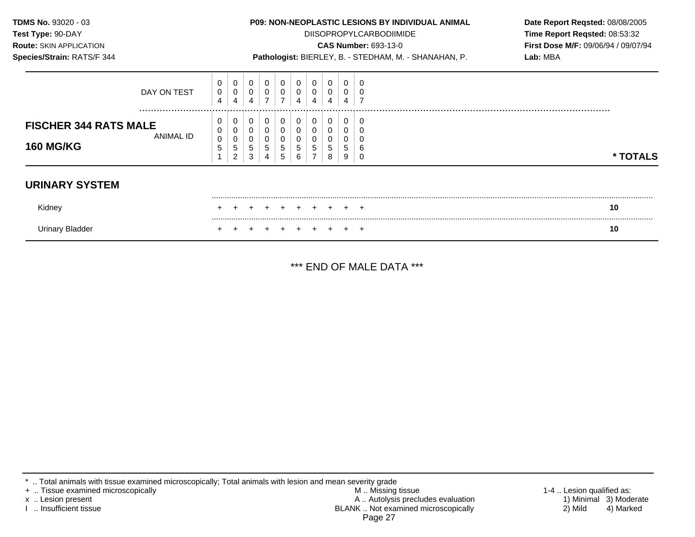| TDMS No. 93020 - 03<br>Test Type: 90-DAY<br><b>Route: SKIN APPLICATION</b><br>Species/Strain: RATS/F 344 |                      |                       | <b>P09: NON-NEOPLASTIC LESIONS BY INDIVIDUAL ANIMAL</b><br><b>DIISOPROPYLCARBODIIMIDE</b><br><b>CAS Number: 693-13-0</b><br>Pathologist: BIERLEY, B. - STEDHAM, M. - SHANAHAN, P. |        |                |             |             |        |             |        |             |  |  | Date Report Reqsted: 08/08/2005<br>Time Report Reqsted: 08:53:32<br>First Dose M/F: 09/06/94 / 09/07/94<br>Lab: MBA |
|----------------------------------------------------------------------------------------------------------|----------------------|-----------------------|-----------------------------------------------------------------------------------------------------------------------------------------------------------------------------------|--------|----------------|-------------|-------------|--------|-------------|--------|-------------|--|--|---------------------------------------------------------------------------------------------------------------------|
|                                                                                                          | DAY ON TEST          | 0<br>$\mathbf 0$<br>4 | 0                                                                                                                                                                                 | 0      | $\overline{ }$ | 0<br>⇁      | 0<br>4      | 0<br>4 | 4           |        |             |  |  |                                                                                                                     |
| <b>FISCHER 344 RATS MALE</b><br><b>160 MG/KG</b>                                                         | <br><b>ANIMAL ID</b> | 0<br>0<br>0<br>5      | 0<br>5                                                                                                                                                                            | 5<br>3 |                | 0<br>5<br>5 | 0<br>5<br>6 | 0<br>5 | 0<br>5<br>8 | 5<br>9 | C<br>6<br>C |  |  | * TOTALS                                                                                                            |
| <b>URINARY SYSTEM</b>                                                                                    |                      |                       |                                                                                                                                                                                   |        |                |             |             |        |             |        |             |  |  |                                                                                                                     |
| Kidney                                                                                                   |                      |                       |                                                                                                                                                                                   |        |                |             |             |        |             |        |             |  |  | 10                                                                                                                  |
| Urinary Bladder                                                                                          |                      |                       |                                                                                                                                                                                   |        |                |             |             |        |             |        | $\mathbf +$ |  |  | 10                                                                                                                  |

\*\*\* END OF MALE DATA \*\*\*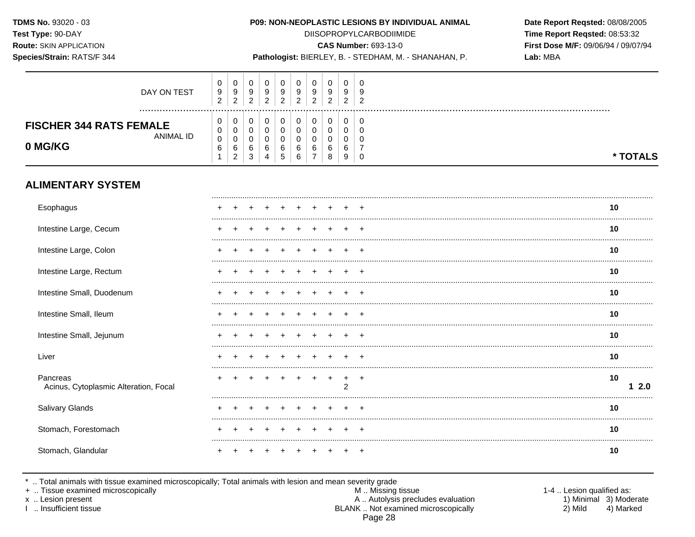Species/Strain: RATS/F 344

### P09: NON-NEOPLASTIC LESIONS BY INDIVIDUAL ANIMAL

**DIISOPROPYLCARBODIIMIDE CAS Number: 693-13-0** 

Pathologist: BIERLEY, B. - STEDHAM, M. - SHANAHAN, P.

Time Report Reqsted: 08:53:32 First Dose M/F: 09/06/94 / 09/07/94 Lab: MBA

Date Report Reqsted: 08/08/2005

| DAY ON TEST<br><b>FISCHER 344 RATS FEMALE</b> | 9<br>っ<br>0<br>0 | 9<br>ົ<br>$\epsilon$<br>0<br>0 | 9<br>ົ<br><u>_</u><br>U | ŗ<br>◠ | 9<br>ົ      | 9<br>◠           | У<br>ົ      | У<br>ົ      | 9<br>ົ | 9<br>ົ<br>$\sim$<br>0 |          |
|-----------------------------------------------|------------------|--------------------------------|-------------------------|--------|-------------|------------------|-------------|-------------|--------|-----------------------|----------|
| ANIMAL ID<br>0 MG/KG                          | 0<br>6           | 0<br>6<br>C.<br>$\epsilon$     | ັ<br>6<br>3             |        | 6<br>∽<br>N | υ<br>υ<br>6<br>6 | u<br>u<br>⌒ | u<br>6<br>8 | 6<br>9 | u<br><b>U</b><br>0    | * TOTALS |

## **ALIMENTARY SYSTEM**

| Esophagus                                         |  |  |  |  |   | 10        |  |
|---------------------------------------------------|--|--|--|--|---|-----------|--|
| Intestine Large, Cecum                            |  |  |  |  |   | 10        |  |
| Intestine Large, Colon                            |  |  |  |  |   | 10        |  |
| Intestine Large, Rectum                           |  |  |  |  |   | 10        |  |
| Intestine Small, Duodenum                         |  |  |  |  |   | 10        |  |
| Intestine Small, Ileum                            |  |  |  |  |   | 10        |  |
| Intestine Small, Jejunum                          |  |  |  |  |   | 10        |  |
| Liver                                             |  |  |  |  |   | 10        |  |
| Pancreas<br>Acinus, Cytoplasmic Alteration, Focal |  |  |  |  | 2 | 10<br>2.0 |  |
| Salivary Glands                                   |  |  |  |  |   | 10        |  |
| Stomach, Forestomach                              |  |  |  |  |   | 10        |  |
| Stomach, Glandular                                |  |  |  |  |   | 10        |  |

\* .. Total animals with tissue examined microscopically; Total animals with lesion and mean severity grade<br>+ .. Tissue examined microscopically

x .. Lesion present

I .. Insufficient tissue

M .. Missing tissue A .. Autolysis precludes evaluation BLANK .. Not examined microscopically Page 28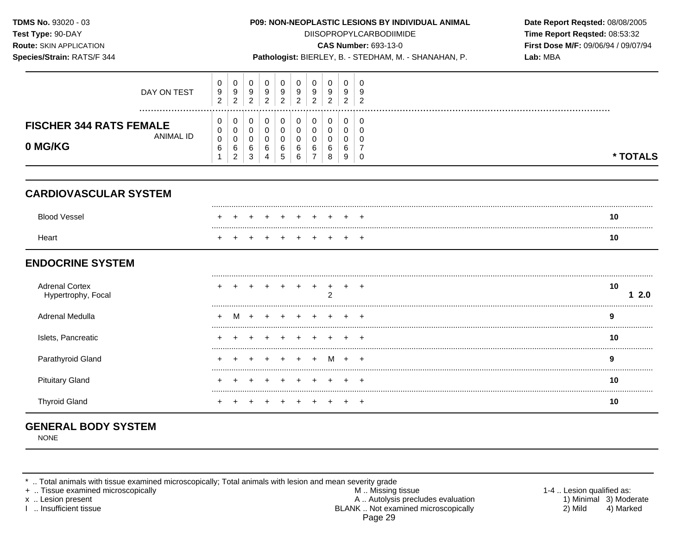| TDMS No. 93020 - 03<br>Test Type: 90-DAY<br>Route: SKIN APPLICATION<br>Species/Strain: RATS/F 344                                                |  |                          |                          |                          |                                           |                                           |                                         |                                                        |                            |                          |                                                  | P09: NON-NEOPLASTIC LESIONS BY INDIVIDUAL ANIMAL<br><b>DIISOPROPYLCARBODIIMIDE</b><br>CAS Number: 693-13-0<br>Pathologist: BIERLEY, B. - STEDHAM, M. - SHANAHAN, P. | Date Report Reqsted: 08/08/2005<br>Time Report Reqsted: 08:53:32<br>First Dose M/F: 09/06/94 / 09/07/94<br>Lab: MBA |
|--------------------------------------------------------------------------------------------------------------------------------------------------|--|--------------------------|--------------------------|--------------------------|-------------------------------------------|-------------------------------------------|-----------------------------------------|--------------------------------------------------------|----------------------------|--------------------------|--------------------------------------------------|---------------------------------------------------------------------------------------------------------------------------------------------------------------------|---------------------------------------------------------------------------------------------------------------------|
| DAY ON TEST                                                                                                                                      |  | 0<br>9<br>$\overline{2}$ | 0<br>9<br>$\overline{2}$ | 0<br>9<br>$\overline{2}$ | 0<br>9<br>$\overline{2}$                  | 0<br>$\boldsymbol{9}$<br>$\overline{c}$   | 0<br>9<br>$\overline{2}$                | 0<br>9<br>$\overline{2}$                               | 0<br>9<br>$\overline{2}$   | 0<br>9<br>$\overline{2}$ | $\Omega$<br>9<br>$\overline{2}$                  |                                                                                                                                                                     |                                                                                                                     |
| 0<br>0<br><b>FISCHER 344 RATS FEMALE</b><br>0<br>0<br><b>ANIMAL ID</b><br>$\mathbf 0$<br>$\mathbf 0$<br>0 MG/KG<br>6<br>6<br>$\overline{2}$<br>1 |  |                          |                          |                          | 0<br>$\mathbf 0$<br>$\mathbf 0$<br>6<br>4 | 0<br>$\mathbf 0$<br>$\mathbf 0$<br>6<br>5 | 0<br>$\pmb{0}$<br>$\mathbf 0$<br>6<br>6 | 0<br>$\mathbf 0$<br>$\mathbf 0$<br>6<br>$\overline{7}$ | 0<br>0<br>0<br>6<br>8      | 0<br>0<br>0<br>6<br>9    | $\mathbf 0$<br>$\mathbf 0$<br>$\Omega$<br>7<br>0 |                                                                                                                                                                     | * TOTALS                                                                                                            |
| <b>CARDIOVASCULAR SYSTEM</b>                                                                                                                     |  |                          |                          |                          |                                           |                                           |                                         |                                                        |                            |                          |                                                  |                                                                                                                                                                     |                                                                                                                     |
| <b>Blood Vessel</b>                                                                                                                              |  |                          |                          |                          |                                           |                                           |                                         |                                                        |                            |                          |                                                  |                                                                                                                                                                     | 10                                                                                                                  |
| Heart                                                                                                                                            |  |                          |                          |                          |                                           |                                           |                                         |                                                        |                            |                          | $\overline{+}$                                   |                                                                                                                                                                     | 10                                                                                                                  |
| <b>ENDOCRINE SYSTEM</b>                                                                                                                          |  |                          |                          |                          |                                           |                                           |                                         |                                                        |                            |                          |                                                  |                                                                                                                                                                     |                                                                                                                     |
| <b>Adrenal Cortex</b><br>Hypertrophy, Focal                                                                                                      |  |                          |                          |                          |                                           |                                           |                                         |                                                        | $\ddot{}$<br>$\mathcal{P}$ | $+$                      |                                                  |                                                                                                                                                                     | 10<br>12.0                                                                                                          |
| Adrenal Medulla                                                                                                                                  |  |                          |                          |                          |                                           |                                           |                                         |                                                        |                            |                          |                                                  |                                                                                                                                                                     | 9                                                                                                                   |
| Islets, Pancreatic                                                                                                                               |  |                          |                          |                          |                                           |                                           |                                         |                                                        |                            |                          |                                                  |                                                                                                                                                                     | 10                                                                                                                  |
| Parathyroid Gland                                                                                                                                |  |                          |                          |                          |                                           |                                           |                                         |                                                        | м                          |                          |                                                  |                                                                                                                                                                     | 9                                                                                                                   |
| <b>Pituitary Gland</b>                                                                                                                           |  |                          |                          |                          |                                           |                                           |                                         |                                                        |                            |                          |                                                  |                                                                                                                                                                     | 10                                                                                                                  |
| <b>Thyroid Gland</b>                                                                                                                             |  |                          |                          |                          |                                           |                                           |                                         |                                                        |                            |                          |                                                  |                                                                                                                                                                     | 10                                                                                                                  |

# **GENERAL BODY SYSTEM**

NONE

\* .. Total animals with tissue examined microscopically; Total animals with lesion and mean severity grade

+ .. Tissue examined microscopically M .. Missing tissue 1-4 .. Lesion qualified as: x .. Lesion present 1) Minimal 3) Moderate A .. Autor A .. Autor A .. Autor A .. Autor A .. Autor A .. Autor A .. Autor A .. Autor A .. Autor A .. Autor A .. Autor A .. Autor A .. Autor A .. Autor A .. Autor A .. Autor A . I .. Insufficient tissue BLANK .. Not examined microscopically 2) Mild 4) Marked Page 29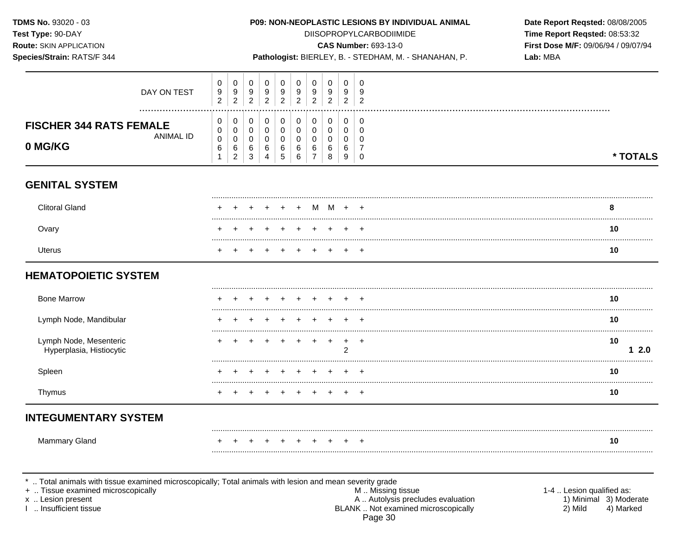TDMS No. 93020 - 03 P09: NON-NEOPLASTIC LESIONS BY INDIVIDUAL ANIMAL Date Report Reqsted: 08/08/2005 Test Type: 90-DAY **DIISOPROPYLCARBODIIMIDE** Time Report Regsted: 08:53:32 **Route: SKIN APPLICATION CAS Number: 693-13-0** First Dose M/F: 09/06/94 / 09/07/94 Species/Strain: RATS/F 344 Pathologist: BIERLEY, B. - STEDHAM, M. - SHANAHAN, P. Lab: MBA  $\mathbf 0$  $\mathbf 0$  $\mathbf 0$  $\mathbf 0$  $\mathbf 0$  $\Omega$  $\mathbf 0$  $\mathbf 0$  $\Omega$  $\mathbf 0$  $\frac{9}{2}$  $\begin{array}{c} 9 \\ 2 \end{array}$  $\frac{9}{2}$  $\frac{9}{2}$  $\boldsymbol{9}$  $\boldsymbol{9}$  $\mathsf g$  $9\,$ 9 9 DAY ON TEST  $\overline{2}$  $\overline{2}$  $\overline{2}$  $\overline{2}$  $\overline{2}$  $\overline{2}$  $\pmb{0}$  $\mathbf 0$  $\pmb{0}$  $\mathbf 0$  $\mathbf 0$  $\mathbf 0$  $\mathbf 0$ 0 0 0 **FISCHER 344 RATS FEMALE**  $\mathbf 0$  $\mathsf 0$  $\mathbf 0$  $\mathbf 0$  $\mathbf 0$  $\mathbf 0$  $\mathbf 0$  $\mathbf 0$  $\mathbf{0}$  $\mathbf 0$ **ANIMAI ID**  $\mathbf 0$  $\mathbf 0$  $\mathbf 0$  $\mathbf 0$  $\mathbf 0$  $\mathbf 0$  $\mathbf 0$  $\mathbf 0$  $\mathbf 0$  $\mathbf 0$ 0 MG/KG  $\,6$  $\,6\,$  $6\phantom{1}6$  $\,6$  $\,6$  $6\phantom{1}$  $\,6\,$  $\,6\,$ 6  $\overline{7}$  $\mathbf{1}$  $\overline{2}$  $\mathsf 3$ 5  $\,6\,$  $\overline{7}$  $\, 8$ \* TOTALS  $\overline{4}$ 9  $\mathbf 0$ **GENITAL SYSTEM Clitoral Gland**  $M +$ 8  $\ddot{+}$  $+$ M  $\div$ Ovary 10 Uterus 10  $+$  $+$  $\div$  $+$ **HEMATOPOIETIC SYSTEM Bone Marrow** 10 Lymph Node, Mandibular 10 +  $\ddot{}$  $\ddot{}$  $\overline{ }$  $+$ Lymph Node, Mesenteric 10 ÷  $\ddot{}$  $\ddot{}$  $+$  $+$  $\ddot{}$  $\ddot{}$  $\overline{+}$ Hyperplasia, Histiocytic  $\overline{2}$  $12.0$ Spleen 10 Thymus 10  $+$  $+$  $\overline{ }$  $\div$ **INTEGUMENTARY SYSTEM** Mammary Gland 10 .. Total animals with tissue examined microscopically; Total animals with lesion and mean severity grade + .. Tissue examined microscopically 1-4 .. Lesion qualified as: M .. Missing tissue

x .. Lesion present

L. Insufficient tissue

A .. Autolysis precludes evaluation BLANK .. Not examined microscopically Page 30

1) Minimal 3) Moderate 2) Mild 4) Marked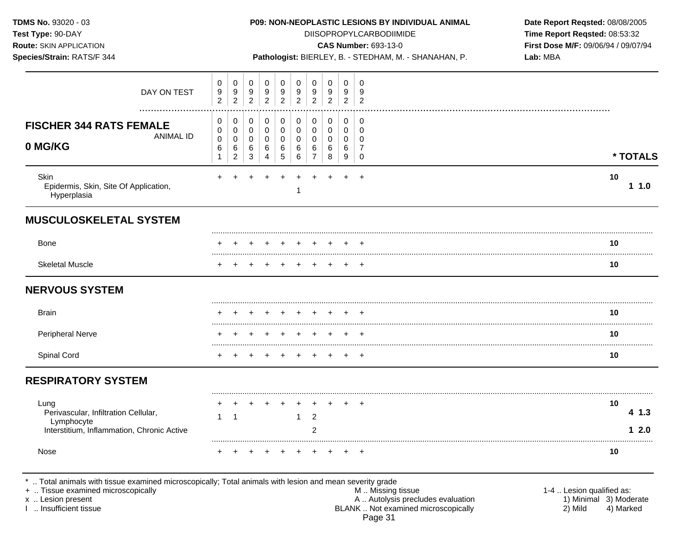| <b>TDMS No. 93020 - 03</b><br>Test Type: 90-DAY<br><b>Route: SKIN APPLICATION</b><br>Species/Strain: RATS/F 344                                                                            |                          |                                    |                          |                          |                          |                          |                                    |                          |                          | <b>P09: NON-NEOPLASTIC LESIONS BY INDIVIDUAL ANIMAL</b><br><b>DIISOPROPYLCARBODIIMIDE</b><br><b>CAS Number: 693-13-0</b><br>Pathologist: BIERLEY, B. - STEDHAM, M. - SHANAHAN, P. | Date Report Reqsted: 08/08/2005<br>Time Report Reqsted: 08:53:32<br>First Dose M/F: 09/06/94 / 09/07/94<br>Lab: MBA |               |
|--------------------------------------------------------------------------------------------------------------------------------------------------------------------------------------------|--------------------------|------------------------------------|--------------------------|--------------------------|--------------------------|--------------------------|------------------------------------|--------------------------|--------------------------|-----------------------------------------------------------------------------------------------------------------------------------------------------------------------------------|---------------------------------------------------------------------------------------------------------------------|---------------|
| DAY ON TEST                                                                                                                                                                                | 0<br>9<br>$\overline{2}$ | 0<br>9<br>$\overline{2}$           | 0<br>9<br>$\overline{2}$ | 0<br>9<br>$\overline{2}$ | 0<br>9<br>$\overline{2}$ | 0<br>9<br>$\overline{2}$ | 0<br>9<br>$\overline{2}$           | 0<br>9<br>$\overline{2}$ | 0<br>9<br>$\overline{2}$ | 0<br>-9<br>$\overline{2}$                                                                                                                                                         |                                                                                                                     |               |
| <b>FISCHER 344 RATS FEMALE</b><br><b>ANIMAL ID</b><br>0 MG/KG                                                                                                                              | 0<br>0<br>0<br>6         | 0<br>0<br>0<br>6<br>$\overline{c}$ | 0<br>0<br>0<br>6<br>3    | 0<br>0<br>0<br>6<br>4    | 0<br>0<br>0<br>6<br>5    | 0<br>0<br>0<br>6<br>6    | 0<br>0<br>0<br>6<br>$\overline{7}$ | 0<br>0<br>0<br>6<br>8    | 0<br>0<br>0<br>6<br>9    | 0<br>0<br>0<br>-7<br>0                                                                                                                                                            | * TOTALS                                                                                                            |               |
| <b>Skin</b><br>Epidermis, Skin, Site Of Application,<br>Hyperplasia                                                                                                                        |                          |                                    |                          |                          |                          |                          |                                    |                          |                          |                                                                                                                                                                                   | 10                                                                                                                  | 11.0          |
| <b>MUSCULOSKELETAL SYSTEM</b>                                                                                                                                                              |                          |                                    |                          |                          |                          |                          |                                    |                          |                          |                                                                                                                                                                                   |                                                                                                                     |               |
| <b>Bone</b>                                                                                                                                                                                |                          |                                    |                          |                          |                          |                          |                                    |                          |                          |                                                                                                                                                                                   | 10                                                                                                                  |               |
| <b>Skeletal Muscle</b>                                                                                                                                                                     |                          |                                    |                          |                          |                          |                          |                                    |                          |                          |                                                                                                                                                                                   | 10                                                                                                                  |               |
| <b>NERVOUS SYSTEM</b>                                                                                                                                                                      |                          |                                    |                          |                          |                          |                          |                                    |                          |                          |                                                                                                                                                                                   |                                                                                                                     |               |
| <b>Brain</b>                                                                                                                                                                               |                          |                                    |                          |                          |                          |                          |                                    |                          |                          |                                                                                                                                                                                   | 10                                                                                                                  |               |
| Peripheral Nerve                                                                                                                                                                           |                          |                                    |                          |                          |                          |                          |                                    |                          |                          |                                                                                                                                                                                   | 10                                                                                                                  |               |
| Spinal Cord                                                                                                                                                                                |                          |                                    |                          |                          |                          |                          |                                    |                          |                          |                                                                                                                                                                                   | 10                                                                                                                  |               |
| <b>RESPIRATORY SYSTEM</b>                                                                                                                                                                  |                          |                                    |                          |                          |                          |                          |                                    |                          |                          |                                                                                                                                                                                   |                                                                                                                     |               |
| Lung<br>Perivascular, Infiltration Cellular,<br>Lymphocyte<br>Interstitium, Inflammation, Chronic Active                                                                                   | +<br>$\mathbf{1}$        | $\overline{\phantom{1}}$           |                          |                          |                          | 1                        | $+$<br>2<br>$\overline{2}$         | $+$                      | $+$                      | $+$                                                                                                                                                                               | 10                                                                                                                  | 4 1.3<br>12.0 |
| Nose                                                                                                                                                                                       |                          |                                    |                          |                          |                          |                          |                                    |                          |                          |                                                                                                                                                                                   | 10                                                                                                                  |               |
| Total animals with tissue examined microscopically; Total animals with lesion and mean severity grade<br>+  Tissue examined microscopically<br>x  Lesion present<br>I  Insufficient tissue |                          |                                    |                          |                          |                          |                          |                                    |                          |                          | M  Missing tissue<br>A  Autolysis precludes evaluation<br>BLANK  Not examined microscopically                                                                                     | 1-4  Lesion qualified as:<br>1) Minimal 3) Moderate<br>2) Mild<br>4) Marked                                         |               |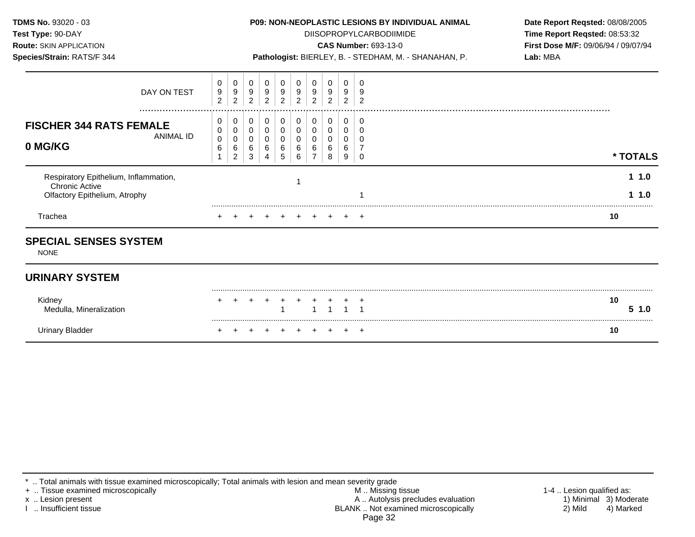**Test Type:** 90-DAY DIISOPROPYLCARBODIIMIDE **Time Report Reqsted:** 08:53:32 **Route:** SKIN APPLICATION **CAS Number:** 693-13-0 **First Dose M/F:** 09/06/94 / 09/07/94

| <b>UATIUN</b>               |  |
|-----------------------------|--|
| $\Lambda$ TO $\Gamma$ 0.4.4 |  |

**Species/Strain:** RATS/F 344 **Pathologist:** BIERLEY, B. - STEDHAM, M. - SHANAHAN, P. **Lab:** MBA

| Trachea                                                                                         |                          |                          |                                    |                          |             |             | $\pm$                        |                                  | $\pm$                    | $\div$ | 10         |
|-------------------------------------------------------------------------------------------------|--------------------------|--------------------------|------------------------------------|--------------------------|-------------|-------------|------------------------------|----------------------------------|--------------------------|--------|------------|
| Respiratory Epithelium, Inflammation,<br><b>Chronic Active</b><br>Olfactory Epithelium, Atrophy |                          |                          |                                    |                          |             |             |                              |                                  |                          |        | 1.0<br>1.0 |
| <b>FISCHER 344 RATS FEMALE</b><br>ANIMAL ID<br>0 MG/KG                                          | 0<br>0<br>0<br>6         | 0<br>0<br>0<br>6<br>2    | 0<br>0<br>0<br>6<br>3              | 0<br>υ<br>6<br>4         | 0<br>6<br>5 | 0<br>6<br>6 | 0<br>◠<br>O                  | 0<br>0<br>0<br>6<br>8            | 0<br>0<br>0<br>6<br>9    |        | * TOTALS   |
| DAY ON TEST<br>                                                                                 | 0<br>9<br>$\overline{c}$ | 0<br>9<br>$\overline{c}$ | $\mathbf 0$<br>9<br>$\overline{2}$ | 0<br>9<br>$\overline{c}$ | 0<br>9<br>2 | 0<br>9<br>2 | 0<br>$9\,$<br>$\overline{2}$ | $_{9}^{\rm 0}$<br>$\overline{2}$ | 0<br>9<br>$\overline{2}$ | ാ      |            |

## **URINARY SYSTEM**

| Kidney<br>, Mineralization<br>Medulla, | + + + + + + + + + + |  | 1 1 1 1 1 |  |  | 10<br>$-1.0$ |
|----------------------------------------|---------------------|--|-----------|--|--|--------------|
| Urinary Bladder                        | + + + + + + + + + + |  |           |  |  | 10           |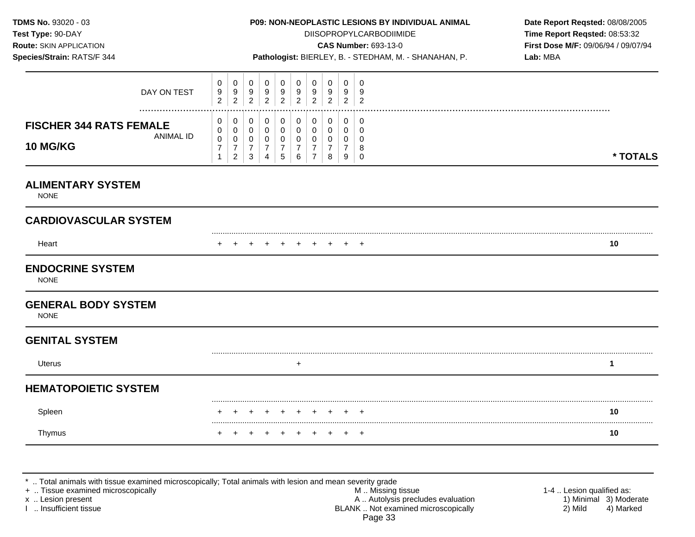**Test Type:** 90-DAY DIISOPROPYLCARBODIIMIDE **Time Report Reqsted:** 08:53:32 **Route:** SKIN APPLICATION **CAS Number:** 693-13-0 **First Dose M/F:** 09/06/94 / 09/07/94 **Species/Strain:** RATS/F 344 **Pathologist:** BIERLEY, B. - STEDHAM, M. - SHANAHAN, P. **Lab:** MBA

| DAY ON TEST                                                        | 0<br>9<br>$\overline{2}$                     | 0<br>$\boldsymbol{9}$<br>$\overline{2}$                 | 0<br>$9\,$<br>$\boldsymbol{2}$                | 0<br>9<br>$\overline{c}$                     | 0<br>9<br>$\overline{2}$                     | 0<br>9<br>$\overline{c}$                  | 0<br>9<br>$\overline{2}$             | 0<br>9<br>$\overline{2}$ | 0<br>9<br>$\overline{c}$        | 0<br>9<br>$\overline{2}$     |          |
|--------------------------------------------------------------------|----------------------------------------------|---------------------------------------------------------|-----------------------------------------------|----------------------------------------------|----------------------------------------------|-------------------------------------------|--------------------------------------|--------------------------|---------------------------------|------------------------------|----------|
| <br><b>FISCHER 344 RATS FEMALE</b><br><b>ANIMAL ID</b><br>10 MG/KG | 0<br>0<br>$\mathbf 0$<br>$\overline{7}$<br>1 | 0<br>0<br>$\pmb{0}$<br>$\overline{7}$<br>$\overline{2}$ | 0<br>0<br>0<br>$\overline{7}$<br>$\mathbf{3}$ | 0<br>0<br>$\mathbf 0$<br>$\overline{7}$<br>4 | 0<br>$\mathbf 0$<br>0<br>$\overline{7}$<br>5 | 0<br>$\Omega$<br>0<br>$\overline{7}$<br>6 | 0<br>$\Omega$<br>0<br>$\overline{7}$ | 0<br>0<br>0<br>7<br>8    | 0<br>0<br>$\mathbf 0$<br>7<br>9 | 0<br>0<br>0<br>8<br>$\Omega$ | * TOTALS |
| <b>ALIMENTARY SYSTEM</b><br><b>NONE</b>                            |                                              |                                                         |                                               |                                              |                                              |                                           |                                      |                          |                                 |                              |          |
| <b>CARDIOVASCULAR SYSTEM</b>                                       |                                              |                                                         |                                               |                                              |                                              |                                           |                                      |                          |                                 |                              |          |
| Heart                                                              |                                              |                                                         |                                               |                                              |                                              |                                           |                                      |                          |                                 | $\overline{ }$               | 10       |
| <b>ENDOCRINE SYSTEM</b><br><b>NONE</b>                             |                                              |                                                         |                                               |                                              |                                              |                                           |                                      |                          |                                 |                              |          |
| <b>GENERAL BODY SYSTEM</b><br><b>NONE</b>                          |                                              |                                                         |                                               |                                              |                                              |                                           |                                      |                          |                                 |                              |          |
| <b>GENITAL SYSTEM</b>                                              |                                              |                                                         |                                               |                                              |                                              |                                           |                                      |                          |                                 |                              |          |
| Uterus                                                             |                                              |                                                         |                                               |                                              |                                              | $\ddot{}$                                 |                                      |                          |                                 |                              | 1        |
| <b>HEMATOPOIETIC SYSTEM</b>                                        |                                              |                                                         |                                               |                                              |                                              |                                           |                                      |                          |                                 |                              |          |
| Spleen                                                             |                                              |                                                         |                                               |                                              |                                              |                                           |                                      | $\pm$                    | $\ddot{}$                       | $\overline{+}$               | 10       |
| Thymus                                                             |                                              |                                                         |                                               |                                              |                                              |                                           |                                      |                          |                                 | $\ddot{}$                    | 10       |

\* .. Total animals with tissue examined microscopically; Total animals with lesion and mean severity grade

+ .. Tissue examined microscopically with the state of the state of the M .. Missing tissue the state of the state of the state of the state of the state of the state of the state of the state of the state of the state of x .. Lesion present **A** .. Autolysis precludes evaluation A .. Autolysis precludes evaluation 1) Minimal 3) Moderate<br>2) Mild 4) Marked 1 .. Insufficient tissue 4) Marked BLANK .. Not examined microscopically Page 33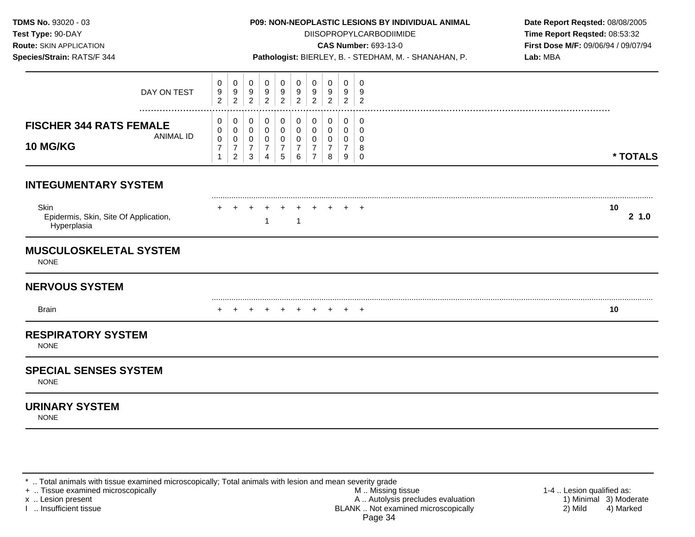**TDMS No.** 93020 - 03 **P09: NON-NEOPLASTIC LESIONS BY INDIVIDUAL ANIMAL Date Report Reqsted:** 08/08/2005 **Test Type:**  $90-DAY$  **DIISOPROPYLCARBODIIMIDE <b>Time Report Reqsted:** 08:53:32 **Route:** SKIN APPLICATION **CAS Number:** 693-13-0 **First Dose M/F:** 09/06/94 / 09/07/94 **Species/Strain:** RATS/F 344 **Pathologist:** BIERLEY, B. - STEDHAM, M. - SHANAHAN, P. **Lab:** MBA 0 0 0 0 0 0 0 0 0 0 DAY ON TEST 9 9 9 9 9 9 9 9 9 9 2 2 2 2 2 2 2 2 2 2 ................................................................................................................................................................. **FISCHER 344 RATS FEMALE**  $\begin{bmatrix} 0 \\ 0 \end{bmatrix}$ ANIMAL ID  $\begin{bmatrix} 0 \\ 0 \\ 7 \end{bmatrix}$ **10 MG/KG** 7 1 0 0 0 7 2 0 0 0 7 3 0 0 0 7 4 0 0 0 7 5 0 0 0 7 6 0 0 0 7 7 0 0 0 7 8 0  $\Omega$ 0 7 9 0 0 0 8 0 **\* TOTALS INTEGUMENTARY SYSTEM** ......................................................................................................................................................................................................... Skin + + + + + + + + + + **10**  Epidermis, Skin, Site Of Application, **2 1.0** 1 1 Hyperplasia **MUSCULOSKELETAL SYSTEM NONE NERVOUS SYSTEM** 

Brain

## **RESPIRATORY SYSTEM**

**NONE** 

## **SPECIAL SENSES SYSTEM**

**NONE** 

# **URINARY SYSTEM**

NONE

\* .. Total animals with tissue examined microscopically; Total animals with lesion and mean severity grade

.........................................................................................................................................................................................................

+ + + + + + + + + + **10**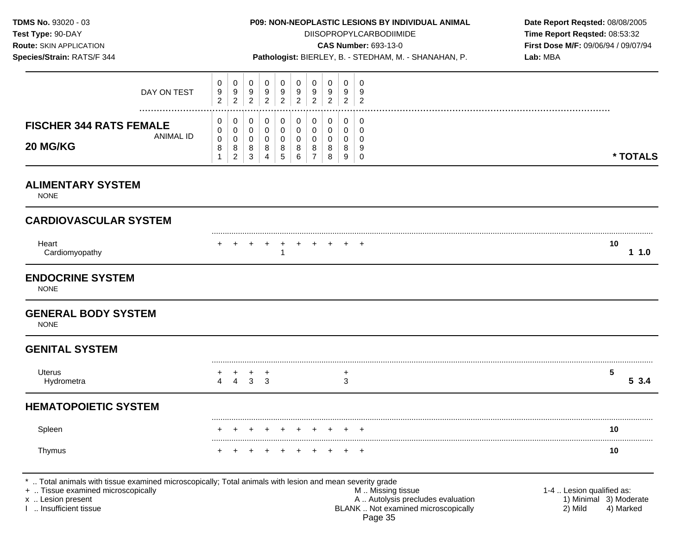**Test Type:**  $90-DAY$  **DIISOPROPYLCARBODIIMIDE <b>Time Report Reqsted:** 08:53:32 **Route:** SKIN APPLICATION **CAS Number:** 693-13-0 **First Dose M/F:** 09/06/94 / 09/07/94

0 **\* TOTALS** 

| $119415.$ ORITHER LEDRITON<br>Species/Strain: RATS/F 344 |             |                                     |                       |             |             |        |             |        |   |   | $9.0$ $1.00$ $1.00$ $1.00$<br>Pathologist: BIERLEY, B. - STEDHAM, M. - SHANAHAN, P. | Lab: MBA |
|----------------------------------------------------------|-------------|-------------------------------------|-----------------------|-------------|-------------|--------|-------------|--------|---|---|-------------------------------------------------------------------------------------|----------|
|                                                          | DAY ON TEST | $\mathbf{0}$<br>9<br>$\overline{2}$ | U<br>9<br>2           | U<br>9<br>2 | 0<br>9<br>2 | 9<br>2 | 0<br>9<br>2 | 9<br>2 | ົ | ົ |                                                                                     |          |
| <b>FISCHER 344 RATS FEMALE</b><br>20 MG/KG               | ANIMAL ID   | $\mathbf{0}$<br>0<br>0<br>8         | 0<br>U<br>v<br>8<br>ົ | v<br>8<br>3 | 8           | 8      | 8<br>6      |        | 8 |   |                                                                                     |          |

## **ALIMENTARY SYSTEM**

NONE

# **CARDIOVASCULAR SYSTEM**

| Heart          |  |  |  |  | + + + + + + + + + + | 10 |
|----------------|--|--|--|--|---------------------|----|
| Cardiomyopathy |  |  |  |  |                     |    |

## **ENDOCRINE SYSTEM**

NONE

## **GENERAL BODY SYSTEM**

NONE

## **GENITAL SYSTEM**

| <b>Iterus</b><br>$\ddotsc$ |  |  |
|----------------------------|--|--|
|                            |  |  |

# **HEMATOPOIETIC SYSTEM**

| spleer |  |  |  |  | + + + + + + + + + + | 10 |
|--------|--|--|--|--|---------------------|----|
| Thymus |  |  |  |  | + + + + + + + + + + | 10 |

\* .. Total animals with tissue examined microscopically; Total animals with lesion and mean severity grade

+ .. Tissue examined microscopically examined microscopically and the state of the state of the M .. Missing tissue the M .. Missing tissue the matrice of the M .. Missing tissue the M .. Lesion qualified as: x .. Lesion present 1) Minimal 3) Moderate<br>A .. Autolysis precludes evaluation 1 and 1) Minimal 3) Moderate<br>A .. Autolysis precludes evaluation 1 and 1) Minimal 3) Moderate 1 and 19 Marked BLANK .. Not examined microscopically 2) Mild 4) Marked Page 35

.........................................................................................................................................................................................................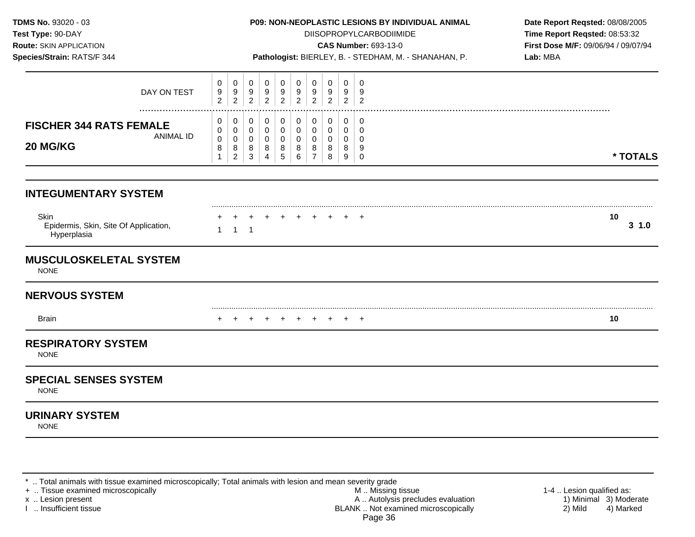| TDMS No. 93020 - 03<br>Test Type: 90-DAY<br>Route: SKIN APPLICATION<br>Species/Strain: RATS/F 344 |                                          |                                            |                                           |                                                                  | P09: NON-NEOPLASTIC LESIONS BY INDIVIDUAL ANIMAL<br>Pathologist: BIERLEY, B. - STEDHAM, M. - SHANAHAN, P. |                                                     |                                                                | <b>DIISOPROPYLCARBODIIMIDE</b><br><b>CAS Number: 693-13-0</b> | Date Report Reqsted: 08/08/2005<br>Time Report Reqsted: 08:53:32<br>First Dose M/F: 09/06/94 / 09/07/94<br>Lab: MBA |                                                               |                 |
|---------------------------------------------------------------------------------------------------|------------------------------------------|--------------------------------------------|-------------------------------------------|------------------------------------------------------------------|-----------------------------------------------------------------------------------------------------------|-----------------------------------------------------|----------------------------------------------------------------|---------------------------------------------------------------|---------------------------------------------------------------------------------------------------------------------|---------------------------------------------------------------|-----------------|
| DAY ON TEST                                                                                       | $\mathbf 0$<br>9<br>$\overline{2}$       | $\pmb{0}$<br>9<br>$\sqrt{2}$               | 0<br>9<br>$\overline{2}$                  | $\mathbf 0$<br>9<br>$\overline{2}$                               | $\mathbf 0$<br>9<br>$\sqrt{2}$                                                                            | $\mathbf 0$<br>9<br>$\overline{2}$                  | $\pmb{0}$<br>9<br>$\overline{2}$                               | $\mathbf 0$<br>9<br>$\sqrt{2}$                                | $\mathbf 0$<br>9<br>$\overline{2}$                                                                                  | $\mathbf 0$<br>9<br>$\overline{2}$                            |                 |
| <b>FISCHER 344 RATS FEMALE</b><br><b>ANIMAL ID</b><br>20 MG/KG                                    | 0<br>0<br>$\pmb{0}$<br>8<br>$\mathbf{1}$ | 0<br>0<br>$\pmb{0}$<br>8<br>$\overline{a}$ | $\mathbf 0$<br>0<br>$\mathbf 0$<br>8<br>3 | $\mathbf 0$<br>$\mathbf 0$<br>$\mathbf 0$<br>8<br>$\overline{4}$ | $\mathbf 0$<br>$\mathbf 0$<br>$\mathbf 0$<br>8<br>$\sqrt{5}$                                              | $\mathbf 0$<br>$\mathbf 0$<br>$\mathbf 0$<br>8<br>6 | $\pmb{0}$<br>$\mathbf 0$<br>$\mathbf 0$<br>8<br>$\overline{7}$ | 0<br>$\mathbf{0}$<br>$\mathbf 0$<br>8<br>8                    | 0<br>0<br>0<br>8<br>9                                                                                               | $\mathbf 0$<br>$\mathbf 0$<br>$\mathbf 0$<br>9<br>$\mathbf 0$ | * TOTALS        |
| <b>INTEGUMENTARY SYSTEM</b>                                                                       |                                          |                                            |                                           |                                                                  |                                                                                                           |                                                     |                                                                |                                                               |                                                                                                                     |                                                               |                 |
| Skin<br>Epidermis, Skin, Site Of Application,<br>Hyperplasia                                      | $\mathbf{1}$                             | $\mathbf{1}$                               | ÷<br>$\overline{1}$                       | $+$                                                              | $+$                                                                                                       | $+$                                                 | $\div$                                                         | $\div$                                                        | $+$                                                                                                                 | <b>+</b>                                                      | 10<br>$3 \t1.0$ |
| <b>MUSCULOSKELETAL SYSTEM</b><br><b>NONE</b>                                                      |                                          |                                            |                                           |                                                                  |                                                                                                           |                                                     |                                                                |                                                               |                                                                                                                     |                                                               |                 |
| <b>NERVOUS SYSTEM</b>                                                                             |                                          |                                            |                                           |                                                                  |                                                                                                           |                                                     |                                                                |                                                               |                                                                                                                     |                                                               |                 |
| <b>Brain</b>                                                                                      |                                          |                                            |                                           |                                                                  | $\pm$                                                                                                     | $+$                                                 | $+$                                                            | $\ddot{}$                                                     | $+$                                                                                                                 | $^{+}$                                                        | 10              |
| <b>RESPIRATORY SYSTEM</b><br><b>NONE</b>                                                          |                                          |                                            |                                           |                                                                  |                                                                                                           |                                                     |                                                                |                                                               |                                                                                                                     |                                                               |                 |
| <b>SPECIAL SENSES SYSTEM</b><br><b>NONE</b>                                                       |                                          |                                            |                                           |                                                                  |                                                                                                           |                                                     |                                                                |                                                               |                                                                                                                     |                                                               |                 |
| <b>URINARY SYSTEM</b><br><b>NONE</b>                                                              |                                          |                                            |                                           |                                                                  |                                                                                                           |                                                     |                                                                |                                                               |                                                                                                                     |                                                               |                 |
|                                                                                                   |                                          |                                            |                                           |                                                                  |                                                                                                           |                                                     |                                                                |                                                               |                                                                                                                     |                                                               |                 |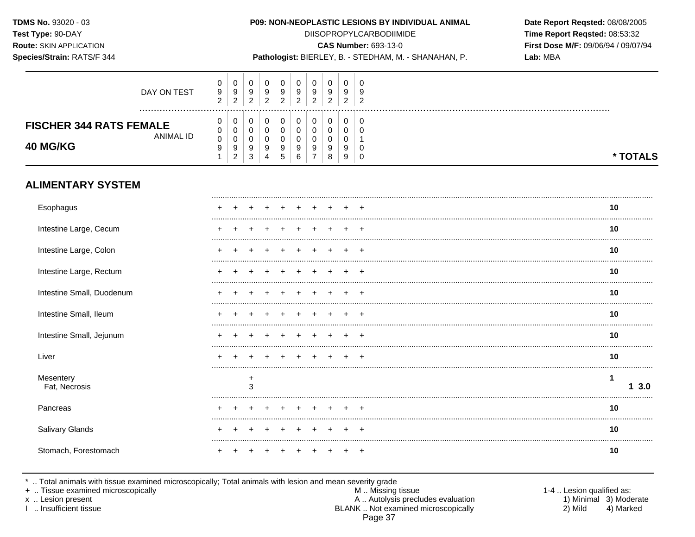#### P09: NON-NEOPLASTIC LESIONS BY INDIVIDUAL ANIMAL

**DIISOPROPYLCARBODIIMIDE** 

Date Report Reqsted: 08/08/2005 Time Report Reqsted: 08:53:32 First Dose M/F: 09/06/94 / 09/07/94 Lab: MBA

## Species/Strain: RATS/F 344

**CAS Number: 693-13-0** 

Pathologist: BIERLEY, B. - STEDHAM, M. - SHANAHAN, P.

| DAY ON TEST                                                    | v<br>9<br>◠<br>$\epsilon$ | U<br>y<br><u>_</u> | U<br>c<br>r      | 0<br>9<br>ົ | U<br>9<br>ົ       | U<br>9 | 0<br>9<br>n | U<br>u<br>v<br>ົ | U             |  |
|----------------------------------------------------------------|---------------------------|--------------------|------------------|-------------|-------------------|--------|-------------|------------------|---------------|--|
| <b>FISCHER 344 RATS FEMALE</b><br>ANIMAL ID<br><b>40 MG/KG</b> | v<br>v                    | J<br>ັ             | υ<br>ັບ<br>v     | 0.<br>u     |                   |        |             | u                | U<br><b>u</b> |  |
|                                                                | 9                         | 9<br><u>_</u>      | У<br>$\sim$<br>చ | 9<br>4      | 9<br>$\mathbf{p}$ | 9      | 9<br>8      | У<br>9           | <b>U</b><br>0 |  |

## **ALIMENTARY SYSTEM**

| Esophagus                  |  |   |  |  |  |  | 10  |
|----------------------------|--|---|--|--|--|--|-----|
| Intestine Large, Cecum     |  |   |  |  |  |  | 10  |
| Intestine Large, Colon     |  |   |  |  |  |  | 10  |
| Intestine Large, Rectum    |  |   |  |  |  |  | 10  |
| Intestine Small, Duodenum  |  |   |  |  |  |  | 10  |
| Intestine Small, Ileum     |  |   |  |  |  |  | 10  |
| Intestine Small, Jejunum   |  |   |  |  |  |  | 10  |
| Liver                      |  |   |  |  |  |  | 10  |
| Mesentery<br>Fat, Necrosis |  | 3 |  |  |  |  | 3.0 |
| Pancreas                   |  |   |  |  |  |  | 10  |
| Salivary Glands            |  |   |  |  |  |  | 10  |
| Stomach, Forestomach       |  |   |  |  |  |  | 10  |

\* .. Total animals with tissue examined microscopically; Total animals with lesion and mean severity grade<br>+ .. Tissue examined microscopically

x .. Lesion present

I .. Insufficient tissue

M .. Missing tissue A .. Autolysis precludes evaluation BLANK .. Not examined microscopically Page 37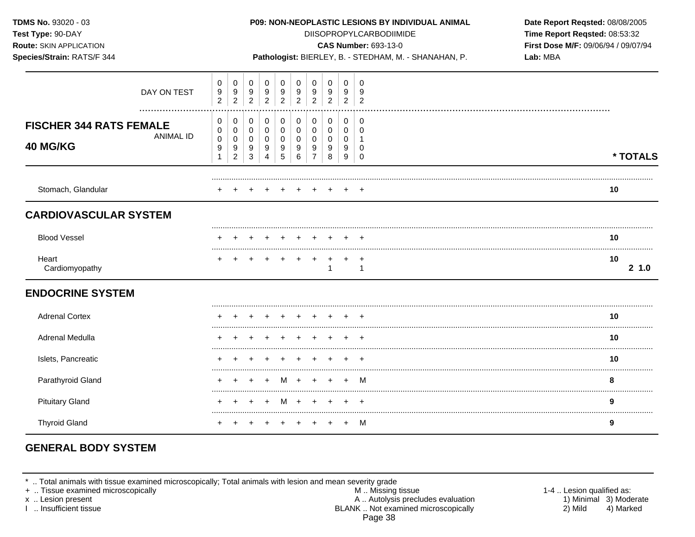| TDMS No. 93020 - 03<br>Test Type: 90-DAY<br><b>Route: SKIN APPLICATION</b><br>Species/Strain: RATS/F 344 |                  |                                                                   |                                              |                                          |                                 |                                    |                                                   |                                                                  |                          |                                    |                                         | P09: NON-NEOPLASTIC LESIONS BY INDIVIDUAL ANIMAL<br><b>DIISOPROPYLCARBODIIMIDE</b><br><b>CAS Number: 693-13-0</b><br>Pathologist: BIERLEY, B. - STEDHAM, M. - SHANAHAN, P. | Date Report Reqsted: 08/08/2005<br>Time Report Reqsted: 08:53:32<br>First Dose M/F: 09/06/94 / 09/07/94<br>Lab: MBA |  |  |  |  |
|----------------------------------------------------------------------------------------------------------|------------------|-------------------------------------------------------------------|----------------------------------------------|------------------------------------------|---------------------------------|------------------------------------|---------------------------------------------------|------------------------------------------------------------------|--------------------------|------------------------------------|-----------------------------------------|----------------------------------------------------------------------------------------------------------------------------------------------------------------------------|---------------------------------------------------------------------------------------------------------------------|--|--|--|--|
|                                                                                                          | DAY ON TEST      | 0<br>$\boldsymbol{9}$<br>$\overline{2}$                           | 0<br>$\frac{9}{2}$                           | 0<br>9<br>$\overline{2}$                 | 0<br>9<br>$\overline{2}$        | $\mathbf 0$<br>9<br>$\overline{2}$ | $\mathbf 0$<br>$\boldsymbol{9}$<br>$\overline{2}$ | 0<br>$\boldsymbol{9}$<br>$\overline{2}$                          | 0<br>9<br>$\overline{2}$ | $\mathbf 0$<br>9<br>$\overline{2}$ | $\mathbf 0$<br>9<br>$\overline{2}$      |                                                                                                                                                                            |                                                                                                                     |  |  |  |  |
| <b>FISCHER 344 RATS FEMALE</b><br>40 MG/KG                                                               | <b>ANIMAL ID</b> | 0<br>$\mathbf 0$<br>$\pmb{0}$<br>$\boldsymbol{9}$<br>$\mathbf{1}$ | 0<br>$\mathbf 0$<br>0<br>9<br>$\overline{2}$ | 0<br>$\mathbf 0$<br>0<br>9<br>$\sqrt{3}$ | 0<br>$\mathbf 0$<br>0<br>9<br>4 | 0<br>$\mathbf 0$<br>0<br>9<br>5    | $\mathbf 0$<br>$\Omega$<br>$\mathbf 0$<br>9<br>6  | $\mathbf 0$<br>$\mathbf 0$<br>$\mathbf 0$<br>9<br>$\overline{7}$ | 0<br>0<br>0<br>9<br>8    | 0<br>$\mathbf 0$<br>0<br>9<br>9    | 0<br>$\Omega$<br>-1<br>0<br>$\mathbf 0$ |                                                                                                                                                                            | * TOTALS                                                                                                            |  |  |  |  |
| Stomach, Glandular                                                                                       |                  |                                                                   |                                              |                                          |                                 |                                    |                                                   |                                                                  |                          |                                    |                                         |                                                                                                                                                                            | 10                                                                                                                  |  |  |  |  |
| <b>CARDIOVASCULAR SYSTEM</b>                                                                             |                  |                                                                   |                                              |                                          |                                 |                                    |                                                   |                                                                  |                          |                                    |                                         |                                                                                                                                                                            |                                                                                                                     |  |  |  |  |
| <b>Blood Vessel</b>                                                                                      |                  |                                                                   |                                              |                                          |                                 |                                    |                                                   |                                                                  |                          |                                    |                                         |                                                                                                                                                                            | 10                                                                                                                  |  |  |  |  |
| Heart<br>Cardiomyopathy                                                                                  |                  |                                                                   |                                              |                                          |                                 |                                    |                                                   | $+$                                                              | $\ddot{}$<br>1           | $\ddot{}$                          | $\overline{+}$<br>$\mathbf{1}$          |                                                                                                                                                                            | 10<br>21.0                                                                                                          |  |  |  |  |
| <b>ENDOCRINE SYSTEM</b>                                                                                  |                  |                                                                   |                                              |                                          |                                 |                                    |                                                   |                                                                  |                          |                                    |                                         |                                                                                                                                                                            |                                                                                                                     |  |  |  |  |
| <b>Adrenal Cortex</b>                                                                                    |                  |                                                                   |                                              |                                          |                                 |                                    |                                                   |                                                                  |                          |                                    |                                         |                                                                                                                                                                            | 10                                                                                                                  |  |  |  |  |
| <b>Adrenal Medulla</b>                                                                                   |                  |                                                                   |                                              |                                          |                                 |                                    |                                                   |                                                                  |                          |                                    |                                         |                                                                                                                                                                            | 10                                                                                                                  |  |  |  |  |
| Islets, Pancreatic                                                                                       |                  |                                                                   |                                              |                                          |                                 |                                    |                                                   |                                                                  |                          |                                    |                                         |                                                                                                                                                                            | 10                                                                                                                  |  |  |  |  |
| Parathyroid Gland                                                                                        |                  |                                                                   |                                              |                                          |                                 |                                    | M +                                               |                                                                  |                          |                                    | м                                       |                                                                                                                                                                            | 8                                                                                                                   |  |  |  |  |
| <b>Pituitary Gland</b>                                                                                   |                  |                                                                   |                                              |                                          |                                 | M                                  |                                                   |                                                                  |                          |                                    |                                         |                                                                                                                                                                            | 9                                                                                                                   |  |  |  |  |
| <b>Thyroid Gland</b>                                                                                     |                  |                                                                   |                                              |                                          |                                 |                                    |                                                   |                                                                  |                          | $+$                                | M                                       |                                                                                                                                                                            | 9                                                                                                                   |  |  |  |  |

# **GENERAL BODY SYSTEM**

\* .. Total animals with tissue examined microscopically; Total animals with lesion and mean severity grade<br>
+ .. Tissue examined microscopically<br>
x .. Lesion present<br>
1 .. Insufficient tissue<br>
1 .. Insufficient tissue Page 38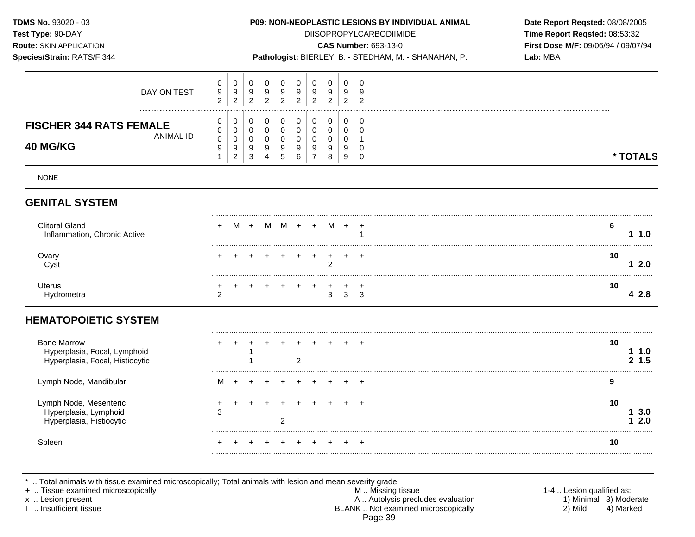**TDMS No.** 93020 - 03 **P09: NON-NEOPLASTIC LESIONS BY INDIVIDUAL ANIMAL Date Report Reqsted:** 08/08/2005 **Test Type:**  $90-DAY$  **DIISOPROPYLCARBODIIMIDE <b>Time Report Reqsted:** 08:53:32 **Route:** SKIN APPLICATION **CAS Number:** 693-13-0 **First Dose M/F:** 09/06/94 / 09/07/94 **Species/Strain:** RATS/F 344 **Pathologist:** BIERLEY, B. - STEDHAM, M. - SHANAHAN, P. **Lab:** MBA 0 0 0 0 0 0 0 0 0 0 DAY ON TEST 9 9 9 9 9 9 9 9 9 9 2 2 2 2 2 2 2 2 2 2 ................................................................................................................................................................. **FISCHER 344 RATS FEMALE**  $\begin{bmatrix} 0 \\ 0 \end{bmatrix}$ ANIMAL ID  $\begin{bmatrix} 0 \\ 0 \\ 9 \end{bmatrix}$ **40 MG/KG** 9 1 NONE 0 0 0 9 2 0 0 0 9 3 0 0 0 9 4 0 0 0 9 5 0 0 0 9 6 0 0 0 9 7 0 0 0 9 8 0 0 0 9 9 0 0 1 0 0 **\* TOTALS GENITAL SYSTEM** ......................................................................................................................................................................................................... Clitoral Gland + M + M M + + M + + **6**  Inflammation, Chronic Active 1 **1 1.0**  ......................................................................................................................................................................................................... Ovary + + + + + + + + + + **10**  Cyst 2 **1 2.0**  ......................................................................................................................................................................................................... Uterus + + + + + + + + + + **10**  Hydrometra 2 3 3 3 **4 2.8 HEMATOPOIETIC SYSTEM** ......................................................................................................................................................................................................... Bone Marrow + + + + + + + + + + **10**  Hyperplasia, Focal, Lymphoid 1 **1 1.0**  Hyperplasia, Focal, Histiocytic 1 2 **2 1.5**  Lymph Node, Mandibular M + + + + + + + + + **9**  ......................................................................................................................................................................................................... Lymph Node, Mesenteric + + + + + + + + + + **10**  Hyperplasia, Lymphoid 3 **1 3.0**  Hyperplasia, Histiocytic **2** 2 ......................................................................................................................................................................................................... Spleen + + + + + + + + + + **10**  .........................................................................................................................................................................................................

.. Total animals with tissue examined microscopically; Total animals with lesion and mean severity grade

+ .. Tissue examined microscopically examined microscopically and the state of the state of the M .. Missing tissue the M .. Missing tissue the matrice of the M .. Missing tissue the M .. Lesion qualified as: x .. Lesion present 1) Minimal 3) Moderate<br>A .. Autolysis precludes evaluation 1 and 1) Minimal 3) Moderate<br>BLANK .. Not examined microscopically 19 and 1) Mild 1 4) Marked BLANK .. Not examined microscopically 2) Mild 4) Marked Page 39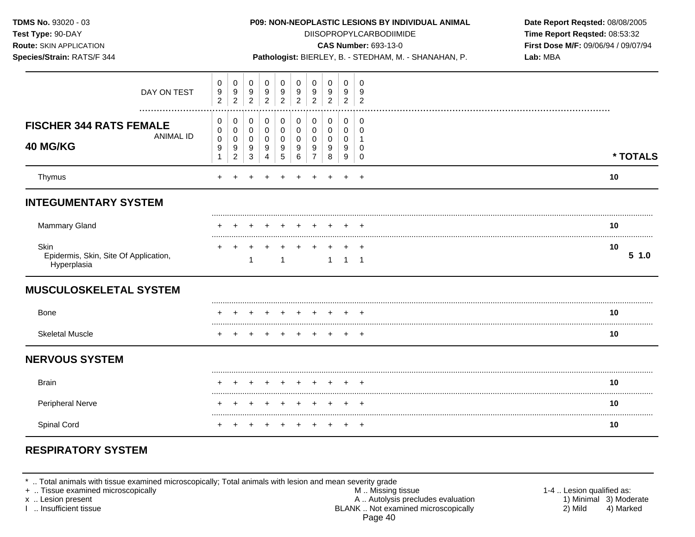| TDMS No. 93020 - 03<br>Test Type: 90-DAY<br>Route: SKIN APPLICATION<br>Species/Strain: RATS/F 344 |                                          |                                            |                          |                                              |                               |                       |                                              |                                    |                          | P09: NON-NEOPLASTIC LESIONS BY INDIVIDUAL ANIMAL<br><b>DIISOPROPYLCARBODIIMIDE</b><br><b>CAS Number: 693-13-0</b><br>Pathologist: BIERLEY, B. - STEDHAM, M. - SHANAHAN, P. | Date Report Reqsted: 08/08/2005<br>Time Report Reqsted: 08:53:32<br>First Dose M/F: 09/06/94 / 09/07/94<br>Lab: MBA |            |  |
|---------------------------------------------------------------------------------------------------|------------------------------------------|--------------------------------------------|--------------------------|----------------------------------------------|-------------------------------|-----------------------|----------------------------------------------|------------------------------------|--------------------------|----------------------------------------------------------------------------------------------------------------------------------------------------------------------------|---------------------------------------------------------------------------------------------------------------------|------------|--|
| DAY ON TEST                                                                                       | 0<br>9<br>$\overline{2}$                 | $\mathbf 0$<br>9<br>$\overline{c}$         | 0<br>9<br>$\overline{2}$ | 0<br>9<br>$\sqrt{2}$                         | 0<br>9<br>$\overline{2}$      | 0<br>9<br>$\sqrt{2}$  | $\mathbf 0$<br>9<br>$\overline{2}$           | $\mathbf 0$<br>9<br>$\overline{c}$ | 0<br>9<br>$\overline{2}$ | $\mathbf 0$<br>9<br>$\overline{c}$                                                                                                                                         |                                                                                                                     |            |  |
| <b>FISCHER 344 RATS FEMALE</b><br><b>ANIMAL ID</b><br>40 MG/KG                                    | 0<br>0<br>$\pmb{0}$<br>9<br>$\mathbf{1}$ | 0<br>0<br>$\pmb{0}$<br>9<br>$\overline{2}$ | 0<br>0<br>0<br>9<br>3    | 0<br>0<br>$\mathbf 0$<br>9<br>$\overline{4}$ | 0<br>0<br>$\pmb{0}$<br>9<br>5 | 0<br>0<br>0<br>9<br>6 | 0<br>0<br>$\mathbf 0$<br>9<br>$\overline{7}$ | 0<br>0<br>0<br>9<br>8              | 0<br>0<br>0<br>9<br>9    | 0<br>0<br>$\overline{1}$<br>$\Omega$<br>$\mathbf 0$                                                                                                                        |                                                                                                                     | * TOTALS   |  |
| Thymus                                                                                            |                                          |                                            |                          |                                              |                               |                       |                                              |                                    |                          |                                                                                                                                                                            |                                                                                                                     | 10         |  |
| <b>INTEGUMENTARY SYSTEM</b>                                                                       |                                          |                                            |                          |                                              |                               |                       |                                              |                                    |                          |                                                                                                                                                                            |                                                                                                                     |            |  |
| <b>Mammary Gland</b>                                                                              |                                          |                                            |                          |                                              |                               |                       |                                              |                                    |                          |                                                                                                                                                                            |                                                                                                                     | 10         |  |
| Skin<br>Epidermis, Skin, Site Of Application,<br>Hyperplasia                                      |                                          |                                            | $\mathbf{1}$             |                                              | $\mathbf{1}$                  |                       |                                              | $1 \quad$                          | ÷.<br>$1 \quad 1$        | $\overline{ }$                                                                                                                                                             |                                                                                                                     | 10<br>51.0 |  |
| <b>MUSCULOSKELETAL SYSTEM</b>                                                                     |                                          |                                            |                          |                                              |                               |                       |                                              |                                    |                          |                                                                                                                                                                            |                                                                                                                     |            |  |
| <b>Bone</b>                                                                                       |                                          |                                            |                          |                                              |                               |                       |                                              |                                    |                          | $\overline{ }$                                                                                                                                                             |                                                                                                                     | 10         |  |
| <b>Skeletal Muscle</b>                                                                            |                                          |                                            |                          |                                              |                               |                       |                                              |                                    |                          | $\overline{+}$                                                                                                                                                             |                                                                                                                     | 10         |  |
| <b>NERVOUS SYSTEM</b>                                                                             |                                          |                                            |                          |                                              |                               |                       |                                              |                                    |                          |                                                                                                                                                                            |                                                                                                                     |            |  |
| <b>Brain</b>                                                                                      |                                          |                                            |                          |                                              |                               |                       |                                              |                                    |                          |                                                                                                                                                                            |                                                                                                                     | 10         |  |
| Peripheral Nerve                                                                                  |                                          |                                            |                          |                                              |                               |                       |                                              |                                    |                          |                                                                                                                                                                            |                                                                                                                     | 10         |  |
| Spinal Cord                                                                                       |                                          |                                            |                          |                                              |                               |                       |                                              |                                    |                          | $\,^+$                                                                                                                                                                     |                                                                                                                     | 10         |  |

# **RESPIRATORY SYSTEM**

\* .. Total animals with tissue examined microscopically; Total animals with lesion and mean severity grade

+ .. Tissue examined microscopically M .. Missing tissue 1-4 .. Lesion qualified as: x .. Lesion present 1) Minimal 3) Moderate A .. Autor A .. Autor A .. Autor A .. Autor A .. Autor A .. Autor A .. Autor A .. Autor A .. Autor A .. Autor A .. Autor A .. Autor A .. Autor A .. Autor A .. Autor A .. Autor A . I .. Insufficient tissue BLANK .. Not examined microscopically 2) Mild 4) Marked Page 40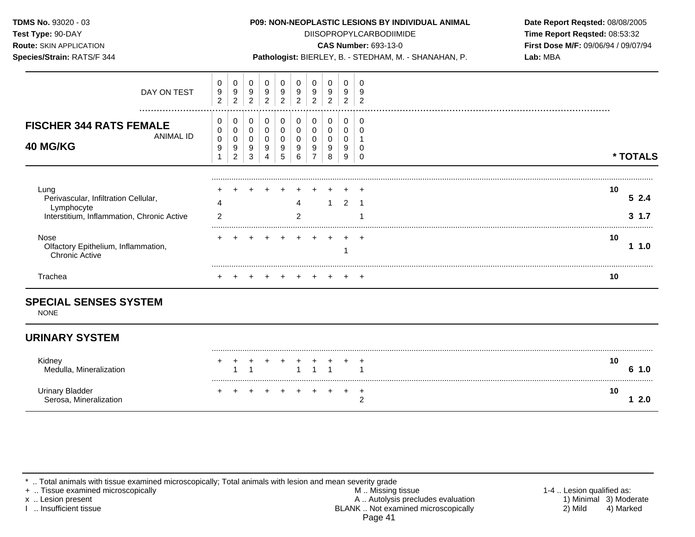**Test Type:** 90-DAY DIISOPROPYLCARBODIIMIDE **Time Report Reqsted:** 08:53:32 **Route:** SKIN APPLICATION **CAS Number:** 693-13-0 **First Dose M/F:** 09/06/94 / 09/07/94

**Species/Strain:** RATS/F 344 **Pathologist:** BIERLEY, B. - STEDHAM, M. - SHANAHAN, P. **Lab:** MBA

| DAY ON TEST                                                                                              | 0<br>$\boldsymbol{9}$<br>$\overline{c}$ | 0<br>9<br>$\overline{2}$           | 0<br>9<br>$\overline{c}$ | 0<br>$9\,$<br>$\overline{2}$ | 0<br>9<br>2 | 0<br>9<br>2 | 0<br>9<br>$\overline{2}$ | 0<br>9<br>$\overline{c}$ | 0<br>9<br>$\overline{2}$ | 9<br>n |                        |
|----------------------------------------------------------------------------------------------------------|-----------------------------------------|------------------------------------|--------------------------|------------------------------|-------------|-------------|--------------------------|--------------------------|--------------------------|--------|------------------------|
| <br><b>FISCHER 344 RATS FEMALE</b><br><b>ANIMAL ID</b><br>40 MG/KG                                       | 0<br>0<br>0<br>9                        | 0<br>0<br>0<br>9<br>$\overline{2}$ | 0<br>9<br>3              | 0<br>0<br>0<br>9             | 0<br>9<br>5 | 0<br>9<br>6 | 0<br>9                   | 0<br>9<br>8              | 0<br>0<br>0<br>9<br>9    | -0     | * TOTALS               |
| Lung<br>Perivascular, Infiltration Cellular,<br>Lymphocyte<br>Interstitium, Inflammation, Chronic Active | $\overline{2}$                          |                                    |                          |                              |             | 4<br>2      |                          |                          | 2                        |        | 10<br>52.4<br>3<br>1.7 |
| Nose<br>Olfactory Epithelium, Inflammation,<br><b>Chronic Active</b>                                     |                                         |                                    |                          |                              |             |             |                          |                          |                          |        | 10<br>- 1.0            |
| Trachea                                                                                                  |                                         |                                    |                          |                              |             |             |                          |                          |                          |        | 10                     |

## **URINARY SYSTEM**

| Kidney<br>Medulla, Mineralization         |  |         |               | + + + + + +<br>1 1 1 |  |  | 10<br>1.0 |
|-------------------------------------------|--|---------|---------------|----------------------|--|--|-----------|
| Urinary Bladder<br>Serosa, Mineralization |  | $+$ $-$ | + + + + + + + |                      |  |  | 10        |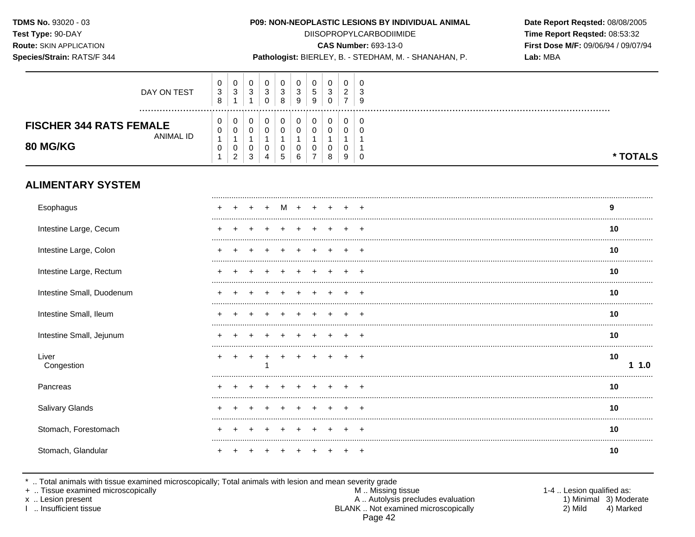## Species/Strain: RATS/F 344

#### P09: NON-NEOPLASTIC LESIONS BY INDIVIDUAL ANIMAL

**DIISOPROPYLCARBODIIMIDE** 

**CAS Number: 693-13-0** 

Pathologist: BIERLEY, B. - STEDHAM, M. - SHANAHAN, P.

Date Report Reqsted: 08/08/2005 Time Report Reqsted: 08:53:32 First Dose M/F: 09/06/94 / 09/07/94 Lab: MBA

| DAY ON TEST                                                           | $\pmb{0}$<br>$\ensuremath{\mathsf{3}}$<br>8 | 0<br>$\mathbf{3}$<br>$\overline{1}$                             | 0<br>$\sqrt{3}$<br>$\mathbf{1}$                               | 0<br>$\ensuremath{\mathsf{3}}$<br>$\mathbf 0$    | 0<br>$\mathbf{3}$<br>8        | 0<br>$\mathbf 3$<br>9                   | 0<br>$\sqrt{5}$<br>9                                 | 0<br>$\ensuremath{\mathsf{3}}$<br>$\mathbf 0$ | 0<br>$\overline{2}$<br>$\overline{7}$ | 0<br>3<br>9               |  |         |          |
|-----------------------------------------------------------------------|---------------------------------------------|-----------------------------------------------------------------|---------------------------------------------------------------|--------------------------------------------------|-------------------------------|-----------------------------------------|------------------------------------------------------|-----------------------------------------------|---------------------------------------|---------------------------|--|---------|----------|
| <b>FISCHER 344 RATS FEMALE</b><br><b>ANIMAL ID</b><br><b>80 MG/KG</b> | 0<br>0<br>1<br>$\pmb{0}$<br>$\mathbf{1}$    | 0<br>$\mathbf 0$<br>$\overline{1}$<br>$\mathbf 0$<br>$\sqrt{2}$ | 0<br>$\pmb{0}$<br>$\mathbf{1}$<br>$\mathbf 0$<br>$\mathbf{3}$ | $\pmb{0}$<br>$\pmb{0}$<br>$\mathbf{1}$<br>0<br>4 | 0<br>$\pmb{0}$<br>1<br>0<br>5 | $\pmb{0}$<br>0<br>$\mathbf 1$<br>0<br>6 | $\pmb{0}$<br>$\mathbf 0$<br>1<br>0<br>$\overline{7}$ | $\pmb{0}$<br>0<br>1<br>0<br>8                 | $\mathbf 0$<br>0<br>$\mathbf 0$<br>9  | 0<br>$\Omega$<br>$\Omega$ |  |         | * TOTALS |
| <b>ALIMENTARY SYSTEM</b>                                              |                                             |                                                                 |                                                               |                                                  |                               |                                         |                                                      |                                               |                                       |                           |  |         |          |
| Esophagus                                                             |                                             |                                                                 |                                                               |                                                  | M                             |                                         |                                                      |                                               |                                       |                           |  | 9       |          |
| Intestine Large, Cecum                                                |                                             |                                                                 |                                                               |                                                  |                               |                                         |                                                      |                                               |                                       |                           |  | 10      |          |
| Intestine Large, Colon                                                |                                             |                                                                 |                                                               |                                                  |                               |                                         |                                                      |                                               |                                       |                           |  | 10      |          |
| Intestine Large, Rectum                                               |                                             |                                                                 |                                                               |                                                  |                               |                                         |                                                      |                                               |                                       |                           |  | 10      |          |
| Intestine Small, Duodenum                                             |                                             |                                                                 |                                                               |                                                  |                               |                                         |                                                      |                                               |                                       |                           |  | 10      |          |
| Intestine Small, Ileum                                                |                                             |                                                                 |                                                               |                                                  |                               |                                         |                                                      |                                               |                                       |                           |  | 10      |          |
| Intestine Small, Jejunum                                              |                                             |                                                                 |                                                               |                                                  |                               |                                         |                                                      |                                               |                                       |                           |  | 10      |          |
| Liver<br>Congestion                                                   | $\ddot{}$                                   | +                                                               | $\ddot{}$                                                     |                                                  |                               |                                         |                                                      |                                               | $\div$                                | $^{+}$                    |  | 10<br>1 | 1.0      |
| Pancreas                                                              |                                             |                                                                 |                                                               |                                                  |                               |                                         |                                                      |                                               |                                       |                           |  | 10      |          |
| Salivary Glands                                                       |                                             |                                                                 |                                                               |                                                  |                               |                                         |                                                      |                                               |                                       |                           |  | 10      |          |
| Stomach, Forestomach                                                  |                                             |                                                                 |                                                               |                                                  |                               |                                         |                                                      |                                               |                                       |                           |  | 10      |          |
| Stomach, Glandular                                                    |                                             |                                                                 |                                                               |                                                  |                               |                                         |                                                      |                                               |                                       | $\overline{ }$            |  | 10      |          |

\* .. Total animals with tissue examined microscopically; Total animals with lesion and mean severity grade + .. Tissue examined microscopically

x .. Lesion present

I .. Insufficient tissue

M .. Missing tissue A .. Autolysis precludes evaluation BLANK .. Not examined microscopically Page 42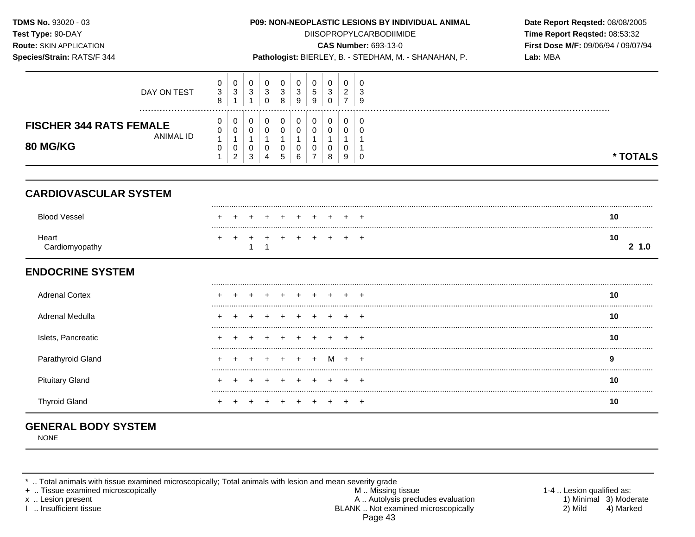**TDMS No.** 93020 - 03 **P09: NON-NEOPLASTIC LESIONS BY INDIVIDUAL ANIMAL Date Report Reqsted:** 08/08/2005 **Test Type:**  $90-DAY$  **DIISOPROPYLCARBODIIMIDE <b>Time Report Reqsted:** 08:53:32 **Route:** SKIN APPLICATION **CAS Number:** 693-13-0 **First Dose M/F:** 09/06/94 / 09/07/94 **Species/Strain:** RATS/F 344 **Pathologist:** BIERLEY, B. - STEDHAM, M. - SHANAHAN, P. **Lab:** MBA 0 0 0 0 0 0 0 0 0 0 DAY ON TEST 3 3 3 3 3 3 5 3 2 3 8 1 1 0 8 9 9 0 7 9 ................................................................................................................................................................. **FISCHER 344 RATS FEMALE**  $\begin{bmatrix} 0 \\ 0 \end{bmatrix}$ ANIMAL ID  $\begin{bmatrix} 5 \\ 1 \end{bmatrix}$ **80 MG/KG** 0 1 0 0 1 0 2 0 0 1 0 3 0 0 1 0 4 0 0 1 0 5 0 0 1 0 6 0 0 1 0 7 0 0 1 0 8 0 0 1 0 9 0 0 1 1 0 **\* TOTALS CARDIOVASCULAR SYSTEM** ......................................................................................................................................................................................................... Blood Vessel + + + + + + + + + + **10**  ......................................................................................................................................................................................................... Heart + + + + + + + + + + **10**  Cardiomyopathy 1 1 **2 1.0 ENDOCRINE SYSTEM** ......................................................................................................................................................................................................... Adrenal Cortex + + + + + + + + + + **10**  ......................................................................................................................................................................................................... Adrenal Medulla + + + + + + + + + + **10**  Islets, Pancreatic + + + + + + + + + + **10**  Parathyroid Gland + + + + + + + M + + **9**  ......................................................................................................................................................................................................... Pituitary Gland + + + + + + + + + + **10**  .........................................................................................................................................................................................................

Thyroid Gland + + + + + + + + + + **10** 

# **GENERAL BODY SYSTEM**

NONE

.. Total animals with tissue examined microscopically; Total animals with lesion and mean severity grade

+ .. Tissue examined microscopically examined microscopically and the state of the state of the M .. Missing tissue the M .. Missing tissue the matrix of the M .. Missing tissue the matrix of the M .. Lesion qualified as: x .. Lesion present 1) Minimal 3) Moderate<br>A .. Autolysis precludes evaluation 1 and 1) Minimal 3) Moderate<br>BLANK .. Not examined microscopically 1990 and 1) Minimal 3) Marked BLANK .. Not examined microscopically 2) Mild 4) Marked Page 43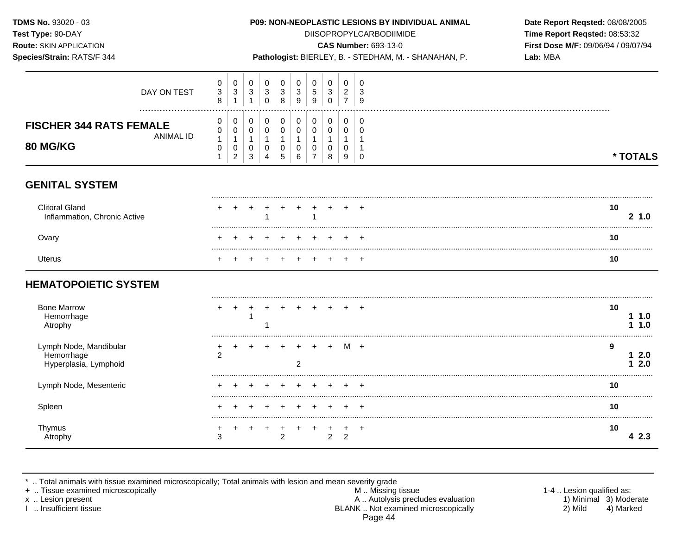**Test Type:** 90-DAY DIISOPROPYLCARBODIIMIDE **Time Report Reqsted:** 08:53:32 **Route:** SKIN APPLICATION **CAS Number:** 693-13-0 **First Dose M/F:** 09/06/94 / 09/07/94

|  | <b>Species/Strain: RATS/F 344</b> |  |
|--|-----------------------------------|--|

**Species/Strain:** RATS/F 344 **Pathologist:** BIERLEY, B. - STEDHAM, M. - SHANAHAN, P. **Lab:** MBA

| DAY ON TEST                                                    | 0<br>$\ensuremath{\mathsf{3}}$<br>$\,8\,$ | 0<br>$\mathsf 3$                               | 0<br>$\ensuremath{\mathsf{3}}$<br>$\mathbf{1}$ | $\mathbf 0$<br>$\sqrt{3}$<br>$\mathbf 0$                   | 0<br>3<br>8                                        | 0<br>3<br>9                        | 0<br>$\sqrt{5}$<br>9                         | 0<br>$\mathbf{3}$<br>$\pmb{0}$         | 0<br>$\sqrt{2}$<br>$\overline{7}$                      | $\Omega$<br>3<br>9              |                  |
|----------------------------------------------------------------|-------------------------------------------|------------------------------------------------|------------------------------------------------|------------------------------------------------------------|----------------------------------------------------|------------------------------------|----------------------------------------------|----------------------------------------|--------------------------------------------------------|---------------------------------|------------------|
| <b>FISCHER 344 RATS FEMALE</b><br><b>ANIMAL ID</b><br>80 MG/KG | 0<br>0<br>1<br>0<br>1                     | 0<br>0<br>1<br>$\mathbf 0$<br>$\boldsymbol{2}$ | 0<br>$\mathbf 0$<br>$\mathbf{1}$<br>0<br>3     | $\pmb{0}$<br>$\pmb{0}$<br>$\mathbf{1}$<br>$\mathbf 0$<br>4 | 0<br>$\pmb{0}$<br>$\mathbf{1}$<br>$\mathbf 0$<br>5 | $\pmb{0}$<br>0<br>$\mathbf 0$<br>6 | 0<br>0<br>1<br>$\mathbf 0$<br>$\overline{7}$ | 0<br>0<br>$\mathbf{1}$<br>0<br>$\,8\,$ | $\pmb{0}$<br>$\mathbf 0$<br>-1<br>$\mathbf 0$<br>$9\,$ | 0<br>$\Omega$<br>-1<br>$\Omega$ | * TOTALS         |
| <b>GENITAL SYSTEM</b>                                          |                                           |                                                |                                                |                                                            |                                                    |                                    |                                              |                                        |                                                        |                                 |                  |
| <b>Clitoral Gland</b><br>Inflammation, Chronic Active          |                                           |                                                |                                                |                                                            |                                                    |                                    |                                              |                                        |                                                        |                                 | 10<br>2, 1.0     |
| Ovary                                                          |                                           |                                                |                                                |                                                            |                                                    |                                    |                                              |                                        |                                                        |                                 | 10               |
| <b>Uterus</b>                                                  |                                           |                                                |                                                |                                                            |                                                    |                                    |                                              |                                        |                                                        |                                 | 10               |
| <b>HEMATOPOIETIC SYSTEM</b>                                    |                                           |                                                |                                                |                                                            |                                                    |                                    |                                              |                                        |                                                        |                                 |                  |
| <b>Bone Marrow</b><br>Hemorrhage<br>Atrophy                    |                                           |                                                |                                                |                                                            |                                                    |                                    |                                              |                                        |                                                        |                                 | 10<br>1.0<br>1.0 |
| Lymph Node, Mandibular<br>Hemorrhage<br>Hyperplasia, Lymphoid  | 2                                         |                                                |                                                |                                                            |                                                    | 2                                  |                                              |                                        | м                                                      | $+$                             | 9<br>12.0<br>2.0 |
| Lymph Node, Mesenteric                                         |                                           |                                                |                                                |                                                            |                                                    |                                    |                                              |                                        |                                                        |                                 | 10               |
| Spleen                                                         |                                           |                                                |                                                |                                                            |                                                    |                                    |                                              |                                        |                                                        |                                 | 10               |
| Thymus<br>Atrophy                                              | ٠<br>3                                    |                                                |                                                |                                                            | $\overline{2}$                                     |                                    |                                              | $\ddot{}$<br>$\overline{2}$            | $\ddot{}$<br>$\overline{2}$                            | $\ddot{}$                       | 10<br>4 2.3      |

\* .. Total animals with tissue examined microscopically; Total animals with lesion and mean severity grade

+ .. Tissue examined microscopically M .. Missing tissue 1-4 .. Lesion qualified as: x .. Lesion present **A** .. Autolysis precludes evaluation A .. Autolysis precludes evaluation 1) Minimal 3) Moderate<br>2) Mild 4) Marked 1 .. Insufficient tissue BLANK .. Not examined microscopically Page 44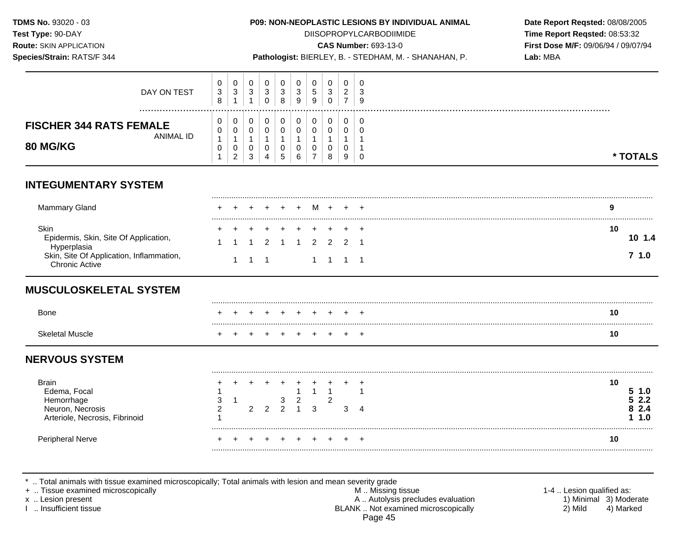**Test Type:** 90-DAY DIISOPROPYLCARBODIIMIDE **Time Report Reqsted:** 08:53:32 **Route:** SKIN APPLICATION **CAS Number:** 693-13-0 **First Dose M/F:** 09/06/94 / 09/07/94

|  | Species/Strain: RATS/F 344 |  |
|--|----------------------------|--|

Pathologist: BIERLEY, B. - STEDHAM, M. - SHANAHAN, P. **Lab: MBA** 

| DAY ON TEST                                                                                                                       | 0<br>3<br>8           | $\mathbf 0$<br>$\sqrt{3}$<br>1               | $\mathbf 0$<br>$\mathbf{3}$<br>1           | $\mathbf 0$<br>$\mathbf{3}$<br>$\mathbf 0$ | 0<br>$\sqrt{3}$<br>8                             | 0<br>3<br>9                      | 0<br>5<br>9                    | 0<br>$\sqrt{3}$<br>$\mathbf 0$               | 0<br>$\overline{c}$<br>$\overline{7}$     | 0<br>3<br>9               |                                 |
|-----------------------------------------------------------------------------------------------------------------------------------|-----------------------|----------------------------------------------|--------------------------------------------|--------------------------------------------|--------------------------------------------------|----------------------------------|--------------------------------|----------------------------------------------|-------------------------------------------|---------------------------|---------------------------------|
| <b>FISCHER 344 RATS FEMALE</b><br><b>ANIMAL ID</b><br><b>80 MG/KG</b>                                                             | 0<br>0<br>1<br>0<br>1 | 0<br>0<br>$\mathbf 1$<br>0<br>$\overline{2}$ | 0<br>$\mathbf 0$<br>$\mathbf{1}$<br>0<br>3 | 0<br>0<br>$\mathbf{1}$<br>0<br>4           | 0<br>$\pmb{0}$<br>$\mathbf{1}$<br>$\pmb{0}$<br>5 | 0<br>0<br>$\mathbf{1}$<br>0<br>6 | 0<br>0<br>0<br>$\overline{7}$  | 0<br>0<br>$\mathbf{1}$<br>0<br>8             | 0<br>$\mathbf 0$<br>1<br>$\mathbf 0$<br>9 | 0<br>$\Omega$<br>$\Omega$ | * TOTALS                        |
| <b>INTEGUMENTARY SYSTEM</b>                                                                                                       |                       |                                              |                                            |                                            |                                                  |                                  |                                |                                              |                                           |                           |                                 |
| <b>Mammary Gland</b>                                                                                                              |                       |                                              |                                            |                                            |                                                  |                                  | M                              |                                              |                                           |                           | 9                               |
| Skin<br>Epidermis, Skin, Site Of Application,<br>Hyperplasia<br>Skin, Site Of Application, Inflammation,<br><b>Chronic Active</b> |                       | $\mathbf{1}$                                 | $1 \quad 1$                                | 2                                          |                                                  |                                  | $\mathcal{P}$                  | $\mathcal{P}$<br>$1 \quad 1 \quad 1 \quad 1$ | $\mathcal{P}$                             |                           | 10<br>10 1.4<br>7, 1.0          |
| <b>MUSCULOSKELETAL SYSTEM</b>                                                                                                     |                       |                                              |                                            |                                            |                                                  |                                  |                                |                                              |                                           |                           |                                 |
| <b>Bone</b>                                                                                                                       |                       |                                              |                                            |                                            |                                                  |                                  |                                |                                              |                                           |                           | 10                              |
| <b>Skeletal Muscle</b>                                                                                                            |                       |                                              |                                            |                                            |                                                  |                                  |                                |                                              |                                           |                           | 10                              |
| <b>NERVOUS SYSTEM</b>                                                                                                             |                       |                                              |                                            |                                            |                                                  |                                  |                                |                                              |                                           |                           |                                 |
| <b>Brain</b><br>Edema, Focal<br>Hemorrhage<br>Neuron, Necrosis<br>Arteriole, Necrosis, Fibrinoid                                  | 3<br>2                | -1                                           | 2                                          | $\overline{2}$                             | 3<br>$\mathfrak{p}$                              | $\mathbf{1}$<br>$\frac{2}{1}$    | $\mathbf{1}$<br>$\overline{3}$ | $\overline{1}$<br>$\overline{c}$             | 3                                         | $\boldsymbol{\Lambda}$    | 10<br>5 1.0<br>2.2<br>2.4<br>.0 |

Peripheral Nerve + + + + + + + + + + **10** 

\* .. Total animals with tissue examined microscopically; Total animals with lesion and mean severity grade

+ .. Tissue examined microscopically M .. Missing tissue 1-4 .. Lesion qualified as: x .. Lesion present 1) Minimal 3) Moderate<br>A .. Autolysis precludes evaluation 1 and 1) Minimal 3) Moderate<br>A .. Autolysis precludes evaluation 1 and 1) Minimal 3) Moderate<br>A .. Autolysis precludes evaluation 1 and 1) Mini BLANK .. Not examined microscopically Page 45

.........................................................................................................................................................................................................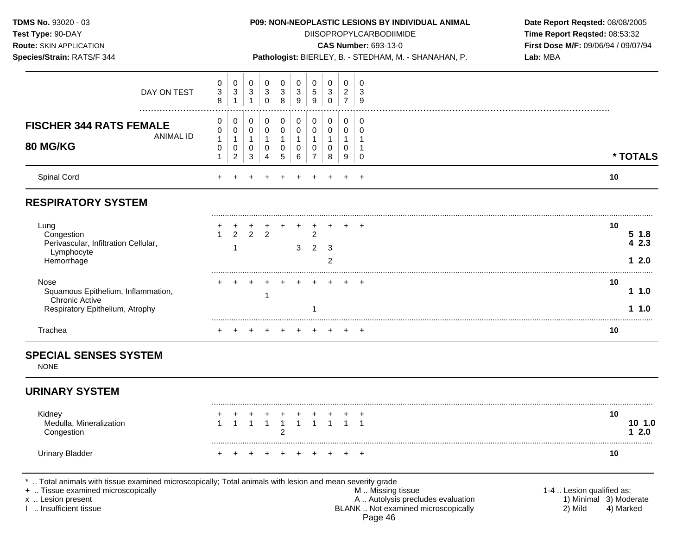**TDMS No.** 93020 - 03 **P09: NON-NEOPLASTIC LESIONS BY INDIVIDUAL ANIMAL Date Report Reqsted:** 08/08/2005 **Test Type:**  $90-DAY$  **DIISOPROPYLCARBODIIMIDE <b>Time Report Reqsted:** 08:53:32 **Route:** SKIN APPLICATION **CAS Number:** 693-13-0 **First Dose M/F:** 09/06/94 / 09/07/94 **Species/Strain:** RATS/F 344 **Pathologist:** BIERLEY, B. - STEDHAM, M. - SHANAHAN, P. **Lab:** MBA 0 0 0 0 0 0 0 0 0 0 DAY ON TEST 3 3 3 3 3 3 5 3 2 3 8 1 1 0 8 9 9 0 7 9 ................................................................................................................................................................. **FISCHER 344 RATS FEMALE**  $\begin{bmatrix} 0 \\ 0 \end{bmatrix}$ ANIMAL ID  $\begin{bmatrix} 5 \\ 1 \end{bmatrix}$ **80 MG/KG** 0 1 0 0 1 0 2 0 0 1 0 3 0 0 1 0 4 0 0 1 0 5 0 0 1 0 6 0 0 1 0 7 0 0 1 0 8 0 0 1 0 9 0 0 1 1 0 **\* TOTALS**  Spinal Cord + + + + + + + + + + **10 RESPIRATORY SYSTEM** ......................................................................................................................................................................................................... Lung + + + + + + + + + + **10**  Congestion 1 2 2 2 2 **5 1.8**  Perivascular, Infiltration Cellular, **4 2.3** 1 3 2 3 Lymphocyte Hemorrhage 2 **1 2.0**  ......................................................................................................................................................................................................... Nose + + + + + + + + + + **10**  Squamous Epithelium, Inflammation, 1<br> Chronic Active 1 Respiratory Epithelium, Atrophy 1 **1 1.0**  ......................................................................................................................................................................................................... Trachea + + + + + + + + + + **10 SPECIAL SENSES SYSTEM**  NONE **URINARY SYSTEM** ......................................................................................................................................................................................................... Kidney + + + + + + + + + + **10**  Medulla, Mineralization 1 1 1 1 1 1 1 1 1 1 **10 1.0**  Congestion 2 **1 2.0**  ......................................................................................................................................................................................................... Urinary Bladder + + + + + + + + + + **10**  .. Total animals with tissue examined microscopically; Total animals with lesion and mean severity grade + .. Tissue examined microscopically examined microscopically and the state of the state of the M .. Missing tissue the M .. Missing tissue the matrix of the M .. Missing tissue the matrix of the M .. Lesion qualified as:

x .. Lesion present 1) Minimal 3) Moderate<br>A .. Autolysis precludes evaluation 1 and 1) Minimal 3) Moderate<br>BLANK .. Not examined microscopically 1 and 1) Mild 4) Marked BLANK .. Not examined microscopically 2) Mild 4) Marked Page 46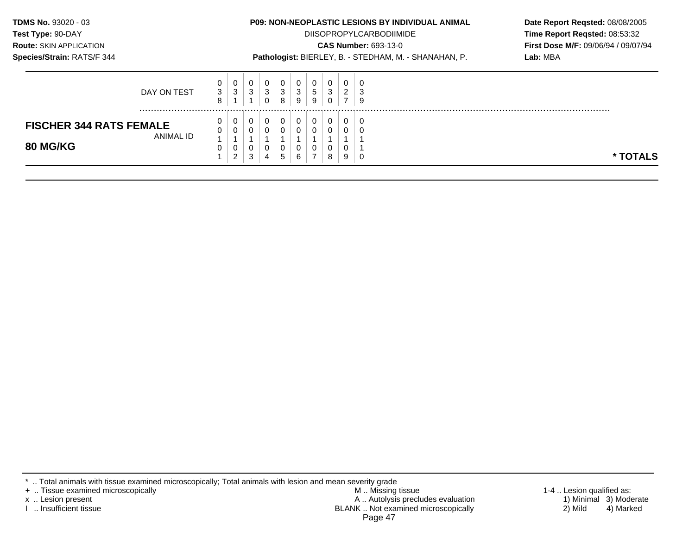| <b>TDMS No. 93020 - 03</b><br><b>Test Type: 90-DAY</b><br><b>Route: SKIN APPLICATION</b><br>Species/Strain: RATS/F 344 |           |                       |             |                   |                       |                       | <b>P09: NON-NEOPLASTIC LESIONS BY INDIVIDUAL ANIMAL</b><br>Pathologist: BIERLEY, B. - STEDHAM, M. - SHANAHAN, P. |                      | <b>DIISOPROPYLCARBODIIMIDE</b><br><b>CAS Number: 693-13-0</b> |                                       | Date Report Reqsted: 08/08/2005<br>Time Report Regsted: 08:53:32<br>First Dose M/F: 09/06/94 / 09/07/94<br>Lab: MBA |  |
|------------------------------------------------------------------------------------------------------------------------|-----------|-----------------------|-------------|-------------------|-----------------------|-----------------------|------------------------------------------------------------------------------------------------------------------|----------------------|---------------------------------------------------------------|---------------------------------------|---------------------------------------------------------------------------------------------------------------------|--|
| DAY ON TEST                                                                                                            |           |                       | 0<br>3      | $\mathbf{0}$<br>3 | 0<br>3<br>0           | $\mathbf 0$<br>3<br>8 | 0<br>3<br>9                                                                                                      | 0<br>$\sqrt{5}$<br>9 | 3<br>$\Omega$                                                 | 0<br>$\overline{2}$<br>$\overline{ }$ | 3<br>9                                                                                                              |  |
| <b>FISCHER 344 RATS FEMALE</b><br>80 MG/KG                                                                             | ANIMAL ID | 0<br>$\mathbf 0$<br>0 | 0<br>0<br>0 | 0                 | 0<br>0<br>$\mathbf 0$ | 0<br>$\Omega$<br>0    | $\Omega$<br>0                                                                                                    | 0<br>$\Omega$<br>0   | $\Omega$<br>$\Omega$                                          | 0<br>0<br>0                           | $\Omega$                                                                                                            |  |

\* .. Total animals with tissue examined microscopically; Total animals with lesion and mean severity grade

+ .. Tissue examined microscopically M .. Missing tissue 1-4 .. Lesion qualified as: x .. Lesion present 1) Minimal 3) Moderate A .. Autor A .. Autor A .. Autor A .. Autor A .. Autor A .. Autor A .. Autor A .. Autor A .. Autor A .. Autor A .. Autor A .. Autor A .. Autor A .. Autor A .. Autor A .. Autor A . I .. Insufficient tissue BLANK .. Not examined microscopically 2) Mild 4) Marked Page 47

**\* TOTALS**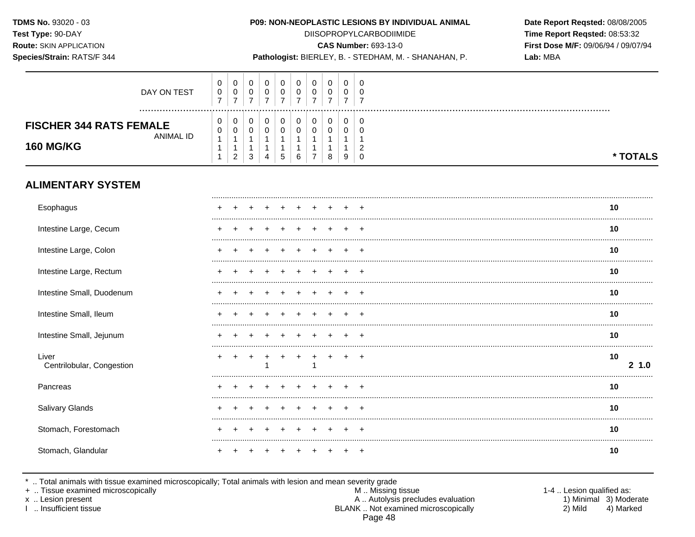## Species/Strain: RATS/F 344

#### P09: NON-NEOPLASTIC LESIONS BY INDIVIDUAL ANIMAL

**DIISOPROPYLCARBODIIMIDE** 

**CAS Number: 693-13-0** 

Pathologist: BIERLEY, B. - STEDHAM, M. - SHANAHAN, P.

Date Report Reqsted: 08/08/2005 Time Report Reqsted: 08:53:32 First Dose M/F: 09/06/94 / 09/07/94 Lab: MBA

| DAY ON TEST                                                            | 0<br>$\pmb{0}$<br>$\overline{7}$                    | 0<br>$\pmb{0}$<br>$\overline{7}$                        | 0<br>$\pmb{0}$<br>$\overline{7}$   | 0<br>$\mathbf 0$<br>$\overline{7}$                           | 0<br>0<br>$\overline{7}$                 | 0<br>0<br>$\overline{7}$ | 0<br>0<br>$\overline{7}$        | 0<br>0<br>$\overline{7}$         | 0<br>0<br>$\overline{7}$ | 0<br>$\mathbf 0$<br>$\overline{7}$   |                 |
|------------------------------------------------------------------------|-----------------------------------------------------|---------------------------------------------------------|------------------------------------|--------------------------------------------------------------|------------------------------------------|--------------------------|---------------------------------|----------------------------------|--------------------------|--------------------------------------|-----------------|
| <b>FISCHER 344 RATS FEMALE</b><br><b>ANIMAL ID</b><br><b>160 MG/KG</b> | $\pmb{0}$<br>0<br>$\mathbf{1}$<br>1<br>$\mathbf{1}$ | 0<br>$\mathbf 0$<br>$\mathbf{1}$<br>1<br>$\overline{2}$ | $\pmb{0}$<br>$\mathbf 0$<br>1<br>3 | 0<br>$\mathsf{O}\xspace$<br>$\mathbf 1$<br>$\mathbf{1}$<br>4 | 0<br>$\pmb{0}$<br>$\mathbf{1}$<br>1<br>5 | 0<br>0<br>6              | 0<br>$\Omega$<br>$\overline{7}$ | 0<br>$\mathbf 0$<br>1<br>-1<br>8 | 0<br>$\mathbf 0$<br>9    | 0<br>0<br>$\overline{c}$<br>$\Omega$ | * TOTALS        |
| <b>ALIMENTARY SYSTEM</b>                                               |                                                     |                                                         |                                    |                                                              |                                          |                          |                                 |                                  |                          |                                      |                 |
| Esophagus                                                              |                                                     |                                                         |                                    |                                                              |                                          |                          |                                 |                                  |                          |                                      | 10              |
| Intestine Large, Cecum                                                 |                                                     |                                                         |                                    |                                                              |                                          |                          |                                 |                                  |                          |                                      | 10              |
| Intestine Large, Colon                                                 |                                                     |                                                         |                                    |                                                              |                                          |                          |                                 |                                  |                          |                                      | 10              |
| Intestine Large, Rectum                                                |                                                     |                                                         |                                    |                                                              |                                          |                          |                                 |                                  |                          | $\div$                               | 10              |
| Intestine Small, Duodenum                                              |                                                     |                                                         |                                    |                                                              |                                          |                          |                                 |                                  |                          |                                      | 10              |
| Intestine Small, Ileum                                                 |                                                     |                                                         |                                    |                                                              |                                          |                          |                                 |                                  |                          |                                      | 10              |
| Intestine Small, Jejunum                                               |                                                     |                                                         |                                    |                                                              |                                          |                          |                                 |                                  |                          |                                      | 10              |
| Liver<br>Centrilobular, Congestion                                     |                                                     |                                                         |                                    |                                                              |                                          |                          |                                 |                                  |                          | $\overline{ }$                       | 10<br>21.0<br>. |
| Pancreas                                                               |                                                     |                                                         |                                    |                                                              |                                          |                          |                                 |                                  |                          |                                      | 10              |
| Salivary Glands                                                        |                                                     |                                                         |                                    |                                                              |                                          |                          |                                 |                                  |                          |                                      | 10              |
| Stomach, Forestomach                                                   |                                                     |                                                         |                                    |                                                              |                                          |                          |                                 |                                  |                          |                                      | 10              |
| Stomach, Glandular                                                     |                                                     |                                                         |                                    |                                                              |                                          |                          |                                 |                                  |                          |                                      | 10              |

\* .. Total animals with tissue examined microscopically; Total animals with lesion and mean severity grade<br>+ .. Tissue examined microscopically

x .. Lesion present

I .. Insufficient tissue

M .. Missing tissue A .. Autolysis precludes evaluation BLANK .. Not examined microscopically Page 48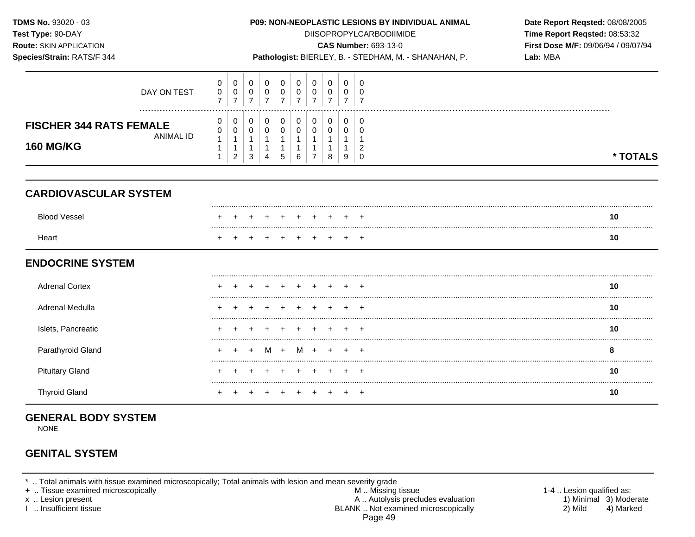| TDMS No. 93020 - 03<br>Test Type: 90-DAY<br>Route: SKIN APPLICATION<br>Species/Strain: RATS/F 344 |                                                                  | P09: NON-NEOPLASTIC LESIONS BY INDIVIDUAL ANIMAL<br><b>DIISOPROPYLCARBODIIMIDE</b><br><b>CAS Number: 693-13-0</b><br>Pathologist: BIERLEY, B. - STEDHAM, M. - SHANAHAN, P. |                                    |                                                                    |                                             |                                    |                                                          |                                            |                          |                                             | Date Report Reqsted: 08/08/2005<br>Time Report Reqsted: 08:53:32<br>First Dose M/F: 09/06/94 / 09/07/94<br>Lab: MBA |  |  |
|---------------------------------------------------------------------------------------------------|------------------------------------------------------------------|----------------------------------------------------------------------------------------------------------------------------------------------------------------------------|------------------------------------|--------------------------------------------------------------------|---------------------------------------------|------------------------------------|----------------------------------------------------------|--------------------------------------------|--------------------------|---------------------------------------------|---------------------------------------------------------------------------------------------------------------------|--|--|
| DAY ON TEST                                                                                       |                                                                  | $\mathbf 0$<br>$\mathbf 0$<br>$\pmb{0}$<br>0<br>$\overline{7}$<br>$\overline{7}$                                                                                           | $\mathbf 0$<br>0<br>$\overline{7}$ | $\mathbf 0$<br>0<br>$\overline{7}$                                 | 0<br>0<br>$\overline{7}$                    | 0<br>$\mathbf 0$<br>$\overline{7}$ | $\mathbf 0$<br>0<br>$\overline{7}$                       | 0<br>0<br>$\overline{7}$                   | 0<br>0<br>$\overline{7}$ | $\Omega$<br>0<br>$\overline{7}$             |                                                                                                                     |  |  |
| <b>FISCHER 344 RATS FEMALE</b><br>ANIMAL ID<br><b>160 MG/KG</b>                                   | $\mathbf 0$<br>0<br>$\mathbf{1}$<br>$\mathbf{1}$<br>$\mathbf{1}$ | 0<br>0<br>$\mathbf{1}$<br>1<br>2                                                                                                                                           | 0<br>0<br>$\mathbf{1}$<br>3        | 0<br>$\mathbf 0$<br>$\mathbf{1}$<br>$\mathbf{1}$<br>$\overline{4}$ | 0<br>0<br>$\mathbf{1}$<br>$\mathbf{1}$<br>5 | 0<br>0<br>$\mathbf{1}$<br>6        | 0<br>0<br>$\mathbf{1}$<br>$\mathbf{1}$<br>$\overline{7}$ | 0<br>$\mathbf 0$<br>1<br>$\mathbf{1}$<br>8 | 0<br>0<br>-1<br>-1<br>9  | 0<br>$\Omega$<br>$\overline{c}$<br>$\Omega$ | * TOTALS                                                                                                            |  |  |
| <b>CARDIOVASCULAR SYSTEM</b>                                                                      |                                                                  |                                                                                                                                                                            |                                    |                                                                    |                                             |                                    |                                                          |                                            |                          |                                             |                                                                                                                     |  |  |
| <b>Blood Vessel</b>                                                                               |                                                                  |                                                                                                                                                                            |                                    |                                                                    |                                             |                                    |                                                          |                                            |                          |                                             | 10                                                                                                                  |  |  |
| Heart                                                                                             |                                                                  |                                                                                                                                                                            |                                    |                                                                    |                                             |                                    |                                                          |                                            |                          | $\overline{ }$                              | 10                                                                                                                  |  |  |
| <b>ENDOCRINE SYSTEM</b>                                                                           |                                                                  |                                                                                                                                                                            |                                    |                                                                    |                                             |                                    |                                                          |                                            |                          |                                             |                                                                                                                     |  |  |
| <b>Adrenal Cortex</b>                                                                             |                                                                  |                                                                                                                                                                            |                                    |                                                                    |                                             |                                    |                                                          |                                            |                          |                                             | 10                                                                                                                  |  |  |
| Adrenal Medulla                                                                                   |                                                                  |                                                                                                                                                                            |                                    |                                                                    |                                             |                                    |                                                          |                                            |                          |                                             | 10                                                                                                                  |  |  |
| Islets, Pancreatic                                                                                |                                                                  |                                                                                                                                                                            |                                    |                                                                    |                                             |                                    |                                                          |                                            |                          |                                             | 10                                                                                                                  |  |  |
| Parathyroid Gland                                                                                 |                                                                  |                                                                                                                                                                            |                                    |                                                                    | M +                                         |                                    | $M +$                                                    | $+$                                        |                          | $+$                                         | 8                                                                                                                   |  |  |
| <b>Pituitary Gland</b>                                                                            |                                                                  |                                                                                                                                                                            |                                    |                                                                    |                                             |                                    |                                                          |                                            |                          |                                             | 10                                                                                                                  |  |  |
| <b>Thyroid Gland</b>                                                                              |                                                                  |                                                                                                                                                                            |                                    |                                                                    |                                             |                                    |                                                          |                                            |                          | $\overline{ }$                              | 10                                                                                                                  |  |  |

# **GENERAL BODY SYSTEM**

NONE

## **GENITAL SYSTEM**

- + .. Tissue examined microscopically M .. Missing tissue 1-4 .. Lesion qualified as: x .. Lesion present 1) Minimal 3) Moderate A .. Autor A .. Autor A .. Autor A .. Autor A .. Autor A .. Autor A .. Autor A .. Autor A .. Autor A .. Autor A .. Autor A .. Autor A .. Autor A .. Autor A .. Autor A .. Autor A . I .. Insufficient tissue BLANK .. Not examined microscopically 2) Mild 4) Marked Page 49
	-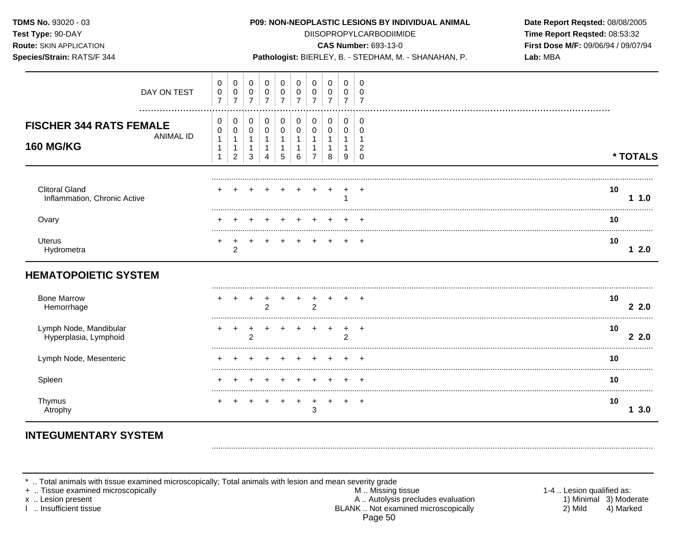| TDMS No. 93020 - 03<br>Test Type: 90-DAY<br><b>Route: SKIN APPLICATION</b><br>Species/Strain: RATS/F 344 |                                                        | P09: NON-NEOPLASTIC LESIONS BY INDIVIDUAL ANIMAL<br><b>DIISOPROPYLCARBODIIMIDE</b><br><b>CAS Number: 693-13-0</b><br>Pathologist: BIERLEY, B. - STEDHAM, M. - SHANAHAN, P. |                                                                |                                                       |                                                     |                                                                 |  |                                                        |                                             |                                                                      |                                                         | Date Report Reqsted: 08/08/2005<br>Time Report Reqsted: 08:53:32<br>First Dose M/F: 09/06/94 / 09/07/94<br>Lab: MBA |          |  |
|----------------------------------------------------------------------------------------------------------|--------------------------------------------------------|----------------------------------------------------------------------------------------------------------------------------------------------------------------------------|----------------------------------------------------------------|-------------------------------------------------------|-----------------------------------------------------|-----------------------------------------------------------------|--|--------------------------------------------------------|---------------------------------------------|----------------------------------------------------------------------|---------------------------------------------------------|---------------------------------------------------------------------------------------------------------------------|----------|--|
| DAY ON TEST                                                                                              | 0<br>$\pmb{0}$<br>$\overline{7}$                       | 0<br>$\mathsf{O}\xspace$<br>$\overline{7}$                                                                                                                                 | $\mathbf 0$<br>$\mathsf{O}\xspace$<br>$\overline{7}$           | 0<br>$\pmb{0}$<br>$\overline{7}$                      | 0<br>$\pmb{0}$<br>$\overline{7}$                    | $\mathbf 0$<br>$\pmb{0}$<br>$\overline{7}$                      |  | 0<br>$\pmb{0}$<br>$\overline{7}$                       | 0<br>$\boldsymbol{0}$<br>$\overline{7}$     | 0<br>$\pmb{0}$<br>$\overline{7}$                                     | $\mathbf 0$<br>$\mathbf 0$<br>$\overline{7}$            |                                                                                                                     |          |  |
| <b>FISCHER 344 RATS FEMALE</b><br><b>ANIMAL ID</b><br><b>160 MG/KG</b>                                   | 0<br>0<br>$\mathbf{1}$<br>$\mathbf{1}$<br>$\mathbf{1}$ | 0<br>0<br>$\mathbf{1}$<br>$\mathbf{1}$<br>$\overline{2}$                                                                                                                   | 0<br>$\mathbf 0$<br>$\mathbf{1}$<br>$\mathbf{1}$<br>$\sqrt{3}$ | 0<br>$\mathbf 0$<br>$\mathbf{1}$<br>$\mathbf{1}$<br>4 | $\pmb{0}$<br>0<br>$\mathbf{1}$<br>$\mathbf{1}$<br>5 | $\mathbf 0$<br>$\mathbf 0$<br>$\mathbf{1}$<br>$\mathbf{1}$<br>6 |  | $\mathbf 0$<br>$\mathbf 0$<br>1<br>1<br>$\overline{7}$ | 0<br>0<br>$\mathbf{1}$<br>$\mathbf{1}$<br>8 | $\mathbf 0$<br>0<br>$\mathbf{1}$<br>$\mathbf{1}$<br>$\boldsymbol{9}$ | 0<br>$\mathbf 0$<br>-1<br>$\overline{2}$<br>$\mathbf 0$ |                                                                                                                     | * TOTALS |  |
| <b>Clitoral Gland</b><br>Inflammation, Chronic Active                                                    |                                                        |                                                                                                                                                                            |                                                                |                                                       |                                                     |                                                                 |  |                                                        |                                             |                                                                      |                                                         | 10                                                                                                                  | 11.0     |  |
| Ovary                                                                                                    |                                                        |                                                                                                                                                                            |                                                                |                                                       |                                                     |                                                                 |  |                                                        |                                             |                                                                      |                                                         | 10                                                                                                                  |          |  |
| <b>Uterus</b><br>Hydrometra                                                                              | +                                                      | +<br>$\overline{c}$                                                                                                                                                        |                                                                |                                                       |                                                     |                                                                 |  |                                                        |                                             |                                                                      |                                                         | 10                                                                                                                  | 12.0     |  |
| <b>HEMATOPOIETIC SYSTEM</b>                                                                              |                                                        |                                                                                                                                                                            |                                                                |                                                       |                                                     |                                                                 |  |                                                        |                                             |                                                                      |                                                         |                                                                                                                     |          |  |
| <b>Bone Marrow</b><br>Hemorrhage                                                                         |                                                        |                                                                                                                                                                            |                                                                | $\overline{2}$                                        |                                                     |                                                                 |  | $\overline{2}$                                         |                                             |                                                                      |                                                         | 10                                                                                                                  | 22.0     |  |
| Lymph Node, Mandibular<br>Hyperplasia, Lymphoid                                                          | $\ddot{}$                                              | $\ddot{}$                                                                                                                                                                  | $\ddot{}$<br>$\overline{2}$                                    |                                                       |                                                     |                                                                 |  |                                                        | $\ddot{}$                                   | $\ddot{}$<br>$\overline{2}$                                          | $\overline{+}$                                          | 10                                                                                                                  | 22.0     |  |
| Lymph Node, Mesenteric                                                                                   |                                                        |                                                                                                                                                                            |                                                                |                                                       |                                                     |                                                                 |  |                                                        |                                             |                                                                      |                                                         | 10                                                                                                                  |          |  |
| Spleen                                                                                                   |                                                        |                                                                                                                                                                            |                                                                |                                                       |                                                     |                                                                 |  |                                                        |                                             |                                                                      |                                                         | 10                                                                                                                  |          |  |
| Thymus<br>Atrophy                                                                                        |                                                        |                                                                                                                                                                            |                                                                |                                                       |                                                     |                                                                 |  | $\ddot{}$<br>3                                         | $\ddot{}$                                   |                                                                      | $\ddot{}$                                               | 10                                                                                                                  | 13.0     |  |

# **INTEGUMENTARY SYSTEM**

\* .. Total animals with tissue examined microscopically; Total animals with lesion and mean severity grade<br>
+ .. Tissue examined microscopically<br>
x .. Lesion present A .. Autolysis preclu<br>
1 .. Insufficient tissue<br>
1 .. In

A .. Autolysis precludes evaluation<br>BLANK .. Not examined microscopically Page 50

1-4 .. Lesion qualified as: 1) Minimal 3) Moderate  $2)$  Mild 4) Marked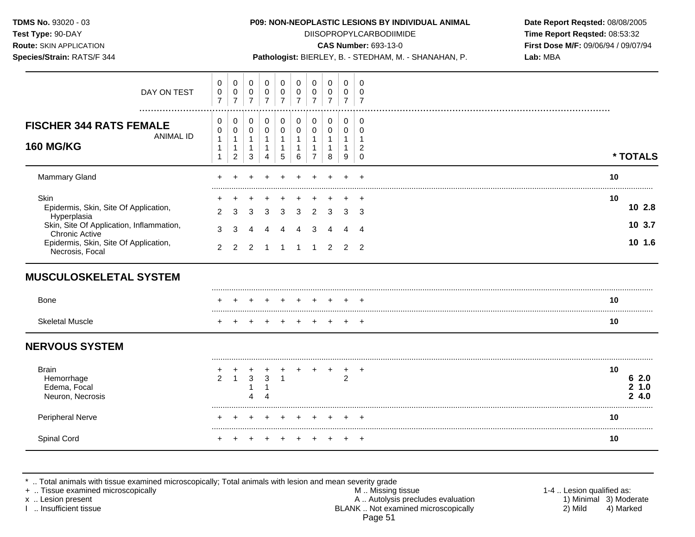**Test Type:** 90-DAY DIISOPROPYLCARBODIIMIDE **Time Report Reqsted:** 08:53:32 **Route:** SKIN APPLICATION **CAS Number:** 693-13-0 **First Dose M/F:** 09/06/94 / 09/07/94

**Species/Strain:** RATS/F 344 **Pathologist:** BIERLEY, B. - STEDHAM, M. - SHANAHAN, P. **Lab:** MBA

| DAY ON TEST                                                                                                                       | $\pmb{0}$<br>$\pmb{0}$<br>$\overline{7}$ | 0<br>$\overline{0}$<br>$\overline{7}$            | 0<br>0<br>$\overline{7}$                  | $\pmb{0}$<br>0<br>$\overline{7}$                                           | 0<br>0<br>$\overline{7}$ | 0<br>0<br>$\overline{7}$ | 0<br>0<br>$\overline{7}$ | 0<br>0<br>$\overline{7}$      | 0<br>0<br>$\overline{7}$                    | $\Omega$<br>0                                     |                          |  |
|-----------------------------------------------------------------------------------------------------------------------------------|------------------------------------------|--------------------------------------------------|-------------------------------------------|----------------------------------------------------------------------------|--------------------------|--------------------------|--------------------------|-------------------------------|---------------------------------------------|---------------------------------------------------|--------------------------|--|
| <b>FISCHER 344 RATS FEMALE</b><br><b>ANIMAL ID</b><br><b>160 MG/KG</b>                                                            | 0<br>0<br>1<br>1                         | 0<br>$\pmb{0}$<br>$\mathbf{1}$<br>$\overline{c}$ | 0<br>$\pmb{0}$<br>$\mathbf{1}$<br>-1<br>3 | 0<br>$\mathbf 0$<br>$\mathbf{1}$<br>$\mathbf 1$<br>$\overline{\mathbf{4}}$ | 0<br>$\Omega$<br>1<br>5  | 0<br>$\Omega$<br>6       | 0<br>$\Omega$<br>-1      | 0<br>$\pmb{0}$<br>1<br>1<br>8 | 0<br>$\mathbf 0$<br>$\mathbf{1}$<br>-1<br>9 | 0<br>$\Omega$<br>-1<br>$\overline{2}$<br>$\Omega$ | * TOTALS                 |  |
| Mammary Gland                                                                                                                     |                                          |                                                  |                                           |                                                                            |                          |                          |                          |                               |                                             |                                                   | 10                       |  |
| Skin<br>Epidermis, Skin, Site Of Application,<br>Hyperplasia<br>Skin, Site Of Application, Inflammation,<br><b>Chronic Active</b> | 2<br>3                                   | З<br>3                                           | 3                                         |                                                                            | ว                        | З                        |                          | 3                             | 3                                           | 3                                                 | 10<br>10 2.8<br>10 3.7   |  |
| Epidermis, Skin, Site Of Application,<br>Necrosis, Focal                                                                          | $\overline{2}$                           | $\overline{2}$                                   | 2                                         |                                                                            |                          |                          |                          | 2                             | 2                                           | $\overline{2}$                                    | 10 1.6                   |  |
| <b>MUSCULOSKELETAL SYSTEM</b>                                                                                                     |                                          |                                                  |                                           |                                                                            |                          |                          |                          |                               |                                             |                                                   |                          |  |
| Bone                                                                                                                              |                                          |                                                  |                                           |                                                                            |                          |                          |                          |                               |                                             |                                                   | 10                       |  |
| <b>Skeletal Muscle</b>                                                                                                            |                                          |                                                  |                                           |                                                                            |                          |                          |                          |                               |                                             |                                                   | 10                       |  |
| <b>NERVOUS SYSTEM</b>                                                                                                             |                                          |                                                  |                                           |                                                                            |                          |                          |                          |                               |                                             |                                                   |                          |  |
| <b>Brain</b><br>Hemorrhage<br>Edema, Focal<br>Neuron, Necrosis                                                                    | 2                                        | $\mathbf{1}$                                     | 3                                         | 3                                                                          |                          |                          |                          |                               | 2                                           | $\cdot$                                           | 10<br>62.0<br>1.0<br>4.0 |  |
| <b>Peripheral Nerve</b>                                                                                                           |                                          |                                                  |                                           |                                                                            |                          |                          |                          |                               |                                             |                                                   | 10                       |  |
| Spinal Cord                                                                                                                       |                                          |                                                  |                                           |                                                                            |                          |                          |                          |                               |                                             | $\ddot{}$                                         | 10                       |  |

\* .. Total animals with tissue examined microscopically; Total animals with lesion and mean severity grade

+ .. Tissue examined microscopically with the state of the state of the M .. Missing tissue the state of the state of the state of the state of the state of the state of the state of the state of the state of the state of x .. Lesion present **A** .. Autolysis precludes evaluation A .. Autolysis precludes evaluation 1) Minimal 3) Moderate<br>2) Mild 4) Marked 1 .. Insufficient tissue 4) Marked BLANK .. Not examined microscopically Page 51